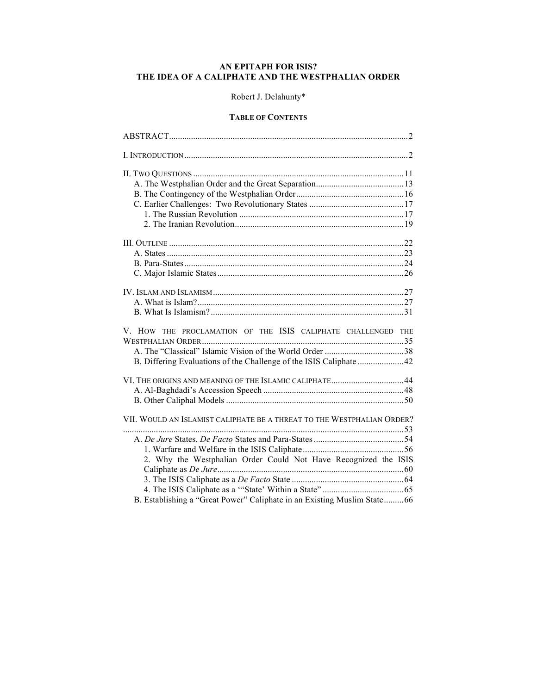# **AN EPITAPH FOR ISIS? THE IDEA OF A CALIPHATE AND THE WESTPHALIAN ORDER**

# Robert J. Delahunty\*

# **TABLE OF CONTENTS**

| V. HOW THE PROCLAMATION OF THE ISIS CALIPHATE CHALLENGED THE             |  |
|--------------------------------------------------------------------------|--|
|                                                                          |  |
|                                                                          |  |
|                                                                          |  |
| VI. THE ORIGINS AND MEANING OF THE ISLAMIC CALIPHATE44                   |  |
|                                                                          |  |
|                                                                          |  |
| VII. WOULD AN ISLAMIST CALIPHATE BE A THREAT TO THE WESTPHALIAN ORDER?   |  |
|                                                                          |  |
|                                                                          |  |
|                                                                          |  |
| 2. Why the Westphalian Order Could Not Have Recognized the ISIS          |  |
|                                                                          |  |
|                                                                          |  |
|                                                                          |  |
| B. Establishing a "Great Power" Caliphate in an Existing Muslim State 66 |  |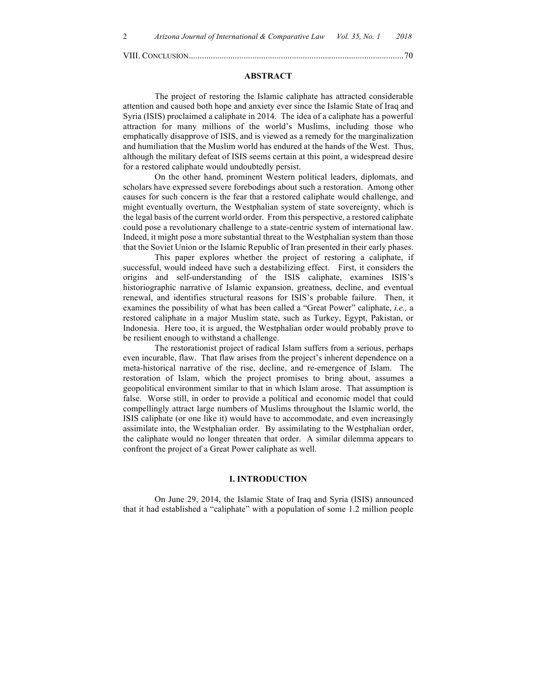VIII. CONCLUSION..................................................................................................70

#### **ABSTRACT**

The project of restoring the Islamic caliphate has attracted considerable attention and caused both hope and anxiety ever since the Islamic State of Iraq and Syria (ISIS) proclaimed a caliphate in 2014. The idea of a caliphate has a powerful attraction for many millions of the world's Muslims, including those who emphatically disapprove of ISIS, and is viewed as a remedy for the marginalization and humiliation that the Muslim world has endured at the hands of the West. Thus, although the military defeat of ISIS seems certain at this point, a widespread desire for a restored caliphate would undoubtedly persist.

On the other hand, prominent Western political leaders, diplomats, and scholars have expressed severe forebodings about such a restoration. Among other causes for such concern is the fear that a restored caliphate would challenge, and might eventually overturn, the Westphalian system of state sovereignty, which is the legal basis of the current world order. From this perspective, a restored caliphate could pose a revolutionary challenge to a state-centric system of international law. Indeed, it might pose a more substantial threat to the Westphalian system than those that the Soviet Union or the Islamic Republic of Iran presented in their early phases.

This paper explores whether the project of restoring a caliphate, if successful, would indeed have such a destabilizing effect. First, it considers the origins and self-understanding of the ISIS caliphate, examines ISIS's historiographic narrative of Islamic expansion, greatness, decline, and eventual renewal, and identifies structural reasons for ISIS's probable failure. Then, it examines the possibility of what has been called a "Great Power" caliphate, *i.e.,* a restored caliphate in a major Muslim state, such as Turkey, Egypt, Pakistan, or Indonesia. Here too, it is argued, the Westphalian order would probably prove to be resilient enough to withstand a challenge.

The restorationist project of radical Islam suffers from a serious, perhaps even incurable, flaw. That flaw arises from the project's inherent dependence on a meta-historical narrative of the rise, decline, and re-emergence of Islam. The restoration of Islam, which the project promises to bring about, assumes a geopolitical environment similar to that in which Islam arose. That assumption is false. Worse still, in order to provide a political and economic model that could compellingly attract large numbers of Muslims throughout the Islamic world, the ISIS caliphate (or one like it) would have to accommodate, and even increasingly assimilate into, the Westphalian order. By assimilating to the Westphalian order, the caliphate would no longer threaten that order. A similar dilemma appears to confront the project of a Great Power caliphate as well.

#### **I. INTRODUCTION**

On June 29, 2014, the Islamic State of Iraq and Syria (ISIS) announced that it had established a "caliphate" with a population of some 1.2 million people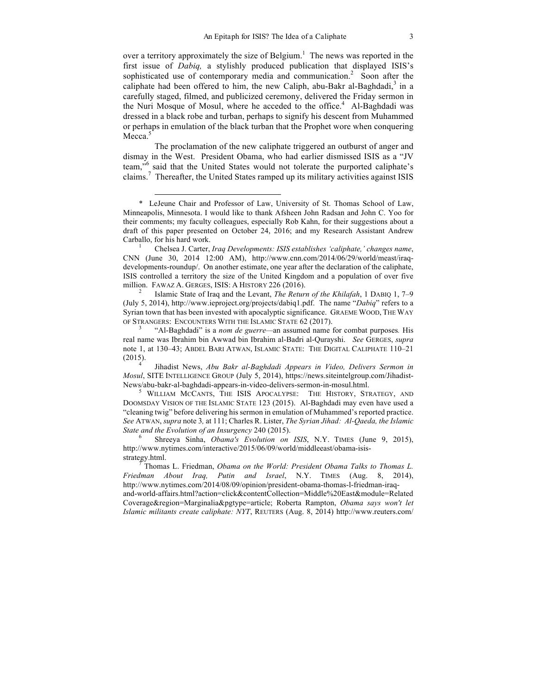over a territory approximately the size of Belgium.<sup>1</sup> The news was reported in the first issue of *Dabiq,* a stylishly produced publication that displayed ISIS's sophisticated use of contemporary media and communication.<sup>2</sup> Soon after the caliphate had been offered to him, the new Caliph, abu-Bakr al-Baghdadi, $3$  in a carefully staged, filmed, and publicized ceremony, delivered the Friday sermon in the Nuri Mosque of Mosul, where he acceded to the office.<sup>4</sup> Al-Baghdadi was dressed in a black robe and turban, perhaps to signify his descent from Muhammed or perhaps in emulation of the black turban that the Prophet wore when conquering Mecca.<sup>5</sup>

The proclamation of the new caliphate triggered an outburst of anger and dismay in the West. President Obama, who had earlier dismissed ISIS as a "JV team,"<sup>6</sup> said that the United States would not tolerate the purported caliphate's claims.<sup>7</sup> Thereafter, the United States ramped up its military activities against ISIS

 $\overline{a}$ 

(July 5, 2014), http://www.ieproject.org/projects/dabiq1.pdf. The name "*Dabiq*" refers to a Syrian town that has been invested with apocalyptic significance. GRAEME WOOD, THE WAY OF STRANGERS: ENCOUNTERS WITH THE ISLAMIC STATE <sup>62</sup> (2017). <sup>3</sup> "Al-Baghdadi" is a *nom de guerre—*an assumed name for combat purposes*.* His

real name was Ibrahim bin Awwad bin Ibrahim al-Badri al-Qurayshi. *See* GERGES, *supra* note 1, at 130–43; ABDEL BARI ATWAN, ISLAMIC STATE: THE DIGITAL CALIPHATE 110–21 (2015). <sup>4</sup> Jihadist News, *Abu Bakr al-Baghdadi Appears in Video, Delivers Sermon in*

*Mosul*, SITE INTELLIGENCE GROUP (July 5, 2014), https://news.siteintelgroup.com/Jihadist-News/abu-bakr-al-baghdadi-appears-in-video-delivers-sermon-in-mosul.html. 5 WILLIAM MCCANTS, THE ISIS APOCALYPSE: THE HISTORY, STRATEGY, AND

DOOMSDAY VISION OF THE ISLAMIC STATE 123 (2015). Al-Baghdadi may even have used a "cleaning twig" before delivering his sermon in emulation of Muhammed's reported practice. *See* ATWAN, *supra* note 3*,* at 111; Charles R. Lister, *The Syrian Jihad: Al-Qaeda, the Islamic State and the Evolution of an Insurgency* 240 (2015). <sup>6</sup> Shreeya Sinha, *Obama's Evolution on ISIS*, N.Y. TIMES (June 9, 2015),

http://www.nytimes.com/interactive/2015/06/09/world/middleeast/obama-isis-

strategy.html. <sup>7</sup> Thomas L. Friedman, *Obama on the World: President Obama Talks to Thomas L. Friedman About Iraq, Putin and Israel*, N.Y. TIMES (Aug. 8, 2014), http://www.nytimes.com/2014/08/09/opinion/president-obama-thomas-l-friedman-iraqand-world-affairs.html?action=click&contentCollection=Middle%20East&module=Related Coverage&region=Marginalia&pgtype=article; Roberta Rampton, *Obama says won't let Islamic militants create caliphate: NYT*, REUTERS (Aug. 8, 2014) http://www.reuters.com/

<sup>\*</sup> LeJeune Chair and Professor of Law, University of St. Thomas School of Law, Minneapolis, Minnesota. I would like to thank Afsheen John Radsan and John C. Yoo for their comments; my faculty colleagues, especially Rob Kahn, for their suggestions about a draft of this paper presented on October 24, 2016; and my Research Assistant Andrew Carballo, for his hard work.<br><sup>1</sup> Chelsea J. Carter, *Iraq Developments: ISIS establishes 'caliphate,' changes name*,

CNN (June 30, 2014 12:00 AM), http://www.cnn.com/2014/06/29/world/meast/iraqdevelopments-roundup/. On another estimate, one year after the declaration of the caliphate, ISIS controlled a territory the size of the United Kingdom and a population of over five million. FAWAZ A. GERGES, ISIS: A HISTORY 226 (2016).<br><sup>2</sup> Islamic State of Iraq and the Levant, *The Return of the Khilafah*, 1 DABIQ 1, 7–9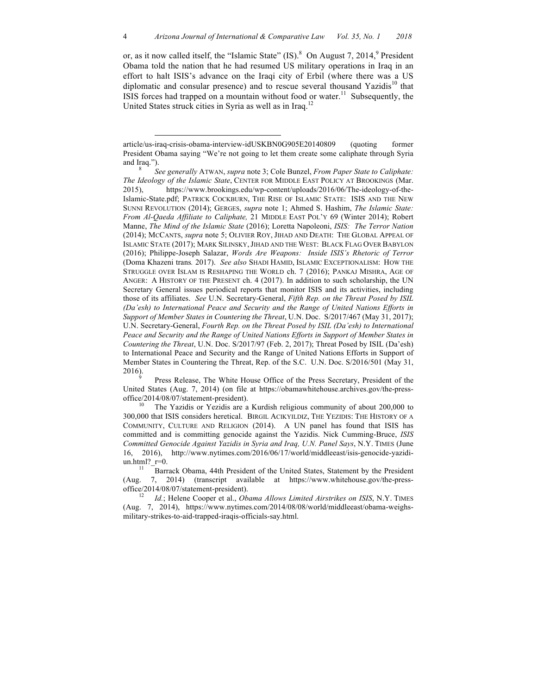or, as it now called itself, the "Islamic State"  $(IS)$ . <sup>8</sup> On August 7, 2014, <sup>9</sup> President Obama told the nation that he had resumed US military operations in Iraq in an effort to halt ISIS's advance on the Iraqi city of Erbil (where there was a US diplomatic and consular presence) and to rescue several thousand Yazidis<sup>10</sup> that ISIS forces had trapped on a mountain without food or water.<sup>11</sup> Subsequently, the United States struck cities in Syria as well as in Iraq.12

United States (Aug. 7, 2014) (on file at https://obamawhitehouse.archives.gov/the-pressoffice/2014/08/07/statement-president).<br><sup>10</sup> The Yazidis or Yezidis are a Kurdish religious community of about 200,000 to

300,000 that ISIS considers heretical. BIRGIL ACIKYILDIZ, THE YEZIDIS: THE HISTORY OF A COMMUNITY, CULTURE AND RELIGION (2014). A UN panel has found that ISIS has committed and is committing genocide against the Yazidis. Nick Cumming-Bruce, *ISIS Committed Genocide Against Yazidis in Syria and Iraq, U.N. Panel Says*, N.Y. TIMES (June 16, 2016), http://www.nytimes.com/2016/06/17/world/middleeast/isis-genocide-yazidiun.html?\_r=0.<br> $11$  Barrack Obama, 44th President of the United States, Statement by the President

(Aug. 7, 2014) (transcript available at https://www.whitehouse.gov/the-pressoffice/2014/08/07/statement-president). <sup>12</sup> *Id.*; Helene Cooper et al., *Obama Allows Limited Airstrikes on ISIS*, N.Y. TIMES

 $\overline{a}$ 

article/us-iraq-crisis-obama-interview-idUSKBN0G905E20140809 (quoting former President Obama saying "We're not going to let them create some caliphate through Syria and Iraq."). 8 *See generally* ATWAN, *supra* note 3; Cole Bunzel, *From Paper State to Caliphate:* 

*The Ideology of the Islamic State*, CENTER FOR MIDDLE EAST POLICY AT BROOKINGS (Mar. 2015), https://www.brookings.edu/wp-content/uploads/2016/06/The-ideology-of-the-Islamic-State.pdf; PATRICK COCKBURN, THE RISE OF ISLAMIC STATE: ISIS AND THE NEW SUNNI REVOLUTION (2014); GERGES, *supra* note 1; Ahmed S. Hashim, *The Islamic State: From Al-Qaeda Affiliate to Caliphate,* 21 MIDDLE EAST POL'Y 69 (Winter 2014); Robert Manne, *The Mind of the Islamic State* (2016); Loretta Napoleoni, *ISIS: The Terror Nation*  (2014); MCCANTS, *supra* note 5; OLIVIER ROY, JIHAD AND DEATH: THE GLOBAL APPEAL OF ISLAMIC STATE (2017); MARK SILINSKY,JIHAD AND THE WEST: BLACK FLAG OVER BABYLON (2016); Philippe-Joseph Salazar, *Words Are Weapons: Inside ISIS's Rhetoric of Terror*  (Doma Khazeni trans*.* 2017). *See also* SHADI HAMID, ISLAMIC EXCEPTIONALISM: HOW THE STRUGGLE OVER ISLAM IS RESHAPING THE WORLD ch. 7 (2016); PANKAJ MISHRA, AGE OF ANGER: A HISTORY OF THE PRESENT ch. 4 (2017). In addition to such scholarship, the UN Secretary General issues periodical reports that monitor ISIS and its activities, including those of its affiliates. *See* U.N. Secretary-General, *Fifth Rep. on the Threat Posed by ISIL (Da'esh) to International Peace and Security and the Range of United Nations Efforts in Support of Member States in Countering the Threat*, U.N. Doc. S/2017/467 (May 31, 2017); U.N. Secretary-General, *Fourth Rep. on the Threat Posed by ISIL (Da'esh) to International Peace and Security and the Range of United Nations Efforts in Support of Member States in Countering the Threat*, U.N. Doc. S/2017/97 (Feb. 2, 2017); Threat Posed by ISIL (Da'esh) to International Peace and Security and the Range of United Nations Efforts in Support of Member States in Countering the Threat, Rep. of the S.C. U.N. Doc. S/2016/501 (May 31, 2016).<br><sup>9</sup> Press Release, The White House Office of the Press Secretary, President of the

<sup>(</sup>Aug. 7, 2014), https://www.nytimes.com/2014/08/08/world/middleeast/obama-weighsmilitary-strikes-to-aid-trapped-iraqis-officials-say.html.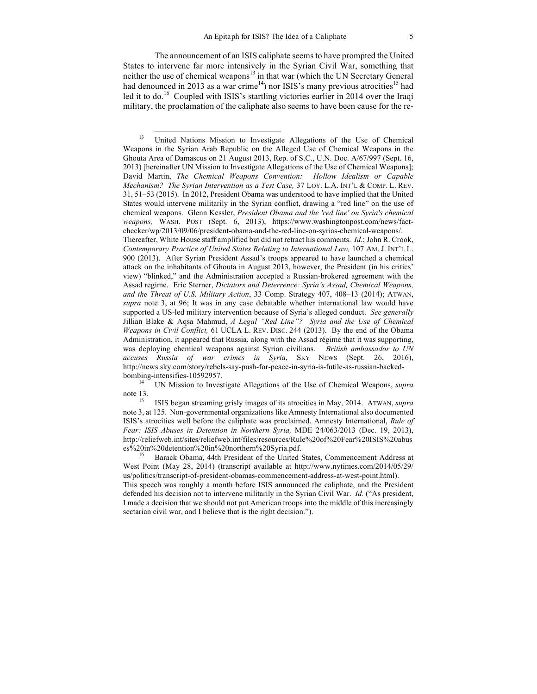The announcement of an ISIS caliphate seems to have prompted the United States to intervene far more intensively in the Syrian Civil War, something that neither the use of chemical weapons<sup>13</sup> in that war (which the UN Secretary General had denounced in 2013 as a war crime<sup>14</sup>) nor ISIS's many previous atrocities<sup>15</sup> had led it to do.<sup>16</sup> Coupled with ISIS's startling victories earlier in 2014 over the Iraqi military, the proclamation of the caliphate also seems to have been cause for the re-

*accuses Russia of war crimes in Syria*, SKY NEWS (Sept. 26, 2016), http://news.sky.com/story/rebels-say-push-for-peace-in-syria-is-futile-as-russian-backed-

bombing-intensifies-10592957.<br><sup>14</sup> UN Mission to Investigate Allegations of the Use of Chemical Weapons, *supra* note 13.<br><sup>15</sup> ISIS began streaming grisly images of its atrocities in May 2014. ATWAN *supra* 

note 13. <sup>15</sup> ISIS began streaming grisly images of its atrocities in May, 2014. ATWAN, *supra* note 3, at 125. Non-governmental organizations like Amnesty International also documented ISIS's atrocities well before the caliphate was proclaimed. Amnesty International, *Rule of Fear: ISIS Abuses in Detention in Northern Syria,* MDE 24/063/2013 (Dec. 19, 2013), http://reliefweb.int/sites/reliefweb.int/files/resources/Rule%20of%20Fear%20ISIS%20abus es%20in%20detention%20in%20northern%20Syria.pdf. <sup>16</sup> Barack Obama, 44th President of the United States, Commencement Address at

West Point (May 28, 2014) (transcript available at http://www.nytimes.com/2014/05/29/ us/politics/transcript-of-president-obamas-commencement-address-at-west-point.html).

This speech was roughly a month before ISIS announced the caliphate, and the President defended his decision not to intervene militarily in the Syrian Civil War. *Id.* ("As president, I made a decision that we should not put American troops into the middle of this increasingly sectarian civil war, and I believe that is the right decision.").

<sup>&</sup>lt;sup>13</sup> United Nations Mission to Investigate Allegations of the Use of Chemical Weapons in the Syrian Arab Republic on the Alleged Use of Chemical Weapons in the Ghouta Area of Damascus on 21 August 2013, Rep. of S.C., U.N. Doc. A/67/997 (Sept. 16, 2013) [hereinafter UN Mission to Investigate Allegations of the Use of Chemical Weapons]; David Martin, *The Chemical Weapons Convention: Hollow Idealism or Capable Mechanism? The Syrian Intervention as a Test Case,* 37 LOY. L.A. INT'L & COMP. L. REV. 31, 51–53 (2015). In 2012, President Obama was understood to have implied that the United States would intervene militarily in the Syrian conflict, drawing a "red line" on the use of chemical weapons. Glenn Kessler, *President Obama and the 'red line' on Syria's chemical weapons,* WASH. POST (Sept. 6, 2013), https://www.washingtonpost.com/news/factchecker/wp/2013/09/06/president-obama-and-the-red-line-on-syrias-chemical-weapons/. Thereafter, White House staff amplified but did not retract his comments. *Id.*; John R. Crook, *Contemporary Practice of United States Relating to International Law,* 107 AM. J. INT'L L. 900 (2013). After Syrian President Assad's troops appeared to have launched a chemical attack on the inhabitants of Ghouta in August 2013, however, the President (in his critics' view) "blinked," and the Administration accepted a Russian-brokered agreement with the Assad regime. Eric Sterner, *Dictators and Deterrence: Syria's Assad, Chemical Weapons, and the Threat of U.S. Military Action*, 33 Comp. Strategy 407, 408–13 (2014); ATWAN, *supra* note 3, at 96; It was in any case debatable whether international law would have supported a US-led military intervention because of Syria's alleged conduct. *See generally* Jillian Blake & Aqsa Mahmud, *A Legal "Red Line"? Syria and the Use of Chemical Weapons in Civil Conflict,* 61 UCLA L. REV. DISC. 244 (2013). By the end of the Obama Administration, it appeared that Russia, along with the Assad régime that it was supporting, was deploying chemical weapons against Syrian civilians. *British ambassador to UN*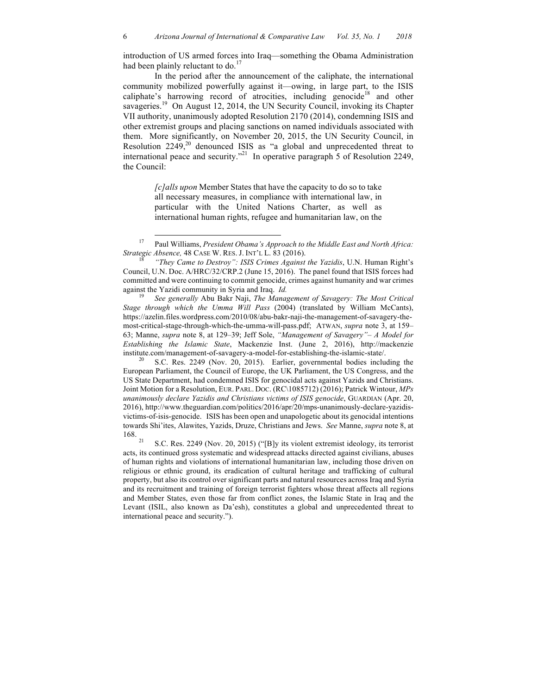introduction of US armed forces into Iraq—something the Obama Administration had been plainly reluctant to do. $^{17}$ 

In the period after the announcement of the caliphate, the international community mobilized powerfully against it—owing, in large part, to the ISIS caliphate's harrowing record of atrocities, including genocide<sup>18</sup> and other savageries.<sup>19</sup> On August 12, 2014, the UN Security Council, invoking its Chapter VII authority, unanimously adopted Resolution 2170 (2014), condemning ISIS and other extremist groups and placing sanctions on named individuals associated with them. More significantly, on November 20, 2015, the UN Security Council, in Resolution  $2249$ ,<sup>20</sup> denounced ISIS as "a global and unprecedented threat to international peace and security."21 In operative paragraph 5 of Resolution 2249, the Council:

> *[c]alls upon* Member States that have the capacity to do so to take all necessary measures, in compliance with international law, in particular with the United Nations Charter, as well as international human rights, refugee and humanitarian law, on the

*Stage through which the Umma Will Pass* (2004) (translated by William McCants), https://azelin.files.wordpress.com/2010/08/abu-bakr-naji-the-management-of-savagery-themost-critical-stage-through-which-the-umma-will-pass.pdf; ATWAN, *supra* note 3, at 159– 63; Manne, *supra* note 8, at 129–39; Jeff Sole, *"Management of Savagery"– A Model for Establishing the Islamic State*, Mackenzie Inst. (June 2, 2016), http://mackenzie institute.com/management-of-savagery-a-model-for-establishing-the-islamic-state/. 20 S.C. Res. 2249 (Nov. 20, 2015). Earlier, governmental bodies including the

European Parliament, the Council of Europe, the UK Parliament, the US Congress, and the US State Department, had condemned ISIS for genocidal acts against Yazids and Christians. Joint Motion for a Resolution, EUR. PARL. DOC. (RC\1085712) (2016); Patrick Wintour, *MPs unanimously declare Yazidis and Christians victims of ISIS genocide*, GUARDIAN (Apr. 20, 2016), http://www.theguardian.com/politics/2016/apr/20/mps-unanimously-declare-yazidisvictims-of-isis-genocide. ISIS has been open and unapologetic about its genocidal intentions towards Shi'ites, Alawites, Yazids, Druze, Christians and Jews. *See* Manne, *supra* note 8, at 168. 21 S.C. Res. 2249 (Nov. 20, 2015) ("[B]y its violent extremist ideology, its terrorist

acts, its continued gross systematic and widespread attacks directed against civilians, abuses of human rights and violations of international humanitarian law, including those driven on religious or ethnic ground, its eradication of cultural heritage and trafficking of cultural property, but also its control over significant parts and natural resources across Iraq and Syria and its recruitment and training of foreign terrorist fighters whose threat affects all regions and Member States, even those far from conflict zones, the Islamic State in Iraq and the Levant (ISIL, also known as Da'esh), constitutes a global and unprecedented threat to international peace and security.").

 <sup>17</sup> Paul Williams, *President Obama's Approach to the Middle East and North Africa: Strategic Absence,* 48 CASE W. RES. J. INT'L L. 83 (2016).<br><sup>18</sup> *"They Came to Destroy": ISIS Crimes Against the Yazidis*, U.N. Human Right's

Council, U.N. Doc. A/HRC/32/CRP.2 (June 15, 2016). The panel found that ISIS forces had committed and were continuing to commit genocide, crimes against humanity and war crimes against the Yazidi community in Syria and Iraq. *Id.* <sup>19</sup> *See generally* Abu Bakr Naji, *The Management of Savagery: The Most Critical*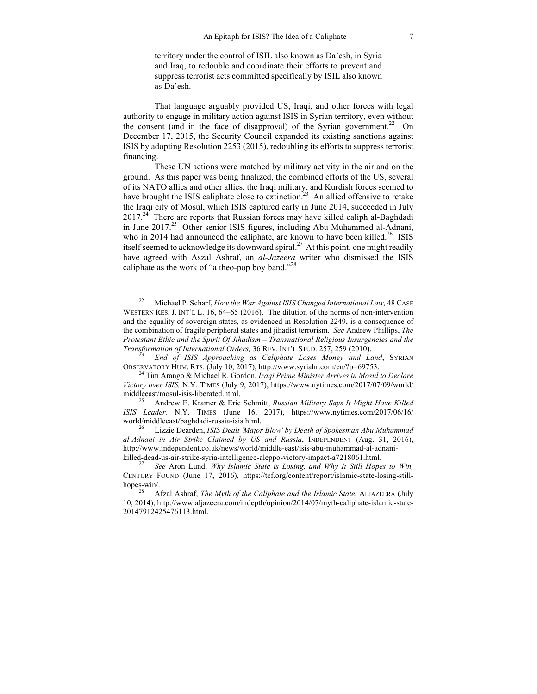territory under the control of ISIL also known as Da'esh, in Syria and Iraq, to redouble and coordinate their efforts to prevent and suppress terrorist acts committed specifically by ISIL also known as Da'esh.

That language arguably provided US, Iraqi, and other forces with legal authority to engage in military action against ISIS in Syrian territory, even without the consent (and in the face of disapproval) of the Syrian government.<sup>22</sup> On December 17, 2015, the Security Council expanded its existing sanctions against ISIS by adopting Resolution 2253 (2015), redoubling its efforts to suppress terrorist financing.

These UN actions were matched by military activity in the air and on the ground. As this paper was being finalized, the combined efforts of the US, several of its NATO allies and other allies, the Iraqi military, and Kurdish forces seemed to have brought the ISIS caliphate close to extinction.<sup>23</sup> An allied offensive to retake the Iraqi city of Mosul, which ISIS captured early in June 2014, succeeded in July  $2017<sup>24</sup>$  There are reports that Russian forces may have killed caliph al-Baghdadi in June 2017.<sup>25</sup> Other senior ISIS figures, including Abu Muhammed al-Adnani, who in 2014 had announced the caliphate, are known to have been killed.<sup>26</sup> ISIS itself seemed to acknowledge its downward spiral.<sup>27</sup> At this point, one might readily have agreed with Aszal Ashraf, an *al-Jazeera* writer who dismissed the ISIS caliphate as the work of "a theo-pop boy band."<sup>28</sup>

 <sup>22</sup> Michael P. Scharf, *How the War Against ISIS Changed International Law,* 48 CASE WESTERN RES. J. INT'L L. 16, 64–65 (2016). The dilution of the norms of non-intervention and the equality of sovereign states, as evidenced in Resolution 2249, is a consequence of the combination of fragile peripheral states and jihadist terrorism. *See* Andrew Phillips, *The Protestant Ethic and the Spirit Of Jihadism – Transnational Religious Insurgencies and the* 

*Transformation of International Orders,* 36 REV. INT'L STUD. 257, 259 (2010).<br><sup>23</sup> *End of ISIS Approaching as Caliphate Loses Money and Land*, SYRIAN OBSERVATORY HUM. RTS. (July 10, 2017), http://www.syriahr.com/en/?p=69

<sup>&</sup>lt;sup>24</sup> Tim Arango & Michael R. Gordon, *Iraqi Prime Minister Arrives in Mosul to Declare Victory over ISIS,* N.Y. TIMES (July 9, 2017), https://www.nytimes.com/2017/07/09/world/ middleeast/mosul-isis-liberated.html. 25 Andrew E. Kramer & Eric Schmitt, *Russian Military Says It Might Have Killed* 

*ISIS Leader,* N.Y. TIMES (June 16, 2017), https://www.nytimes.com/2017/06/16/ world/middleeast/baghdadi-russia-isis.html. 26 Lizzie Dearden, *ISIS Dealt 'Major Blow' by Death of Spokesman Abu Muhammad* 

*al-Adnani in Air Strike Claimed by US and Russia*, INDEPENDENT (Aug. 31, 2016), http://www.independent.co.uk/news/world/middle-east/isis-abu-muhammad-al-adnani-

killed-dead-us-air-strike-syria-intelligence-aleppo-victory-impact-a7218061.html. <sup>27</sup> *See* Aron Lund, *Why Islamic State is Losing, and Why It Still Hopes to Win,* CENTURY FOUND (June 17, 2016), https://tcf.org/content/report/islamic-state-losing-stillhopes-win/.

<sup>28</sup> Afzal Ashraf, *The Myth of the Caliphate and the Islamic State*, ALJAZEERA (July 10, 2014), http://www.aljazeera.com/indepth/opinion/2014/07/myth-caliphate-islamic-state-20147912425476113.html.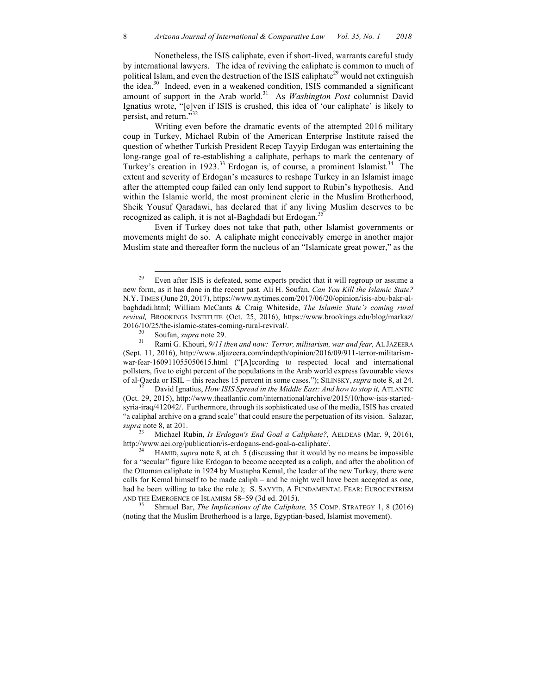Nonetheless, the ISIS caliphate, even if short-lived, warrants careful study by international lawyers. The idea of reviving the caliphate is common to much of political Islam, and even the destruction of the ISIS caliphate<sup>29</sup> would not extinguish the idea. $30$  Indeed, even in a weakened condition, ISIS commanded a significant amount of support in the Arab world.<sup>31</sup> As *Washington Post* columnist David Ignatius wrote, "[e]ven if ISIS is crushed, this idea of 'our caliphate' is likely to persist, and return."32

Writing even before the dramatic events of the attempted 2016 military coup in Turkey, Michael Rubin of the American Enterprise Institute raised the question of whether Turkish President Recep Tayyip Erdogan was entertaining the long-range goal of re-establishing a caliphate, perhaps to mark the centenary of Turkey's creation in 1923.<sup>33</sup> Erdogan is, of course, a prominent Islamist.<sup>34</sup> The extent and severity of Erdogan's measures to reshape Turkey in an Islamist image after the attempted coup failed can only lend support to Rubin's hypothesis. And within the Islamic world, the most prominent cleric in the Muslim Brotherhood, Sheik Yousuf Qaradawi, has declared that if any living Muslim deserves to be recognized as caliph, it is not al-Baghdadi but Erdogan.<sup>35</sup>

Even if Turkey does not take that path, other Islamist governments or movements might do so. A caliphate might conceivably emerge in another major Muslim state and thereafter form the nucleus of an "Islamicate great power," as the

 $29$  Even after ISIS is defeated, some experts predict that it will regroup or assume a new form, as it has done in the recent past. Ali H. Soufan, *Can You Kill the Islamic State?* N.Y. TIMES (June 20, 2017), https://www.nytimes.com/2017/06/20/opinion/isis-abu-bakr-albaghdadi.html; William McCants & Craig Whiteside, *The Islamic State's coming rural revival,* BROOKINGS INSTITUTE (Oct. 25, 2016), https://www.brookings.edu/blog/markaz/ 2016/10/25/the-islamic-states-coming-rural-revival/. 30 Soufan, *supra* note 29. 31 Rami G. Khouri, *9/11 then and now: Terror, militarism, war and fear,* AL JAZEERA

<sup>(</sup>Sept. 11, 2016), http://www.aljazeera.com/indepth/opinion/2016/09/911-terror-militarismwar-fear-160911055050615.html ("[A]ccording to respected local and international pollsters, five to eight percent of the populations in the Arab world express favourable views

of al-Qaeda or ISIL – this reaches 15 percent in some cases."); SILINSKY, *supra* note 8, at 24.<br><sup>32</sup> David Ignatius, *How ISIS Spread in the Middle East: And how to stop it*, ATLANTIC (Oct. 29, 2015), http://www.theatlantic.com/international/archive/2015/10/how-isis-startedsyria-iraq/412042/. Furthermore, through its sophisticated use of the media, ISIS has created "a caliphal archive on a grand scale" that could ensure the perpetuation of its vision. Salazar, *supra* note 8, at 201. 33 Michael Rubin, *Is Erdogan's End Goal a Caliphate?,* AELDEAS (Mar. 9, 2016),

http://www.aei.org/publication/is-erdogans-end-goal-a-caliphate/. 34 HAMID, *supra* note 8*,* at ch. 5 (discussing that it would by no means be impossible

for a "secular" figure like Erdogan to become accepted as a caliph, and after the abolition of the Ottoman caliphate in 1924 by Mustapha Kemal, the leader of the new Turkey, there were calls for Kemal himself to be made caliph – and he might well have been accepted as one, had he been willing to take the role.); S. SAYYID, A FUNDAMENTAL FEAR: EUROCENTRISM AND THE EMERGENCE OF ISLAMISM 58–59 (3d ed. 2015). <sup>35</sup> Shmuel Bar, *The Implications of the Caliphate,* 35 COMP. STRATEGY 1, 8 (2016)

<sup>(</sup>noting that the Muslim Brotherhood is a large, Egyptian-based, Islamist movement).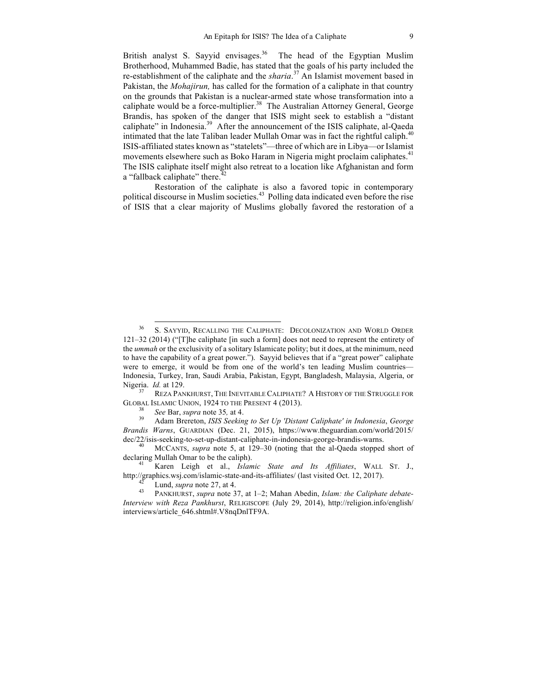British analyst S. Sayyid envisages.<sup>36</sup> The head of the Egyptian Muslim Brotherhood, Muhammed Badie, has stated that the goals of his party included the re-establishment of the caliphate and the *sharia*. <sup>37</sup> An Islamist movement based in Pakistan, the *Mohajirun,* has called for the formation of a caliphate in that country on the grounds that Pakistan is a nuclear-armed state whose transformation into a caliphate would be a force-multiplier.<sup>38</sup> The Australian Attorney General, George Brandis, has spoken of the danger that ISIS might seek to establish a "distant caliphate" in Indonesia.<sup>39</sup> After the announcement of the ISIS caliphate, al-Qaeda intimated that the late Taliban leader Mullah Omar was in fact the rightful caliph.<sup>40</sup> ISIS-affiliated states known as "statelets"—three of which are in Libya—or Islamist movements elsewhere such as Boko Haram in Nigeria might proclaim caliphates.<sup>41</sup> The ISIS caliphate itself might also retreat to a location like Afghanistan and form a "fallback caliphate" there.<sup>4</sup>

Restoration of the caliphate is also a favored topic in contemporary political discourse in Muslim societies.<sup>43</sup> Polling data indicated even before the rise of ISIS that a clear majority of Muslims globally favored the restoration of a

Nigeria. *Id.* at 129.<br><sup>37</sup> REZA PANKHURST, THE INEVITABLE CALIPHATE? A HISTORY OF THE STRUGGLE FOR GLOBAL ISLAMIC UNION. 1924 TO THE PRESENT 4 (2013).

GLOBAL ISLAMIC UNION, <sup>1924</sup> TO THE PRESENT 4 (2013). 38 *See* Bar, *supra* note 35*,* at 4. <sup>39</sup> Adam Brereton, *ISIS Seeking to Set Up 'Distant Caliphate' in Indonesia*, *George Brandis Warns*, GUARDIAN (Dec. 21, 2015), https://www.theguardian.com/world/2015/

dec/22/isis-seeking-to-set-up-distant-caliphate-in-indonesia-george-brandis-warns. 40 MCCANTS, *supra* note 5, at 129–30 (noting that the al-Qaeda stopped short of

<sup>&</sup>lt;sup>36</sup> S. SAYYID, RECALLING THE CALIPHATE: DECOLONIZATION AND WORLD ORDER 121–32 (2014) ("[T]he caliphate [in such a form] does not need to represent the entirety of the *ummah* or the exclusivity of a solitary Islamicate polity; but it does, at the minimum, need to have the capability of a great power."). Sayyid believes that if a "great power" caliphate were to emerge, it would be from one of the world's ten leading Muslim countries— Indonesia, Turkey, Iran, Saudi Arabia, Pakistan, Egypt, Bangladesh, Malaysia, Algeria, or

declaring Mullah Omar to be the caliph). 41 Karen Leigh et al., *Islamic State and Its Affiliates*, WALL ST. J., http://graphics.wsj.com/islamic-state-and-its-affiliates/ (last visited Oct. 12, 2017).<br>
<sup>42</sup> Lund, *supra* note 27, at 4.<br>
<sup>43</sup> PANKHURST, *supra* note 37, at 1–2; Mahan Abedin, *Islam: the Caliphate debate-*

*Interview with Reza Pankhurst*, RELIGISCOPE (July 29, 2014), http://religion.info/english/ interviews/article\_646.shtml#.V8nqDnlTF9A.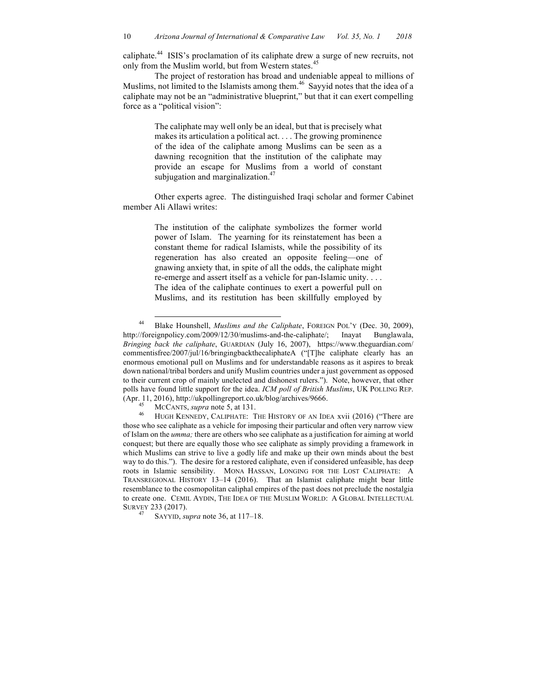caliphate.<sup>44</sup> ISIS's proclamation of its caliphate drew a surge of new recruits, not only from the Muslim world, but from Western states.<sup>45</sup>

The project of restoration has broad and undeniable appeal to millions of Muslims, not limited to the Islamists among them.<sup>46</sup> Sayyid notes that the idea of a caliphate may not be an "administrative blueprint," but that it can exert compelling force as a "political vision":

> The caliphate may well only be an ideal, but that is precisely what makes its articulation a political act. . . . The growing prominence of the idea of the caliphate among Muslims can be seen as a dawning recognition that the institution of the caliphate may provide an escape for Muslims from a world of constant subjugation and marginalization. $47$

Other experts agree. The distinguished Iraqi scholar and former Cabinet member Ali Allawi writes:

> The institution of the caliphate symbolizes the former world power of Islam. The yearning for its reinstatement has been a constant theme for radical Islamists, while the possibility of its regeneration has also created an opposite feeling—one of gnawing anxiety that, in spite of all the odds, the caliphate might re-emerge and assert itself as a vehicle for pan-Islamic unity. . . . The idea of the caliphate continues to exert a powerful pull on Muslims, and its restitution has been skillfully employed by

 <sup>44</sup> Blake Hounshell, *Muslims and the Caliphate*, FOREIGN POL'Y (Dec. 30, 2009), http://foreignpolicy.com/2009/12/30/muslims-and-the-caliphate/; Inayat Bunglawala, *Bringing back the caliphate*, GUARDIAN (July 16, 2007), https://www.theguardian.com/ commentisfree/2007/jul/16/bringingbackthecaliphateA ("[T]he caliphate clearly has an enormous emotional pull on Muslims and for understandable reasons as it aspires to break down national/tribal borders and unify Muslim countries under a just government as opposed to their current crop of mainly unelected and dishonest rulers."). Note, however, that other polls have found little support for the idea. *ICM poll of British Muslims*, UK POLLING REP. (Apr. 11, 2016), http://ukpollingreport.co.uk/blog/archives/9666.<br>MCCANTS, *supra* note 5, at 131.<br><sup>46</sup> HUGH KENNEDY, CALIPHATE: THE HISTORY OF AN IDEA xvii (2016) ("There are

those who see caliphate as a vehicle for imposing their particular and often very narrow view of Islam on the *umma;* there are others who see caliphate as a justification for aiming at world conquest; but there are equally those who see caliphate as simply providing a framework in which Muslims can strive to live a godly life and make up their own minds about the best way to do this."). The desire for a restored caliphate, even if considered unfeasible, has deep roots in Islamic sensibility. MONA HASSAN, LONGING FOR THE LOST CALIPHATE: A TRANSREGIONAL HISTORY 13–14 (2016). That an Islamist caliphate might bear little resemblance to the cosmopolitan caliphal empires of the past does not preclude the nostalgia to create one. CEMIL AYDIN, THE IDEA OF THE MUSLIM WORLD: A GLOBAL INTELLECTUAL SURVEY 233 (2017). <sup>47</sup> SAYYID, *supra* note 36, at 117–18.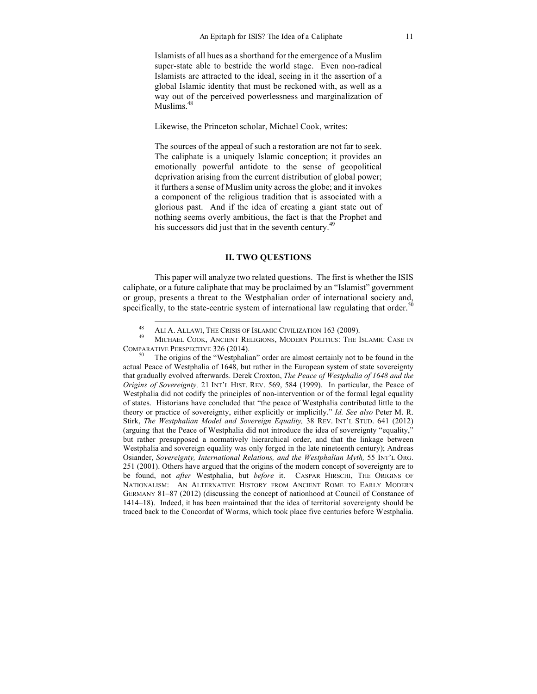Islamists of all hues as a shorthand for the emergence of a Muslim super-state able to bestride the world stage. Even non-radical Islamists are attracted to the ideal, seeing in it the assertion of a global Islamic identity that must be reckoned with, as well as a way out of the perceived powerlessness and marginalization of Muslims.<sup>48</sup>

Likewise, the Princeton scholar, Michael Cook, writes:

The sources of the appeal of such a restoration are not far to seek. The caliphate is a uniquely Islamic conception; it provides an emotionally powerful antidote to the sense of geopolitical deprivation arising from the current distribution of global power; it furthers a sense of Muslim unity across the globe; and it invokes a component of the religious tradition that is associated with a glorious past. And if the idea of creating a giant state out of nothing seems overly ambitious, the fact is that the Prophet and his successors did just that in the seventh century.<sup>49</sup>

### **II. TWO QUESTIONS**

This paper will analyze two related questions. The first is whether the ISIS caliphate, or a future caliphate that may be proclaimed by an "Islamist" government or group, presents a threat to the Westphalian order of international society and, specifically, to the state-centric system of international law regulating that order.<sup>50</sup>

<sup>&</sup>lt;sup>48</sup> ALI A. ALLAWI, THE CRISIS OF ISLAMIC CIVILIZATION 163 (2009).<br><sup>49</sup> MICHAEL COOK, ANCIENT RELIGIONS, MODERN POLITICS: THE ISLAMIC CASE IN COMPARATIVE PERSPECTIVE 326 (2014).<br><sup>50</sup> The origins of the "Westphalian" order are almost certainly not to be found in the

actual Peace of Westphalia of 1648, but rather in the European system of state sovereignty that gradually evolved afterwards. Derek Croxton, *The Peace of Westphalia of 1648 and the Origins of Sovereignty,* 21 INT'L HIST. REV. 569, 584 (1999). In particular, the Peace of Westphalia did not codify the principles of non-intervention or of the formal legal equality of states. Historians have concluded that "the peace of Westphalia contributed little to the theory or practice of sovereignty, either explicitly or implicitly." *Id. See also* Peter M. R. Stirk, *The Westphalian Model and Sovereign Equality,* 38 REV. INT'L STUD. 641 (2012) (arguing that the Peace of Westphalia did not introduce the idea of sovereignty "equality," but rather presupposed a normatively hierarchical order, and that the linkage between Westphalia and sovereign equality was only forged in the late nineteenth century); Andreas Osiander, *Sovereignty, International Relations, and the Westphalian Myth,* 55 INT'L ORG. 251 (2001). Others have argued that the origins of the modern concept of sovereignty are to be found, not *after* Westphalia, but *before* it. CASPAR HIRSCHI, THE ORIGINS OF NATIONALISM: AN ALTERNATIVE HISTORY FROM ANCIENT ROME TO EARLY MODERN GERMANY 81–87 (2012) (discussing the concept of nationhood at Council of Constance of 1414–18). Indeed, it has been maintained that the idea of territorial sovereignty should be traced back to the Concordat of Worms, which took place five centuries before Westphalia.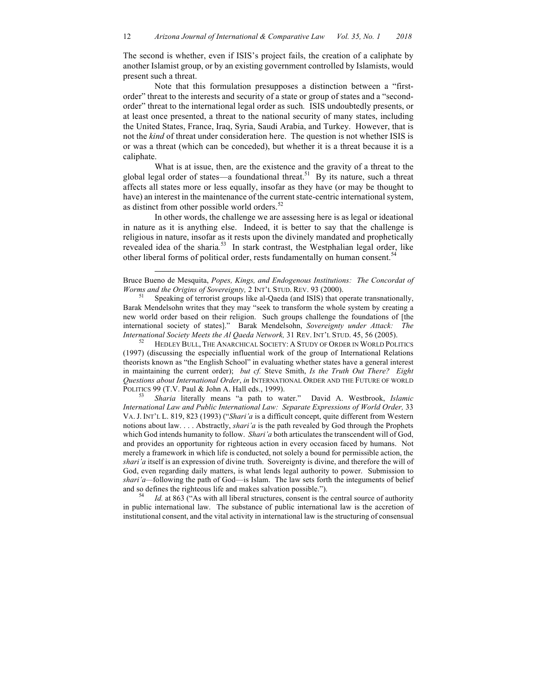The second is whether, even if ISIS's project fails, the creation of a caliphate by another Islamist group, or by an existing government controlled by Islamists, would present such a threat.

Note that this formulation presupposes a distinction between a "firstorder" threat to the interests and security of a state or group of states and a "secondorder" threat to the international legal order as such*.* ISIS undoubtedly presents, or at least once presented, a threat to the national security of many states, including the United States, France, Iraq, Syria, Saudi Arabia, and Turkey. However, that is not the *kind* of threat under consideration here. The question is not whether ISIS is or was a threat (which can be conceded), but whether it is a threat because it is a caliphate.

What is at issue, then, are the existence and the gravity of a threat to the global legal order of states—a foundational threat.<sup>51</sup> By its nature, such a threat affects all states more or less equally, insofar as they have (or may be thought to have) an interest in the maintenance of the current state-centric international system, as distinct from other possible world orders.<sup>52</sup>

In other words, the challenge we are assessing here is as legal or ideational in nature as it is anything else. Indeed, it is better to say that the challenge is religious in nature, insofar as it rests upon the divinely mandated and prophetically revealed idea of the sharia*.* <sup>53</sup> In stark contrast, the Westphalian legal order, like other liberal forms of political order, rests fundamentally on human consent.<sup>54</sup>

 $\overline{a}$ 

(1997) (discussing the especially influential work of the group of International Relations theorists known as "the English School" in evaluating whether states have a general interest in maintaining the current order); *but cf.* Steve Smith, *Is the Truth Out There? Eight Questions about International Order*, *in* INTERNATIONAL ORDER AND THE FUTURE OF WORLD POLITICS 99 (T.V. Paul & John A. Hall eds., 1999). 53 *Sharia* literally means "a path to water." David A. Westbrook, *Islamic* 

*International Law and Public International Law: Separate Expressions of World Order,* 33 VA. J. INT'L L. 819, 823 (1993) ("*Shari'a* is a difficult concept, quite different from Western notions about law. . . . Abstractly, *shari'a* is the path revealed by God through the Prophets which God intends humanity to follow. *Shari'a* both articulates the transcendent will of God, and provides an opportunity for righteous action in every occasion faced by humans. Not merely a framework in which life is conducted, not solely a bound for permissible action, the *shari'a* itself is an expression of divine truth. Sovereignty is divine, and therefore the will of God, even regarding daily matters, is what lends legal authority to power. Submission to *shari'a—*following the path of God—is Islam. The law sets forth the integuments of belief and so defines the righteous life and makes salvation possible.").<br><sup>54</sup> *Id.* at 863 ("As with all liberal structures, consent is the central source of authority

in public international law. The substance of public international law is the accretion of institutional consent, and the vital activity in international law is the structuring of consensual

Bruce Bueno de Mesquita, *Popes, Kings, and Endogenous Institutions: The Concordat of Worms and the Origins of Sovereignty, 2 INT'L STUD. REV. 93 (2000).*<br><sup>51</sup> Speaking of terrorist groups like al-Qaeda (and ISIS) that operate transnationally,

Barak Mendelsohn writes that they may "seek to transform the whole system by creating a new world order based on their religion. Such groups challenge the foundations of [the international society of states]." Barak Mendelsohn, *Sovereignty under Attack: The International Society Meets the Al Qaeda Network,* 31 REV. INT'L STUD. 45, 56 (2005). <sup>52</sup> HEDLEY BULL, THE ANARCHICAL SOCIETY: <sup>A</sup> STUDY OF ORDER IN WORLD POLITICS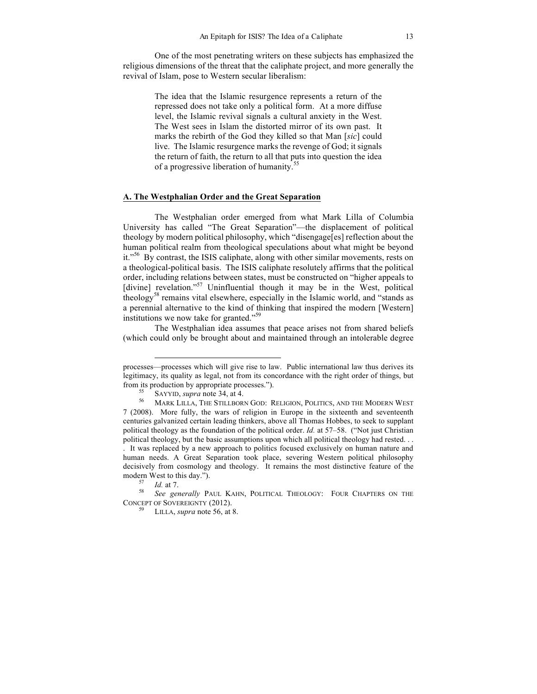One of the most penetrating writers on these subjects has emphasized the religious dimensions of the threat that the caliphate project, and more generally the revival of Islam, pose to Western secular liberalism:

> The idea that the Islamic resurgence represents a return of the repressed does not take only a political form. At a more diffuse level, the Islamic revival signals a cultural anxiety in the West. The West sees in Islam the distorted mirror of its own past. It marks the rebirth of the God they killed so that Man [*sic*] could live. The Islamic resurgence marks the revenge of God; it signals the return of faith, the return to all that puts into question the idea of a progressive liberation of humanity.<sup>5</sup>

### **A. The Westphalian Order and the Great Separation**

The Westphalian order emerged from what Mark Lilla of Columbia University has called "The Great Separation"—the displacement of political theology by modern political philosophy, which "disengage[es] reflection about the human political realm from theological speculations about what might be beyond it."<sup>56</sup> By contrast, the ISIS caliphate, along with other similar movements, rests on a theological-political basis. The ISIS caliphate resolutely affirms that the political order, including relations between states, must be constructed on "higher appeals to [divine] revelation."<sup>57</sup> Uninfluential though it may be in the West, political theology<sup>58</sup> remains vital elsewhere, especially in the Islamic world, and "stands as a perennial alternative to the kind of thinking that inspired the modern [Western] institutions we now take for granted."59

The Westphalian idea assumes that peace arises not from shared beliefs (which could only be brought about and maintained through an intolerable degree

. It was replaced by a new approach to politics focused exclusively on human nature and human needs. A Great Separation took place, severing Western political philosophy decisively from cosmology and theology. It remains the most distinctive feature of the modern West to this day.").<br><sup>57</sup> *Id.* at 7.<br><sup>58</sup> *See generally* PAUL KAHN, POLITICAL THEOLOGY: FOUR CHAPTERS ON THE

 $\overline{a}$ 

processes—processes which will give rise to law. Public international law thus derives its legitimacy, its quality as legal, not from its concordance with the right order of things, but from its production by appropriate processes.").<br><sup>55</sup> SAYYID, *supra* note 34, at 4.<br><sup>56</sup> MARK LILLA, THE STILLBORN GOD: RELIGION, POLITICS, AND THE MODERN WEST

<sup>7 (2008).</sup> More fully, the wars of religion in Europe in the sixteenth and seventeenth centuries galvanized certain leading thinkers, above all Thomas Hobbes, to seek to supplant political theology as the foundation of the political order. *Id.* at 57–58. ("Not just Christian") political theology, but the basic assumptions upon which all political theology had rested. . .

CONCEPT OF SOVEREIGNTY (2012). 59 LILLA, *supra* note 56, at 8.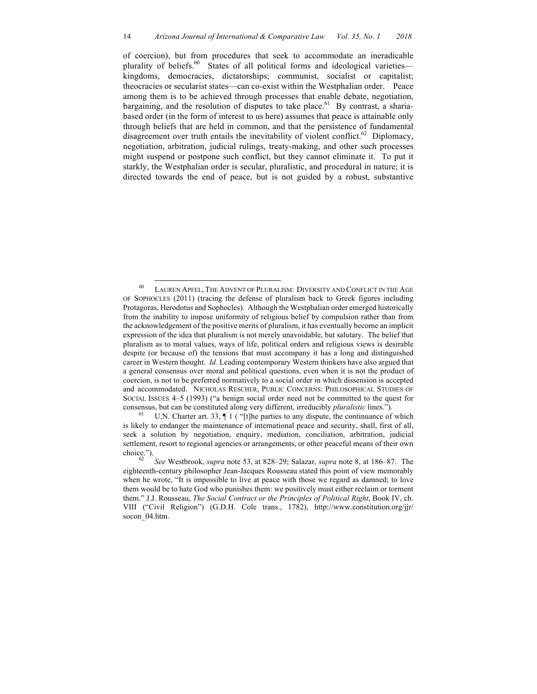of coercion), but from procedures that seek to accommodate an ineradicable plurality of beliefs.<sup>60</sup> States of all political forms and ideological varieties kingdoms, democracies, dictatorships; communist, socialist or capitalist; theocracies or secularist states—can co-exist within the Westphalian order. Peace among them is to be achieved through processes that enable debate, negotiation, bargaining, and the resolution of disputes to take place.<sup>61</sup> By contrast, a shariabased order (in the form of interest to us here) assumes that peace is attainable only through beliefs that are held in common, and that the persistence of fundamental disagreement over truth entails the inevitability of violent conflict.<sup>62</sup> Diplomacy, negotiation, arbitration, judicial rulings, treaty-making, and other such processes might suspend or postpone such conflict, but they cannot eliminate it. To put it starkly, the Westphalian order is secular, pluralistic, and procedural in nature; it is directed towards the end of peace, but is not guided by a robust, substantive

 <sup>60</sup> LAUREN APFEL, THE ADVENT OF PLURALISM: DIVERSITY AND CONFLICT IN THE AGE OF SOPHOCLES (2011) (tracing the defense of pluralism back to Greek figures including Protagoras, Herodotus and Sophocles). Although the Westphalian order emerged historically from the inability to impose uniformity of religious belief by compulsion rather than from the acknowledgement of the positive merits of pluralism, it has eventually become an implicit expression of the idea that pluralism is not merely unavoidable, but salutary. The belief that pluralism as to moral values, ways of life, political orders and religious views is desirable despite (or because of) the tensions that must accompany it has a long and distinguished career in Western thought. *Id.* Leading contemporary Western thinkers have also argued that a general consensus over moral and political questions, even when it is not the product of coercion, is not to be preferred normatively to a social order in which dissension is accepted and accommodated. NICHOLAS RESCHER, PUBLIC CONCERNS: PHILOSOPHICAL STUDIES OF SOCIAL ISSUES 4–5 (1993) ("a benign social order need not be committed to the quest for consensus, but can be constituted along very different, irreducibly *pluralistic* lines.").<br><sup>61</sup> U.N. Charter art. 33, ¶ 1 ( "[t]he parties to any dispute, the continuance of which

is likely to endanger the maintenance of international peace and security, shall, first of all, seek a solution by negotiation, enquiry, mediation, conciliation, arbitration, judicial settlement, resort to regional agencies or arrangements, or other peaceful means of their own choice."). <sup>62</sup> *See* Westbrook, *supra* note 53, at 828–29; Salazar, *supra* note 8, at 186–87. The

eighteenth-century philosopher Jean-Jacques Rousseau stated this point of view memorably when he wrote, "It is impossible to live at peace with those we regard as damned; to love them would be to hate God who punishes them: we positively must either reclaim or torment them." J.J. Rousseau, *The Social Contract or the Principles of Political Right*, Book IV, ch. VIII ("Civil Religion") (G.D.H. Cole trans., 1782), http://www.constitution.org/jjr/ socon\_04.htm.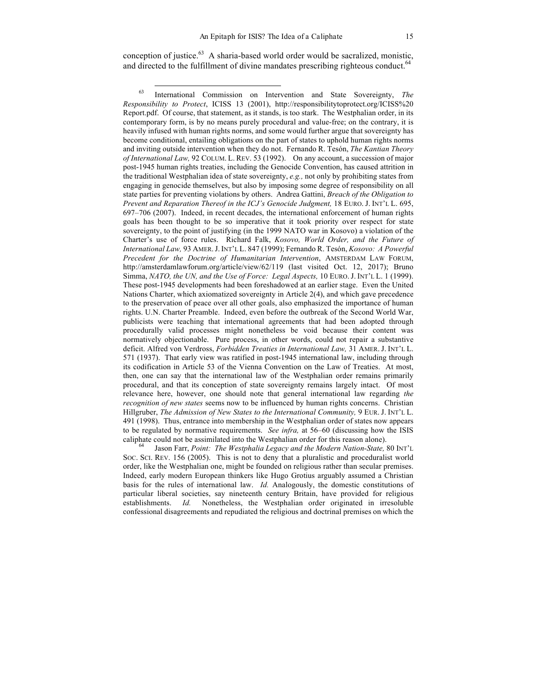conception of justice. $63$  A sharia-based world order would be sacralized, monistic, and directed to the fulfillment of divine mandates prescribing righteous conduct.<sup>64</sup>

SOC. SCI. REV. 156 (2005). This is not to deny that a pluralistic and proceduralist world order, like the Westphalian one, might be founded on religious rather than secular premises. Indeed, early modern European thinkers like Hugo Grotius arguably assumed a Christian basis for the rules of international law. *Id.* Analogously, the domestic constitutions of particular liberal societies, say nineteenth century Britain, have provided for religious establishments. *Id.* Nonetheless, the Westphalian order originated in irresoluble confessional disagreements and repudiated the religious and doctrinal premises on which the

 <sup>63</sup> International Commission on Intervention and State Sovereignty, *The Responsibility to Protect*, ICISS 13 (2001), http://responsibilitytoprotect.org/ICISS%20 Report.pdf. Of course, that statement, as it stands, is too stark. The Westphalian order, in its contemporary form, is by no means purely procedural and value-free; on the contrary, it is heavily infused with human rights norms, and some would further argue that sovereignty has become conditional, entailing obligations on the part of states to uphold human rights norms and inviting outside intervention when they do not. Fernando R. Tesón, *The Kantian Theory of International Law,* 92 COLUM. L. REV. 53 (1992). On any account, a succession of major post-1945 human rights treaties, including the Genocide Convention, has caused attrition in the traditional Westphalian idea of state sovereignty, *e.g.,* not only by prohibiting states from engaging in genocide themselves, but also by imposing some degree of responsibility on all state parties for preventing violations by others. Andrea Gattini, *Breach of the Obligation to Prevent and Reparation Thereof in the ICJ's Genocide Judgment,* 18 EURO. J. INT'L L. 695, 697–706 (2007). Indeed, in recent decades, the international enforcement of human rights goals has been thought to be so imperative that it took priority over respect for state sovereignty, to the point of justifying (in the 1999 NATO war in Kosovo) a violation of the Charter's use of force rules. Richard Falk, *Kosovo, World Order, and the Future of International Law,* 93 AMER.J.INT'L L. 847 (1999); Fernando R. Tesón, *Kosovo: A Powerful Precedent for the Doctrine of Humanitarian Intervention*, AMSTERDAM LAW FORUM, http://amsterdamlawforum.org/article/view/62/119 (last visited Oct. 12, 2017); Bruno Simma, *NATO, the UN, and the Use of Force: Legal Aspects*, 10 EURO. J. INT'L L. 1 (1999). These post-1945 developments had been foreshadowed at an earlier stage. Even the United Nations Charter, which axiomatized sovereignty in Article 2(4), and which gave precedence to the preservation of peace over all other goals, also emphasized the importance of human rights. U.N. Charter Preamble. Indeed, even before the outbreak of the Second World War, publicists were teaching that international agreements that had been adopted through procedurally valid processes might nonetheless be void because their content was normatively objectionable. Pure process, in other words, could not repair a substantive deficit. Alfred von Verdross, *Forbidden Treaties in International Law,* 31 AMER. J. INT'L L. 571 (1937). That early view was ratified in post-1945 international law, including through its codification in Article 53 of the Vienna Convention on the Law of Treaties. At most, then, one can say that the international law of the Westphalian order remains primarily procedural, and that its conception of state sovereignty remains largely intact. Of most relevance here, however, one should note that general international law regarding *the recognition of new states* seems now to be influenced by human rights concerns. Christian Hillgruber, *The Admission of New States to the International Community*, 9 EUR. J. INT'L L. 491 (1998). Thus, entrance into membership in the Westphalian order of states now appears to be regulated by normative requirements. *See infra,* at 56–60 (discussing how the ISIS caliphate could not be assimilated into the Westphalian order for this reason alone). 64 Jason Farr, *Point: The Westphalia Legacy and the Modern Nation-State,* 80 INT'L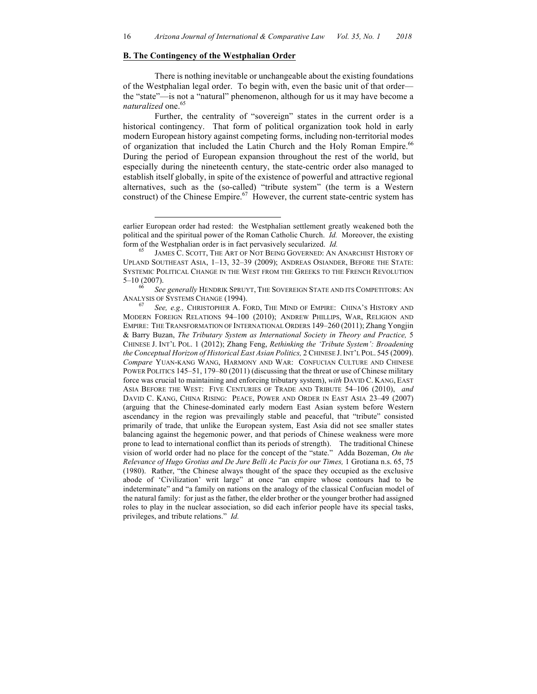### **B. The Contingency of the Westphalian Order**

 $\overline{a}$ 

There is nothing inevitable or unchangeable about the existing foundations of the Westphalian legal order. To begin with, even the basic unit of that order the "state"—is not a "natural" phenomenon, although for us it may have become a *naturalized* one.<sup>65</sup>

Further, the centrality of "sovereign" states in the current order is a historical contingency. That form of political organization took hold in early modern European history against competing forms, including non-territorial modes of organization that included the Latin Church and the Holy Roman Empire.<sup>66</sup> During the period of European expansion throughout the rest of the world, but especially during the nineteenth century, the state-centric order also managed to establish itself globally, in spite of the existence of powerful and attractive regional alternatives, such as the (so-called) "tribute system" (the term is a Western construct) of the Chinese Empire.<sup>67</sup> However, the current state-centric system has

See generally HENDRIK SPRUYT, THE SOVEREIGN STATE AND ITS COMPETITORS: AN ANALYSIS OF SYSTEMS CHANGE (1994). <sup>67</sup> *See, e.g.,* CHRISTOPHER A. FORD, THE MIND OF EMPIRE: CHINA'S HISTORY AND

earlier European order had rested: the Westphalian settlement greatly weakened both the political and the spiritual power of the Roman Catholic Church. *Id.* Moreover, the existing form of the Westphalian order is in fact pervasively secularized. *Id.* 65 JAMES C. SCOTT, THE ART OF NOT BEING GOVERNED: AN ANARCHIST HISTORY OF

UPLAND SOUTHEAST ASIA, 1–13, 32–39 (2009); ANDREAS OSIANDER, BEFORE THE STATE: SYSTEMIC POLITICAL CHANGE IN THE WEST FROM THE GREEKS TO THE FRENCH REVOLUTION 5–10 (2007).

MODERN FOREIGN RELATIONS 94–100 (2010); ANDREW PHILLIPS, WAR, RELIGION AND EMPIRE: THE TRANSFORMATION OF INTERNATIONAL ORDERS 149–260 (2011); Zhang Yongjin & Barry Buzan, *The Tributary System as International Society in Theory and Practice,* 5 CHINESE J. INT'L POL. 1 (2012); Zhang Feng, *Rethinking the 'Tribute System': Broadening the Conceptual Horizon of Historical East Asian Politics,* 2 CHINESE J.INT'L POL. 545 (2009). *Compare* YUAN-KANG WANG, HARMONY AND WAR: CONFUCIAN CULTURE AND CHINESE POWER POLITICS 145–51, 179–80 (2011) (discussing that the threat or use of Chinese military force was crucial to maintaining and enforcing tributary system), *with* DAVID C. KANG, EAST ASIA BEFORE THE WEST: FIVE CENTURIES OF TRADE AND TRIBUTE 54–106 (2010), *and* DAVID C. KANG, CHINA RISING: PEACE, POWER AND ORDER IN EAST ASIA 23–49 (2007) (arguing that the Chinese-dominated early modern East Asian system before Western ascendancy in the region was prevailingly stable and peaceful, that "tribute" consisted primarily of trade, that unlike the European system, East Asia did not see smaller states balancing against the hegemonic power, and that periods of Chinese weakness were more prone to lead to international conflict than its periods of strength). The traditional Chinese vision of world order had no place for the concept of the "state." Adda Bozeman, *On the Relevance of Hugo Grotius and De Jure Belli Ac Pacis for our Times,* 1 Grotiana n.s. 65, 75 (1980). Rather, "the Chinese always thought of the space they occupied as the exclusive abode of 'Civilization' writ large" at once "an empire whose contours had to be indeterminate" and "a family on nations on the analogy of the classical Confucian model of the natural family: for just as the father, the elder brother or the younger brother had assigned roles to play in the nuclear association, so did each inferior people have its special tasks, privileges, and tribute relations." *Id.*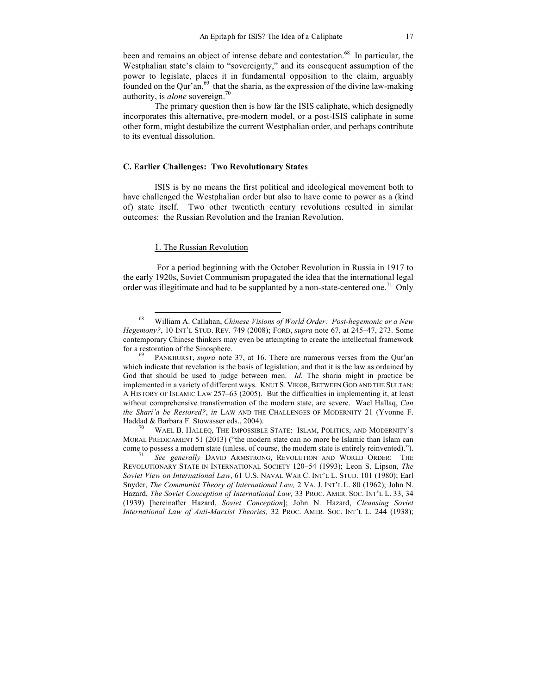been and remains an object of intense debate and contestation.<sup>68</sup> In particular, the Westphalian state's claim to "sovereignty," and its consequent assumption of the power to legislate, places it in fundamental opposition to the claim, arguably founded on the Qur'an, $69$  that the sharia, as the expression of the divine law-making authority, is *alone* sovereign. 70

The primary question then is how far the ISIS caliphate, which designedly incorporates this alternative, pre-modern model, or a post-ISIS caliphate in some other form, might destabilize the current Westphalian order, and perhaps contribute to its eventual dissolution.

### **C. Earlier Challenges: Two Revolutionary States**

ISIS is by no means the first political and ideological movement both to have challenged the Westphalian order but also to have come to power as a (kind of) state itself. Two other twentieth century revolutions resulted in similar outcomes: the Russian Revolution and the Iranian Revolution.

### 1. The Russian Revolution

For a period beginning with the October Revolution in Russia in 1917 to the early 1920s, Soviet Communism propagated the idea that the international legal order was illegitimate and had to be supplanted by a non-state-centered one.<sup>71</sup> Only

MORAL PREDICAMENT 51 (2013) ("the modern state can no more be Islamic than Islam can come to possess a modern state (unless, of course, the modern state is entirely reinvented)."). 71 *See generally* DAVID ARMSTRONG, REVOLUTION AND WORLD ORDER: THE

REVOLUTIONARY STATE IN INTERNATIONAL SOCIETY 120–54 (1993); Leon S. Lipson, *The Soviet View on International Law*, 61 U.S. NAVAL WAR C. INT'L L. STUD. 101 (1980); Earl Snyder, *The Communist Theory of International Law,* 2 VA. J. INT'L L. 80 (1962); John N. Hazard, *The Soviet Conception of International Law,* 33 PROC. AMER. SOC. INT'L L. 33, 34 (1939) [hereinafter Hazard, *Soviet Conception*]; John N. Hazard, *Cleansing Soviet International Law of Anti-Marxist Theories,* 32 PROC. AMER. SOC. INT'L L. 244 (1938);

 <sup>68</sup> William A. Callahan, *Chinese Visions of World Order: Post-hegemonic or a New Hegemony?*, 10 INT'L STUD. REV. 749 (2008); FORD, *supra* note 67, at 245–47, 273. Some contemporary Chinese thinkers may even be attempting to create the intellectual framework

for a restoration of the Sinosphere. 69 PANKHURST, *supra* note 37, at 16. There are numerous verses from the Qur'an which indicate that revelation is the basis of legislation, and that it is the law as ordained by God that should be used to judge between men. *Id.* The sharia might in practice be implemented in a variety of different ways. KNUT S. VIKØR, BETWEEN GOD AND THE SULTAN: A HISTORY OF ISLAMIC LAW 257–63 (2005). But the difficulties in implementing it, at least without comprehensive transformation of the modern state, are severe. Wael Hallaq, *Can the Shari'a be Restored?*, *in* LAW AND THE CHALLENGES OF MODERNITY 21 (Yvonne F. Haddad & Barbara F. Stowasser eds., 2004). The IMPOSSIBLE STATE: ISLAM, POLITICS, AND MODERNITY'S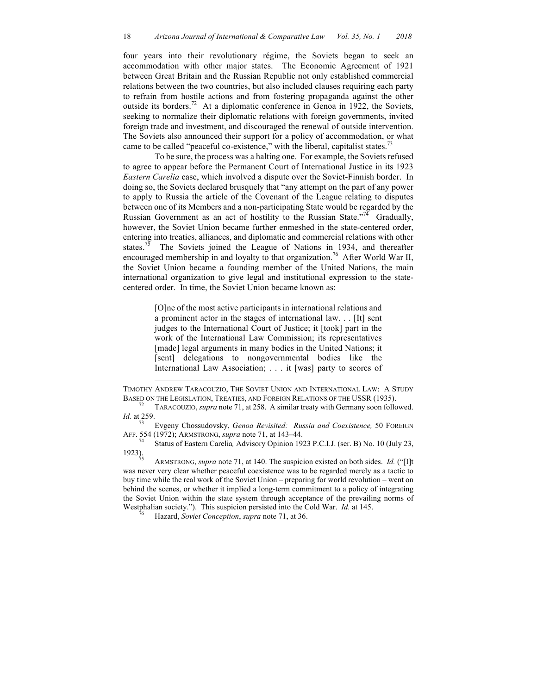four years into their revolutionary régime, the Soviets began to seek an accommodation with other major states. The Economic Agreement of 1921 between Great Britain and the Russian Republic not only established commercial relations between the two countries, but also included clauses requiring each party to refrain from hostile actions and from fostering propaganda against the other outside its borders.<sup>72</sup> At a diplomatic conference in Genoa in 1922, the Soviets, seeking to normalize their diplomatic relations with foreign governments, invited foreign trade and investment, and discouraged the renewal of outside intervention. The Soviets also announced their support for a policy of accommodation, or what came to be called "peaceful co-existence," with the liberal, capitalist states.<sup>73</sup>

To be sure, the process was a halting one. For example, the Soviets refused to agree to appear before the Permanent Court of International Justice in its 1923 *Eastern Carelia* case, which involved a dispute over the Soviet-Finnish border. In doing so, the Soviets declared brusquely that "any attempt on the part of any power to apply to Russia the article of the Covenant of the League relating to disputes between one of its Members and a non-participating State would be regarded by the Russian Government as an act of hostility to the Russian State."<sup>74</sup> Gradually, however, the Soviet Union became further enmeshed in the state-centered order, entering into treaties, alliances, and diplomatic and commercial relations with other states.<sup>75</sup> The Soviets joined the League of Nations in 1934, and thereafter encouraged membership in and loyalty to that organization.<sup>76</sup> After World War II, the Soviet Union became a founding member of the United Nations, the main international organization to give legal and institutional expression to the statecentered order. In time, the Soviet Union became known as:

> [O]ne of the most active participants in international relations and a prominent actor in the stages of international law. . . [It] sent judges to the International Court of Justice; it [took] part in the work of the International Law Commission; its representatives [made] legal arguments in many bodies in the United Nations; it [sent] delegations to nongovernmental bodies like the International Law Association; . . . it [was] party to scores of

 $\overline{a}$ 

TIMOTHY ANDREW TARACOUZIO, THE SOVIET UNION AND INTERNATIONAL LAW: A STUDY BASED ON THE LEGISLATION, TREATIES, AND FOREIGN RELATIONS OF THE USSR (1935). <sup>72</sup> TARACOUZIO, *supra* note 71, at 258. A similar treaty with Germany soon followed.

*Id.* at 259.

<sup>73</sup> Evgeny Chossudovsky, *Genoa Revisited: Russia and Coexistence,* 50 FOREIGN

AFF. 554 (1972); ARMSTRONG, *supra* note 71, at 143–44.<br>
Status of Eastern Carelia, Advisory Opinion 1923 P.C.I.J. (ser. B) No. 10 (July 23, 1923).

ARMSTRONG, *supra* note 71, at 140. The suspicion existed on both sides. *Id.* ("[I]t was never very clear whether peaceful coexistence was to be regarded merely as a tactic to buy time while the real work of the Soviet Union – preparing for world revolution – went on behind the scenes, or whether it implied a long-term commitment to a policy of integrating the Soviet Union within the state system through acceptance of the prevailing norms of Westphalian society."). This suspicion persisted into the Cold War. *Id.* at 145. <sup>76</sup> Hazard, *Soviet Conception*, *supra* note 71, at 36.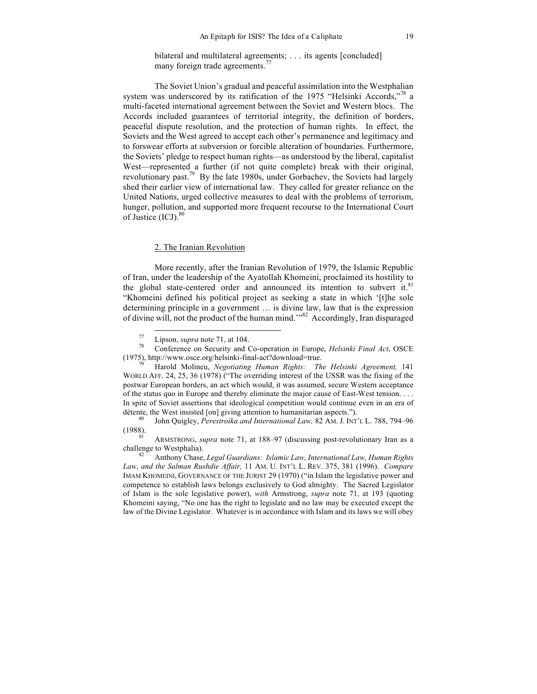bilateral and multilateral agreements; . . . its agents [concluded] many foreign trade agreements.<sup>77</sup>

The Soviet Union's gradual and peaceful assimilation into the Westphalian system was underscored by its ratification of the 1975 "Helsinki Accords,"<sup>78</sup> a multi-faceted international agreement between the Soviet and Western blocs. The Accords included guarantees of territorial integrity, the definition of borders, peaceful dispute resolution, and the protection of human rights. In effect, the Soviets and the West agreed to accept each other's permanence and legitimacy and to forswear efforts at subversion or forcible alteration of boundaries. Furthermore, the Soviets' pledge to respect human rights—as understood by the liberal, capitalist West—represented a further (if not quite complete) break with their original, revolutionary past.<sup>79</sup> By the late 1980s, under Gorbachev, the Soviets had largely shed their earlier view of international law. They called for greater reliance on the United Nations, urged collective measures to deal with the problems of terrorism, hunger, pollution, and supported more frequent recourse to the International Court of Justice (ICJ).<sup>80</sup>

### 2. The Iranian Revolution

More recently, after the Iranian Revolution of 1979, the Islamic Republic of Iran, under the leadership of the Ayatollah Khomeini, proclaimed its hostility to the global state-centered order and announced its intention to subvert it.<sup>81</sup> "Khomeini defined his political project as seeking a state in which '[t]he sole determining principle in a government … is divine law, law that is the expression of divine will, not the product of the human mind.'"82 Accordingly, Iran disparaged

<sup>77</sup> Lipson, *supra* note 71, at 104. <sup>78</sup> Conference on Security and Co-operation in Europe, *Helsinki Final Act*, OSCE (1975), http://www.osce.org/helsinki-final-act?download=true. 79 Harold Molineu, *Negotiating Human Rights: The Helsinki Agreement,* <sup>141</sup>

WORLD AFF. 24, 25, 36 (1978) ("The overriding interest of the USSR was the fixing of the postwar European borders, an act which would, it was assumed, secure Western acceptance of the status quo in Europe and thereby eliminate the major cause of East-West tension. . . . In spite of Soviet assertions that ideological competition would continue even in an era of

détente, the West insisted [on] giving attention to humanitarian aspects.").<br><sup>80</sup> John Quigley, *Perestroika and International Law*, 82 AM. J. INT'L L. 788, 794–96<br>(1988).

ARMSTRONG, *supra* note 71, at 188–97 (discussing post-revolutionary Iran as a challenge to Westphalia). <sup>82</sup> Anthony Chase, *Legal Guardians: Islamic Law, International Law, Human Rights* 

*Law, and the Salman Rushdie Affair,* 11 AM. U. INT'L L. REV. 375, 381 (1996). *Compare*  IMAM KHOMEINI, GOVERNANCE OF THE JURIST 29 (1970) ("in Islam the legislative power and competence to establish laws belongs exclusively to God almighty. The Sacred Legislator of Islam is the sole legislative power), *with* Armstrong, *supra* note 71, at 193 (quoting Khomeini saying, "No one has the right to legislate and no law may be executed except the law of the Divine Legislator. Whatever is in accordance with Islam and its laws we will obey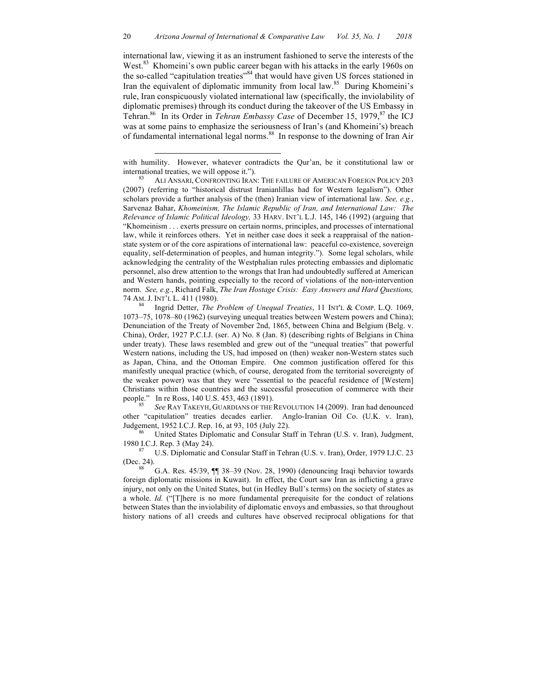international law, viewing it as an instrument fashioned to serve the interests of the West.<sup>83</sup> Khomeini's own public career began with his attacks in the early 1960s on the so-called "capitulation treaties"<sup>84</sup> that would have given US forces stationed in Iran the equivalent of diplomatic immunity from local law.<sup>85</sup> During Khomeini's rule, Iran conspicuously violated international law (specifically, the inviolability of diplomatic premises) through its conduct during the takeover of the US Embassy in Tehran.<sup>86</sup> In its Order in *Tehran Embassy Case* of December 15, 1979,<sup>87</sup> the ICJ was at some pains to emphasize the seriousness of Iran's (and Khomeini's) breach of fundamental international legal norms.<sup>88</sup> In response to the downing of Iran Air

 $\overline{a}$ 

other "capitulation" treaties decades earlier. Anglo-Iranian Oil Co. (U.K. v. Iran), Judgement, 1952 I.C.J. Rep. 16, at 93, 105 (July 22).<br><sup>86</sup> United States Diplomatic and Consular Staff in Tehran (U.S. v. Iran), Judgment,

1980 I.C.J. Rep. 3 (May 24).

U.S. Diplomatic and Consular Staff in Tehran (U.S. v. Iran), Order, 1979 I.J.C. 23 (Dec. 24). <sup>88</sup> G.A. Res. 45/39, ¶¶ 38–39 (Nov. 28, 1990) (denouncing Iraqi behavior towards

foreign diplomatic missions in Kuwait). In effect, the Court saw Iran as inflicting a grave injury, not only on the United States, but (in Hedley Bull's terms) on the society of states as a whole. *Id.* ("[T]here is no more fundamental prerequisite for the conduct of relations between States than the inviolability of diplomatic envoys and embassies, so that throughout history nations of al1 creeds and cultures have observed reciprocal obligations for that

with humility. However, whatever contradicts the Qur'an, be it constitutional law or international treaties, we will oppose it.").<br><sup>83</sup> ALI ANSARI, CONFRONTING IRAN: THE FAILURE OF AMERICAN FOREIGN POLICY 203

<sup>(2007) (</sup>referring to "historical distrust Iranianlillas had for Western legalism"). Other scholars provide a further analysis of the (then) Iranian view of international law. *See, e.g.*, Sarvenaz Bahar, *Khomeinism, The Islamic Republic of Iran, and International Law: The Relevance of Islamic Political Ideology,* 33 HARV. INT'L L.J. 145, 146 (1992) (arguing that "Khomeinism . . . exerts pressure on certain norms, principles, and processes of international law, while it reinforces others. Yet in neither case does it seek a reappraisal of the nationstate system or of the core aspirations of international law: peaceful co-existence, sovereign equality, self-determination of peoples, and human integrity."). Some legal scholars, while acknowledging the centrality of the Westphalian rules protecting embassies and diplomatic personnel, also drew attention to the wrongs that Iran had undoubtedly suffered at American and Western hands, pointing especially to the record of violations of the non-intervention norm. *See, e.g.*, Richard Falk, *The Iran Hostage Crisis: Easy Answers and Hard Questions,* 74 AM. J. INT'L L. 411 (1980). <sup>84</sup> Ingrid Detter, *The Problem of Unequal Treaties*, 11 INT'L & COMP. L.Q. 1069,

<sup>1073–75, 1078–80 (1962) (</sup>surveying unequal treaties between Western powers and China); Denunciation of the Treaty of November 2nd, 1865, between China and Belgium (Belg. v. China), Order, 1927 P.C.I.J. (ser. A) No. 8 (Jan. 8) (describing rights of Belgians in China under treaty). These laws resembled and grew out of the "unequal treaties" that powerful Western nations, including the US, had imposed on (then) weaker non-Western states such as Japan, China, and the Ottoman Empire. One common justification offered for this manifestly unequal practice (which, of course, derogated from the territorial sovereignty of the weaker power) was that they were "essential to the peaceful residence of [Western] Christians within those countries and the successful prosecution of commerce with their people." In re Ross, 140 U.S. 453, 463 (1891).<br><sup>85</sup> *See* RAY TAKEYH, GUARDIANS OF THE REVOLUTION 14 (2009). Iran had denounced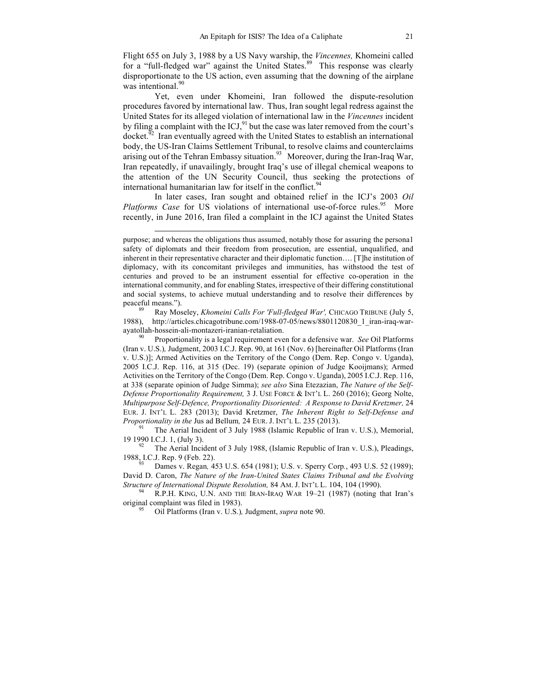Flight 655 on July 3, 1988 by a US Navy warship, the *Vincennes,* Khomeini called for a "full-fledged war" against the United States. <sup>89</sup> This response was clearly disproportionate to the US action, even assuming that the downing of the airplane was intentional.<sup>90</sup>

Yet, even under Khomeini, Iran followed the dispute-resolution procedures favored by international law. Thus, Iran sought legal redress against the United States for its alleged violation of international law in the *Vincennes* incident by filing a complaint with the ICJ,<sup>91</sup> but the case was later removed from the court's  $\frac{3}{2}$  Iran eventually agreed with the United States to establish an international body, the US-Iran Claims Settlement Tribunal, to resolve claims and counterclaims arising out of the Tehran Embassy situation.<sup>93</sup> Moreover, during the Iran-Iraq War, Iran repeatedly, if unavailingly, brought Iraq's use of illegal chemical weapons to the attention of the UN Security Council, thus seeking the protections of international humanitarian law for itself in the conflict. $94$ 

In later cases, Iran sought and obtained relief in the ICJ's 2003 *Oil Platforms Case* for US violations of international use-of-force rules.<sup>95</sup> More recently, in June 2016, Iran filed a complaint in the ICJ against the United States

 $\overline{a}$ 

1988), http://articles.chicagotribune.com/1988-07-05/news/8801120830\_1\_iran-iraq-warayatollah-hossein-ali-montazeri-iranian-retaliation. <sup>90</sup> Proportionality is a legal requirement even for a defensive war. *See* Oil Platforms

(Iran v. U.S.)*,* Judgment, 2003 I.C.J. Rep. 90, at 161 (Nov. 6) [hereinafter Oil Platforms (Iran v. U.S.)]; Armed Activities on the Territory of the Congo (Dem. Rep. Congo v. Uganda), 2005 I.C.J. Rep. 116, at 315 (Dec. 19) (separate opinion of Judge Kooijmans); Armed Activities on the Territory of the Congo (Dem. Rep. Congo v. Uganda), 2005 I.C.J. Rep. 116, at 338 (separate opinion of Judge Simma); *see also* Sina Etezazian, *The Nature of the Self-Defense Proportionality Requirement,* 3 J. USE FORCE & INT'L L. 260 (2016); Georg Nolte, *Multipurpose Self-Defence, Proportionality Disoriented: A Response to David Kretzmer,* 24 EUR. J. INT'L L. 283 (2013); David Kretzmer, *The Inherent Right to Self-Defense and* 

The Aerial Incident of 3 July 1988 (Islamic Republic of Iran v. U.S.), Memorial, 19 1990 I.C.J. 1, (July 3). The Aerial Incident of 3 July 1988, (Islamic Republic of Iran v. U.S.), Pleadings,

1988, I.C.J. Rep. 9 (Feb. 22).<br><sup>93</sup> Dames v. Regan, 453 U.S. 654 (1981); U.S. v. Sperry Corp., 493 U.S. 52 (1989);

David D. Caron, *The Nature of the Iran-United States Claims Tribunal and the Evolving* 

*Structure of International Dispute Resolution,* <sup>84</sup> AM. J. INT'L L. 104, 104 (1990). <sup>94</sup> R.P.H. KING, U.N. AND THE IRAN-IRAQ WAR 19–21 (1987) (noting that Iran's original complaint was filed in 1983). 95 Oil Platforms (Iran v. U.S.)*,* Judgment, *supra* note 90.

purpose; and whereas the obligations thus assumed, notably those for assuring the persona1 safety of diplomats and their freedom from prosecution, are essential, unqualified, and inherent in their representative character and their diplomatic function…. [T]he institution of diplomacy, with its concomitant privileges and immunities, has withstood the test of centuries and proved to be an instrument essential for effective co-operation in the international community, and for enabling States, irrespective of their differing constitutional and social systems, to achieve mutual understanding and to resolve their differences by peaceful means.").<br><sup>89</sup> Ray Moseley, *Khomeini Calls For 'Full-fledged War'*, CHICAGO TRIBUNE (July 5,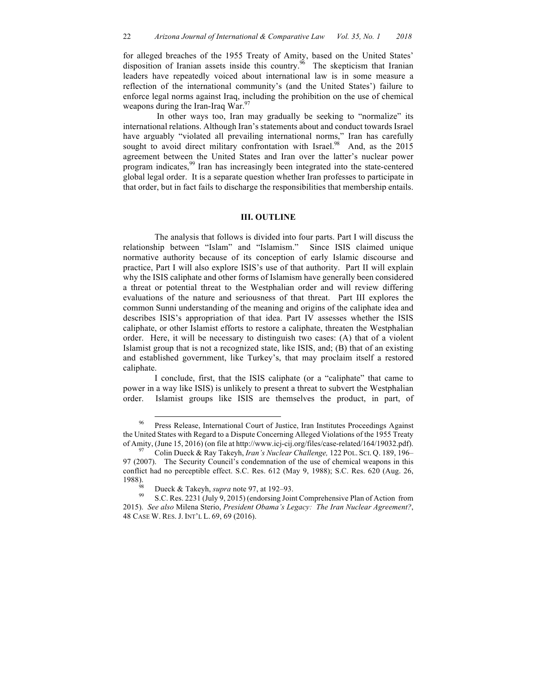for alleged breaches of the 1955 Treaty of Amity, based on the United States' disposition of Iranian assets inside this country.<sup>96</sup> The skepticism that Iranian leaders have repeatedly voiced about international law is in some measure a reflection of the international community's (and the United States') failure to enforce legal norms against Iraq, including the prohibition on the use of chemical weapons during the Iran-Iraq War.<sup>97</sup>

In other ways too, Iran may gradually be seeking to "normalize" its international relations. Although Iran's statements about and conduct towards Israel have arguably "violated all prevailing international norms," Iran has carefully sought to avoid direct military confrontation with Israel.<sup>98</sup> And, as the 2015 agreement between the United States and Iran over the latter's nuclear power program indicates,<sup>99</sup> Iran has increasingly been integrated into the state-centered global legal order. It is a separate question whether Iran professes to participate in that order, but in fact fails to discharge the responsibilities that membership entails.

### **III. OUTLINE**

The analysis that follows is divided into four parts. Part I will discuss the relationship between "Islam" and "Islamism." Since ISIS claimed unique normative authority because of its conception of early Islamic discourse and practice, Part I will also explore ISIS's use of that authority. Part II will explain why the ISIS caliphate and other forms of Islamism have generally been considered a threat or potential threat to the Westphalian order and will review differing evaluations of the nature and seriousness of that threat. Part III explores the common Sunni understanding of the meaning and origins of the caliphate idea and describes ISIS's appropriation of that idea. Part IV assesses whether the ISIS caliphate, or other Islamist efforts to restore a caliphate, threaten the Westphalian order. Here, it will be necessary to distinguish two cases: (A) that of a violent Islamist group that is not a recognized state, like ISIS, and; (B) that of an existing and established government, like Turkey's, that may proclaim itself a restored caliphate.

I conclude, first, that the ISIS caliphate (or a "caliphate" that came to power in a way like ISIS) is unlikely to present a threat to subvert the Westphalian order. Islamist groups like ISIS are themselves the product, in part, of

 <sup>96</sup> Press Release, International Court of Justice, Iran Institutes Proceedings Against the United States with Regard to a Dispute Concerning Alleged Violations of the 1955 Treaty of Amity, (June 15, 2016) (on file at http://www.icj-cij.org/files/case-related/164/19032.pdf). 97 Colin Dueck & Ray Takeyh, *Iran's Nuclear Challenge,* 122 POL. SCI. Q. 189, 196–

<sup>97 (2007).</sup> The Security Council's condemnation of the use of chemical weapons in this conflict had no perceptible effect. S.C. Res. 612 (May 9, 1988); S.C. Res. 620 (Aug. 26, 1988).

<sup>&</sup>lt;sup>98</sup> Dueck & Takeyh, *supra* note 97, at 192–93.<br><sup>99</sup> S.C. Res. 2231 (July 9, 2015) (endorsing Joint Comprehensive Plan of Action from 2015). *See also* Milena Sterio, *President Obama's Legacy: The Iran Nuclear Agreement?*, 48 CASE W. RES. J. INT'L L. 69, 69 (2016).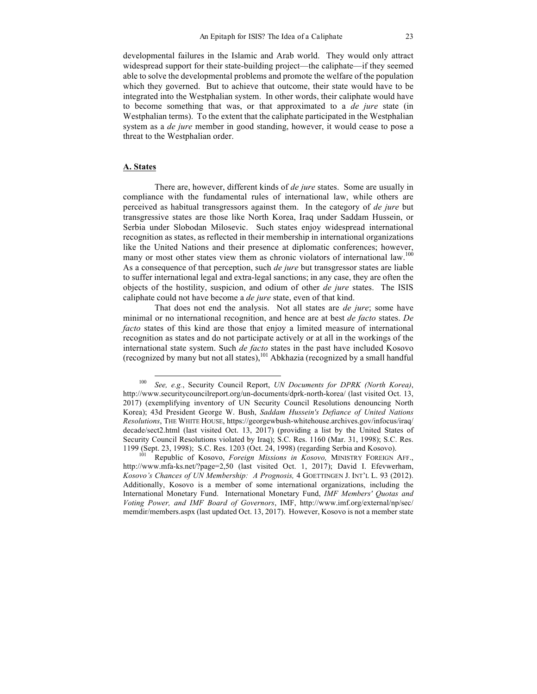developmental failures in the Islamic and Arab world. They would only attract widespread support for their state-building project—the caliphate—if they seemed able to solve the developmental problems and promote the welfare of the population which they governed. But to achieve that outcome, their state would have to be integrated into the Westphalian system. In other words, their caliphate would have to become something that was, or that approximated to a *de jure* state (in Westphalian terms). To the extent that the caliphate participated in the Westphalian system as a *de jure* member in good standing, however, it would cease to pose a threat to the Westphalian order.

### **A. States**

There are, however, different kinds of *de jure* states. Some are usually in compliance with the fundamental rules of international law, while others are perceived as habitual transgressors against them. In the category of *de jure* but transgressive states are those like North Korea, Iraq under Saddam Hussein, or Serbia under Slobodan Milosevic. Such states enjoy widespread international recognition as states, as reflected in their membership in international organizations like the United Nations and their presence at diplomatic conferences; however, many or most other states view them as chronic violators of international law.<sup>100</sup> As a consequence of that perception, such *de jure* but transgressor states are liable to suffer international legal and extra-legal sanctions; in any case, they are often the objects of the hostility, suspicion, and odium of other *de jure* states. The ISIS caliphate could not have become a *de jure* state, even of that kind.

That does not end the analysis. Not all states are *de jure*; some have minimal or no international recognition, and hence are at best *de facto* states. *De facto* states of this kind are those that enjoy a limited measure of international recognition as states and do not participate actively or at all in the workings of the international state system. Such *de facto* states in the past have included Kosovo (recognized by many but not all states), <sup>101</sup> Abkhazia (recognized by a small handful

 <sup>100</sup> *See, e.g.*, Security Council Report, *UN Documents for DPRK (North Korea)*, http://www.securitycouncilreport.org/un-documents/dprk-north-korea/ (last visited Oct. 13, 2017) (exemplifying inventory of UN Security Council Resolutions denouncing North Korea); 43d President George W. Bush, *Saddam Hussein's Defiance of United Nations Resolutions*, THE WHITE HOUSE, https://georgewbush-whitehouse.archives.gov/infocus/iraq/ decade/sect2.html (last visited Oct. 13, 2017) (providing a list by the United States of Security Council Resolutions violated by Iraq); S.C. Res. 1160 (Mar. 31, 1998); S.C. Res. 1199 (Sept. 23, 1998); S.C. Res. 1203 (Oct. 24, 1998) (regarding Serbia and Kosovo). 101 Republic of Kosovo, *Foreign Missions in Kosovo,* MINISTRY FOREIGN AFF.,

http://www.mfa-ks.net/?page=2,50 (last visited Oct. 1, 2017); David I. Efevwerham, *Kosovo's Chances of UN Membership: A Prognosis,* 4 GOETTINGEN J. INT'L L. 93 (2012). Additionally, Kosovo is a member of some international organizations, including the International Monetary Fund. International Monetary Fund, *IMF Members' Quotas and Voting Power, and IMF Board of Governors*, IMF, http://www.imf.org/external/np/sec/ memdir/members.aspx (last updated Oct. 13, 2017). However, Kosovo is not a member state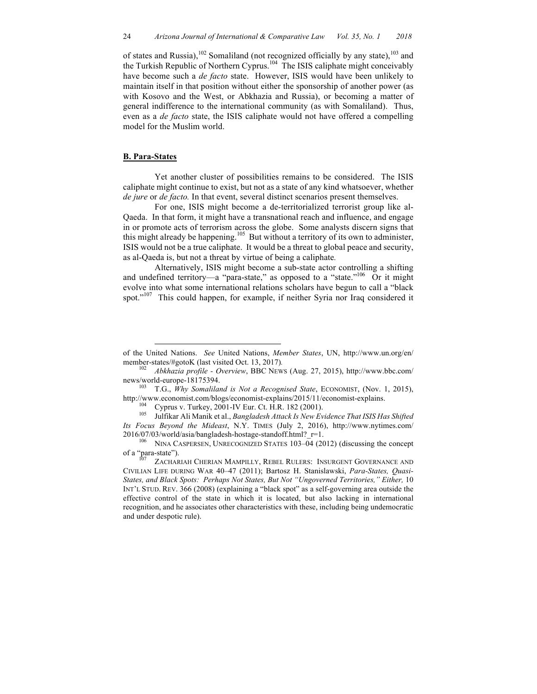of states and Russia),  $^{102}$  Somaliland (not recognized officially by any state),  $^{103}$  and the Turkish Republic of Northern Cyprus.<sup>104</sup> The ISIS caliphate might conceivably have become such a *de facto* state. However, ISIS would have been unlikely to maintain itself in that position without either the sponsorship of another power (as with Kosovo and the West, or Abkhazia and Russia), or becoming a matter of general indifference to the international community (as with Somaliland). Thus, even as a *de facto* state, the ISIS caliphate would not have offered a compelling model for the Muslim world.

#### **B. Para-States**

 $\overline{a}$ 

Yet another cluster of possibilities remains to be considered. The ISIS caliphate might continue to exist, but not as a state of any kind whatsoever, whether *de jure* or *de facto.* In that event, several distinct scenarios present themselves.

For one, ISIS might become a de-territorialized terrorist group like al-Qaeda. In that form, it might have a transnational reach and influence, and engage in or promote acts of terrorism across the globe. Some analysts discern signs that this might already be happening.<sup>105</sup> But without a territory of its own to administer, ISIS would not be a true caliphate. It would be a threat to global peace and security, as al-Qaeda is, but not a threat by virtue of being a caliphate*.*

Alternatively, ISIS might become a sub-state actor controlling a shifting and undefined territory—a "para-state," as opposed to a "state."<sup>106</sup> Or it might evolve into what some international relations scholars have begun to call a "black spot."<sup>107</sup> This could happen, for example, if neither Syria nor Iraq considered it

of the United Nations. *See* United Nations, *Member States*, UN, http://www.un.org/en/ member-states/#gotoK (last visited Oct. 13, 2017).<br><sup>102</sup> *Abkhazia profile - Overview*, BBC NEWS (Aug. 27, 2015), http://www.bbc.com/

news/world-europe-18175394.<br><sup>103</sup> T.G., *Why Somaliland is Not a Recognised State*, ECONOMIST, (Nov. 1, 2015),

http://www.economist.com/blogs/economist-explains/2015/11/economist-explains.<br>Cyprus v. Turkey, 2001-IV Eur. Ct. H.R. 182 (2001).<br>Julfikar Ali Manik et al., *Bangladesh Attack Is New Evidence That ISIS Has Shifted* 

*Its Focus Beyond the Mideast*, N.Y. TIMES (July 2, 2016), http://www.nytimes.com/ 2016/07/03/world/asia/bangladesh-hostage-standoff.html?\_r=1.<br><sup>106</sup> NINA CASPERSEN, UNRECOGNIZED STATES 103–04 (2012) (discussing the concept

of a "para-state").<br><sup>107</sup> ZACHARIAH CHERIAN MAMPILLY, REBEL RULERS: INSURGENT GOVERNANCE AND

CIVILIAN LIFE DURING WAR 40–47 (2011); Bartosz H. Stanislawski, *Para-States, Quasi-States, and Black Spots: Perhaps Not States, But Not "Ungoverned Territories," Either,* 10 INT'L STUD. REV. 366 (2008) (explaining a "black spot" as a self-governing area outside the effective control of the state in which it is located, but also lacking in international recognition, and he associates other characteristics with these, including being undemocratic and under despotic rule).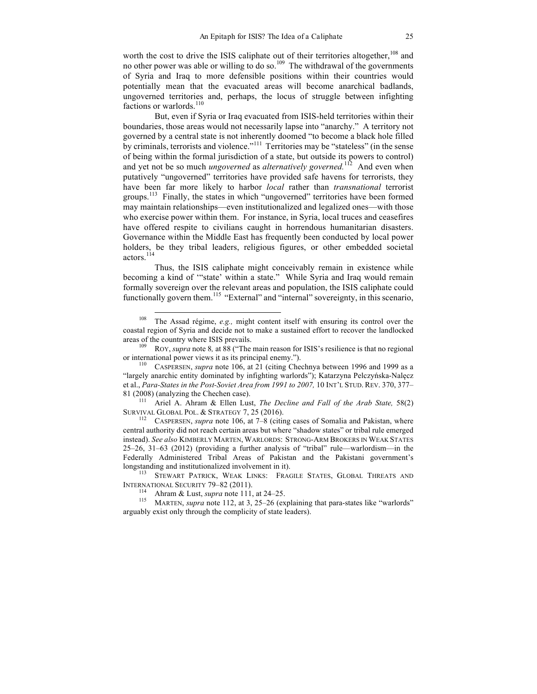worth the cost to drive the ISIS caliphate out of their territories altogether,  $^{108}$  and no other power was able or willing to do so.<sup>109</sup> The withdrawal of the governments of Syria and Iraq to more defensible positions within their countries would potentially mean that the evacuated areas will become anarchical badlands, ungoverned territories and, perhaps, the locus of struggle between infighting factions or warlords.<sup>110</sup>

But, even if Syria or Iraq evacuated from ISIS-held territories within their boundaries, those areas would not necessarily lapse into "anarchy." A territory not governed by a central state is not inherently doomed "to become a black hole filled by criminals, terrorists and violence.<sup>"111</sup> Territories may be "stateless" (in the sense of being within the formal jurisdiction of a state, but outside its powers to control) and yet not be so much *ungoverned* as *alternatively governed*.<sup>112</sup> And even when putatively "ungoverned" territories have provided safe havens for terrorists, they have been far more likely to harbor *local* rather than *transnational* terrorist groups.<sup>113</sup> Finally, the states in which "ungoverned" territories have been formed may maintain relationships—even institutionalized and legalized ones—with those who exercise power within them. For instance, in Syria, local truces and ceasefires have offered respite to civilians caught in horrendous humanitarian disasters. Governance within the Middle East has frequently been conducted by local power holders, be they tribal leaders, religious figures, or other embedded societal actors.<sup>114</sup>

Thus, the ISIS caliphate might conceivably remain in existence while becoming a kind of '"state' within a state." While Syria and Iraq would remain formally sovereign over the relevant areas and population, the ISIS caliphate could functionally govern them.<sup>115</sup> "External" and "internal" sovereignty, in this scenario,

 <sup>108</sup> The Assad régime, *e.g.,* might content itself with ensuring its control over the coastal region of Syria and decide not to make a sustained effort to recover the landlocked

areas of the country where ISIS prevails.<br><sup>109</sup> ROY, *supra* note 8, at 88 ("The main reason for ISIS's resilience is that no regional or international power views it as its principal enemy.").

<sup>&</sup>lt;sup>110</sup> CASPERSEN, *supra* note 106, at 21 (citing Chechnya between 1996 and 1999 as a "largely anarchic entity dominated by infighting warlords"); Katarzyna Pelczyńska-Nalęcz et al., *Para-States in the Post-Soviet Area from 1991 to 2007,* 10 INT'L STUD. REV. 370, 377– 81 (2008) (analyzing the Chechen case). <sup>111</sup> Ariel A. Ahram & Ellen Lust, *The Decline and Fall of the Arab State,* 58(2)

SURVIVAL GLOBAL POL. & STRATEGY 7, 25 (2016). <sup>112</sup> CASPERSEN, *supra* note 106, at 7–8 (citing cases of Somalia and Pakistan, where

central authority did not reach certain areas but where "shadow states" or tribal rule emerged instead). *See also* KIMBERLY MARTEN, WARLORDS: STRONG-ARM BROKERS IN WEAK STATES 25–26, 31–63 (2012) (providing a further analysis of "tribal" rule—warlordism—in the Federally Administered Tribal Areas of Pakistan and the Pakistani government's longstanding and institutionalized involvement in it). 113 STEWART PATRICK, WEAK LINKS: FRAGILE STATES, GLOBAL THREATS AND

INTERNATIONAL SECURITY 79–82 (2011).<br><sup>114</sup> Ahram & Lust, *supra* note 111, at 24–25.<br><sup>115</sup> MARTEN, *supra* note 112, at 3, 25–26 (explaining that para-states like "warlords"

arguably exist only through the complicity of state leaders).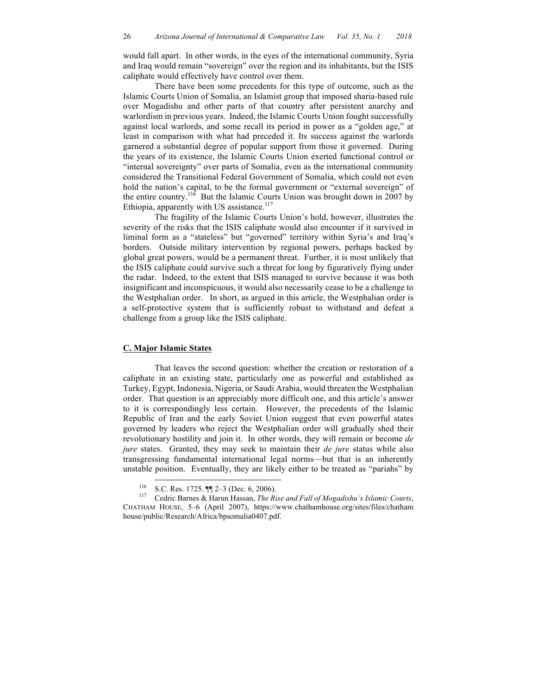would fall apart. In other words, in the eyes of the international community, Syria and Iraq would remain "sovereign" over the region and its inhabitants, but the ISIS caliphate would effectively have control over them.

There have been some precedents for this type of outcome, such as the Islamic Courts Union of Somalia, an Islamist group that imposed sharia-based rule over Mogadishu and other parts of that country after persistent anarchy and warlordism in previous years. Indeed, the Islamic Courts Union fought successfully against local warlords, and some recall its period in power as a "golden age," at least in comparison with what had preceded it. Its success against the warlords garnered a substantial degree of popular support from those it governed. During the years of its existence, the Islamic Courts Union exerted functional control or "internal sovereignty" over parts of Somalia, even as the international community considered the Transitional Federal Government of Somalia, which could not even hold the nation's capital, to be the formal government or "external sovereign" of the entire country.<sup>116</sup> But the Islamic Courts Union was brought down in 2007 by Ethiopia, apparently with US assistance.<sup>117</sup>

The fragility of the Islamic Courts Union's hold, however, illustrates the severity of the risks that the ISIS caliphate would also encounter if it survived in liminal form as a "stateless" but "governed" territory within Syria's and Iraq's borders. Outside military intervention by regional powers, perhaps backed by global great powers, would be a permanent threat. Further, it is most unlikely that the ISIS caliphate could survive such a threat for long by figuratively flying under the radar. Indeed, to the extent that ISIS managed to survive because it was both insignificant and inconspicuous, it would also necessarily cease to be a challenge to the Westphalian order. In short, as argued in this article, the Westphalian order is a self-protective system that is sufficiently robust to withstand and defeat a challenge from a group like the ISIS caliphate.

### **C. Major Islamic States**

That leaves the second question: whether the creation or restoration of a caliphate in an existing state, particularly one as powerful and established as Turkey, Egypt, Indonesia, Nigeria, or Saudi Arabia, would threaten the Westphalian order. That question is an appreciably more difficult one, and this article's answer to it is correspondingly less certain. However, the precedents of the Islamic Republic of Iran and the early Soviet Union suggest that even powerful states governed by leaders who reject the Westphalian order will gradually shed their revolutionary hostility and join it. In other words, they will remain or become *de jure* states. Granted, they may seek to maintain their *de jure* status while also transgressing fundamental international legal norms—but that is an inherently unstable position. Eventually, they are likely either to be treated as "pariahs" by

<sup>116</sup> S.C. Res. 1725. ¶¶ 2–3 (Dec. 6, 2006). <sup>117</sup> Cedric Barnes & Harun Hassan, *The Rise and Fall of Mogadishu's Islamic Courts*, CHATHAM HOUSE, 5–6 (April 2007), https://www.chathamhouse.org/sites/files/chatham house/public/Research/Africa/bpsomalia0407.pdf.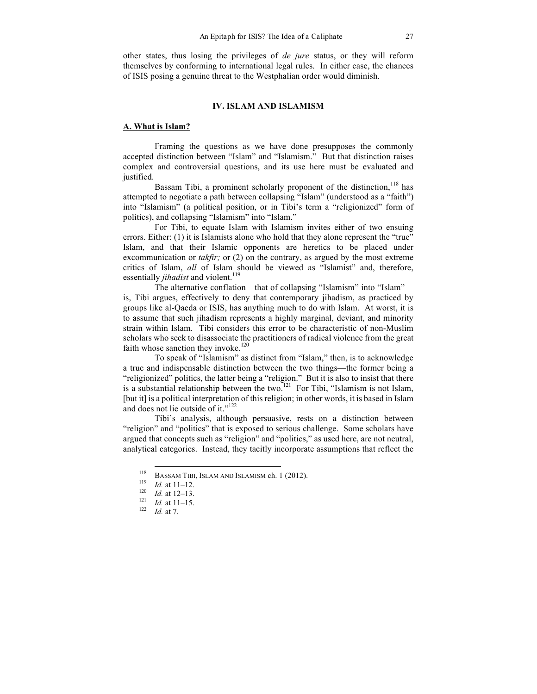other states, thus losing the privileges of *de jure* status, or they will reform themselves by conforming to international legal rules. In either case, the chances of ISIS posing a genuine threat to the Westphalian order would diminish.

### **IV. ISLAM AND ISLAMISM**

### **A. What is Islam?**

Framing the questions as we have done presupposes the commonly accepted distinction between "Islam" and "Islamism." But that distinction raises complex and controversial questions, and its use here must be evaluated and justified.

Bassam Tibi, a prominent scholarly proponent of the distinction,<sup>118</sup> has attempted to negotiate a path between collapsing "Islam" (understood as a "faith") into "Islamism" (a political position, or in Tibi's term a "religionized" form of politics), and collapsing "Islamism" into "Islam."

For Tibi, to equate Islam with Islamism invites either of two ensuing errors. Either: (1) it is Islamists alone who hold that they alone represent the "true" Islam, and that their Islamic opponents are heretics to be placed under excommunication or *takfir*; or (2) on the contrary, as argued by the most extreme critics of Islam, *all* of Islam should be viewed as "Islamist" and, therefore, essentially *jihadist* and violent.<sup>119</sup>

The alternative conflation—that of collapsing "Islamism" into "Islam" is, Tibi argues, effectively to deny that contemporary jihadism, as practiced by groups like al-Qaeda or ISIS, has anything much to do with Islam. At worst, it is to assume that such jihadism represents a highly marginal, deviant, and minority strain within Islam. Tibi considers this error to be characteristic of non-Muslim scholars who seek to disassociate the practitioners of radical violence from the great faith whose sanction they invoke. $120$ 

To speak of "Islamism" as distinct from "Islam," then, is to acknowledge a true and indispensable distinction between the two things—the former being a "religionized" politics, the latter being a "religion." But it is also to insist that there is a substantial relationship between the two.<sup>121</sup> For Tibi, "Islamism is not Islam, [but it] is a political interpretation of this religion; in other words, it is based in Islam and does not lie outside of it."<sup>122</sup>

Tibi's analysis, although persuasive, rests on a distinction between "religion" and "politics" that is exposed to serious challenge. Some scholars have argued that concepts such as "religion" and "politics," as used here, are not neutral, analytical categories. Instead, they tacitly incorporate assumptions that reflect the

<sup>118</sup> BASSAM TIBI, ISLAM AND ISLAMISM ch. 1 (2012).<br>
119 *Id.* at 11–12.<br>
120 *Id.* at 12–13.<br>
121 *Id.* at 11–15.<br>
122 *Id.* at 7.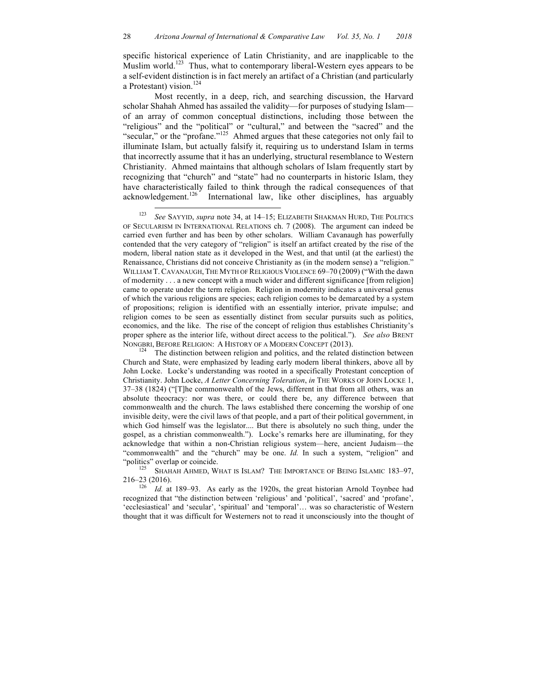specific historical experience of Latin Christianity, and are inapplicable to the Muslim world.<sup>123</sup> Thus, what to contemporary liberal-Western eyes appears to be a self-evident distinction is in fact merely an artifact of a Christian (and particularly a Protestant) vision.<sup>124</sup>

Most recently, in a deep, rich, and searching discussion, the Harvard scholar Shahah Ahmed has assailed the validity—for purposes of studying Islam of an array of common conceptual distinctions, including those between the "religious" and the "political" or "cultural," and between the "sacred" and the "secular," or the "profane."<sup>125</sup> Ahmed argues that these categories not only fail to illuminate Islam, but actually falsify it, requiring us to understand Islam in terms that incorrectly assume that it has an underlying, structural resemblance to Western Christianity. Ahmed maintains that although scholars of Islam frequently start by recognizing that "church" and "state" had no counterparts in historic Islam, they have characteristically failed to think through the radical consequences of that acknowledgement.<sup>126</sup> International law, like other disciplines, has arguably

216–23 (2016).<br> $\frac{126}{126}$  *Id.* at

Id. at 189–93. As early as the 1920s, the great historian Arnold Toynbee had recognized that "the distinction between 'religious' and 'political', 'sacred' and 'profane', 'ecclesiastical' and 'secular', 'spiritual' and 'temporal'… was so characteristic of Western thought that it was difficult for Westerners not to read it unconsciously into the thought of

 <sup>123</sup> *See* SAYYID, *supra* note 34, at 14–15; ELIZABETH SHAKMAN HURD, THE POLITICS OF SECULARISM IN INTERNATIONAL RELATIONS ch. 7 (2008). The argument can indeed be carried even further and has been by other scholars. William Cavanaugh has powerfully contended that the very category of "religion" is itself an artifact created by the rise of the modern, liberal nation state as it developed in the West, and that until (at the earliest) the Renaissance, Christians did not conceive Christianity as (in the modern sense) a "religion." WILLIAM T. CAVANAUGH, THE MYTH OF RELIGIOUS VIOLENCE 69-70 (2009) ("With the dawn of modernity . . . a new concept with a much wider and different significance [from religion] came to operate under the term religion. Religion in modernity indicates a universal genus of which the various religions are species; each religion comes to be demarcated by a system of propositions; religion is identified with an essentially interior, private impulse; and religion comes to be seen as essentially distinct from secular pursuits such as politics, economics, and the like. The rise of the concept of religion thus establishes Christianity's proper sphere as the interior life, without direct access to the political."). *See also* BRENT NONGBRI, BEFORE RELIGION: A HISTORY OF A MODERN CONCEPT (2013).<br><sup>124</sup> The distinction between religion and politics, and the related distinction between

Church and State, were emphasized by leading early modern liberal thinkers, above all by John Locke. Locke's understanding was rooted in a specifically Protestant conception of Christianity. John Locke, *A Letter Concerning Toleration*, *in* THE WORKS OF JOHN LOCKE 1, 37–38 (1824) ("[T]he commonwealth of the Jews, different in that from all others, was an absolute theocracy: nor was there, or could there be, any difference between that commonwealth and the church. The laws established there concerning the worship of one invisible deity, were the civil laws of that people, and a part of their political government, in which God himself was the legislator.... But there is absolutely no such thing, under the gospel, as a christian commonwealth."). Locke's remarks here are illuminating, for they acknowledge that within a non-Christian religious system—here, ancient Judaism—the "commonwealth" and the "church" may be one. *Id.* In such a system, "religion" and "politics" overlap or coincide.<br><sup>125</sup> SHAHAH AHMED, WHAT IS ISLAM? THE IMPORTANCE OF BEING ISLAMIC 183–97,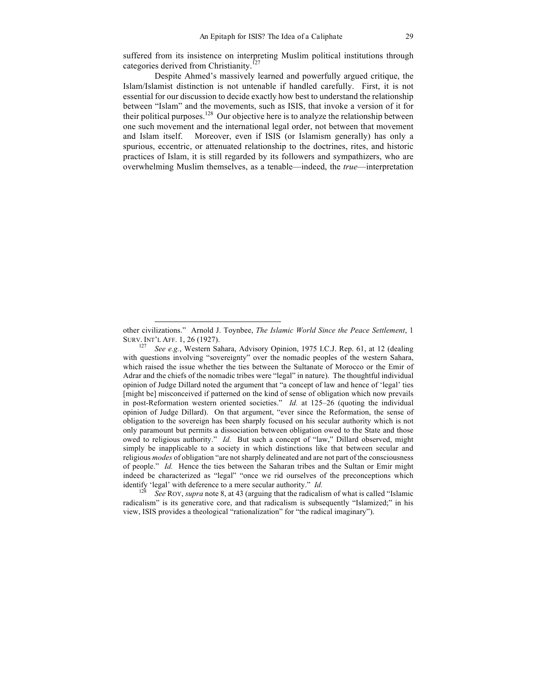suffered from its insistence on interpreting Muslim political institutions through categories derived from Christianity.<sup>127</sup>

Despite Ahmed's massively learned and powerfully argued critique, the Islam/Islamist distinction is not untenable if handled carefully. First, it is not essential for our discussion to decide exactly how best to understand the relationship between "Islam" and the movements, such as ISIS, that invoke a version of it for their political purposes.<sup>128</sup> Our objective here is to analyze the relationship between one such movement and the international legal order, not between that movement and Islam itself. Moreover, even if ISIS (or Islamism generally) has only a spurious, eccentric, or attenuated relationship to the doctrines, rites, and historic practices of Islam, it is still regarded by its followers and sympathizers, who are overwhelming Muslim themselves, as a tenable—indeed, the *true*—interpretation

 $\overline{a}$ 

other civilizations." Arnold J. Toynbee, *The Islamic World Since the Peace Settlement*, 1 SURV. INT'L AFF. 1, 26 (1927). 127 *See e.g.*, Western Sahara, Advisory Opinion, 1975 I.C.J. Rep. 61, at 12 (dealing

with questions involving "sovereignty" over the nomadic peoples of the western Sahara, which raised the issue whether the ties between the Sultanate of Morocco or the Emir of Adrar and the chiefs of the nomadic tribes were "legal" in nature). The thoughtful individual opinion of Judge Dillard noted the argument that "a concept of law and hence of 'legal' ties [might be] misconceived if patterned on the kind of sense of obligation which now prevails in post-Reformation western oriented societies." *Id.* at 125–26 (quoting the individual opinion of Judge Dillard). On that argument, "ever since the Reformation, the sense of obligation to the sovereign has been sharply focused on his secular authority which is not only paramount but permits a dissociation between obligation owed to the State and those owed to religious authority." *Id.* But such a concept of "law," Dillard observed, might simply be inapplicable to a society in which distinctions like that between secular and religious *modes* of obligation "are not sharply delineated and are not part of the consciousness of people." *Id.* Hence the ties between the Saharan tribes and the Sultan or Emir might indeed be characterized as "legal" "once we rid ourselves of the preconceptions which identify 'legal' with deference to a mere secular authority." *Id.* <sup>128</sup> *See* ROY, *supra* note 8, at 43 (arguing that the radicalism of what is called "Islamic"

radicalism" is its generative core, and that radicalism is subsequently "Islamized;" in his view, ISIS provides a theological "rationalization" for "the radical imaginary").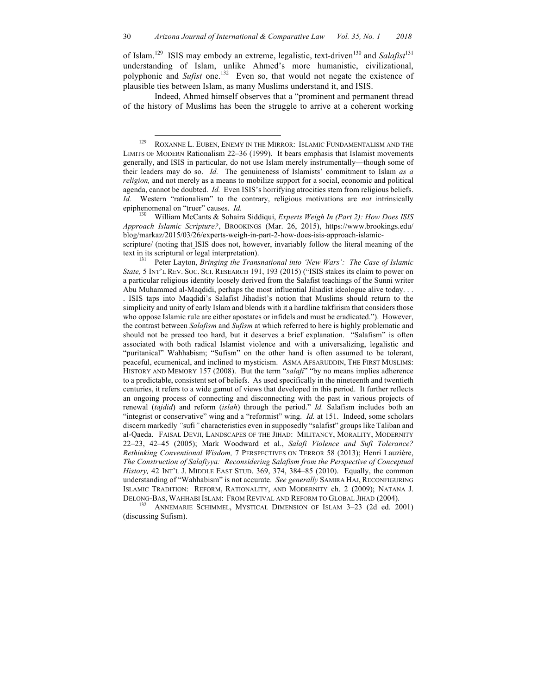of Islam.129 ISIS may embody an extreme, legalistic, text-driven130 and *Salafist*<sup>131</sup> understanding of Islam, unlike Ahmed's more humanistic, civilizational, polyphonic and *Sufist* one.<sup>132</sup> Even so, that would not negate the existence of plausible ties between Islam, as many Muslims understand it, and ISIS.

Indeed, Ahmed himself observes that a "prominent and permanent thread of the history of Muslims has been the struggle to arrive at a coherent working

*Approach Islamic Scripture?*, BROOKINGS (Mar. 26, 2015), https://www.brookings.edu/ blog/markaz/2015/03/26/experts-weigh-in-part-2-how-does-isis-approach-islamicscripture/ (noting that ISIS does not, however, invariably follow the literal meaning of the

text in its scriptural or legal interpretation). 131 Peter Layton, *Bringing the Transnational into 'New Wars': The Case of Islamic* 

*State*, 5 INT'L REV. Soc. SCI. RESEARCH 191, 193 (2015) ("ISIS stakes its claim to power on a particular religious identity loosely derived from the Salafist teachings of the Sunni writer Abu Muhammed al-Maqdidi, perhaps the most influential Jihadist ideologue alive today. . . . ISIS taps into Maqdidi's Salafist Jihadist's notion that Muslims should return to the simplicity and unity of early Islam and blends with it a hardline takfirism that considers those who oppose Islamic rule are either apostates or infidels and must be eradicated."). However, the contrast between *Salafism* and *Sufism* at which referred to here is highly problematic and should not be pressed too hard, but it deserves a brief explanation. "Salafism" is often associated with both radical Islamist violence and with a universalizing, legalistic and "puritanical" Wahhabism; "Sufism" on the other hand is often assumed to be tolerant, peaceful, ecumenical, and inclined to mysticism. ASMA AFSARUDDIN, THE FIRST MUSLIMS: HISTORY AND MEMORY 157 (2008). But the term "*salafi*" "by no means implies adherence to a predictable, consistent set of beliefs. As used specifically in the nineteenth and twentieth centuries, it refers to a wide gamut of views that developed in this period. It further reflects an ongoing process of connecting and disconnecting with the past in various projects of renewal (*tajdid*) and reform (*islah*) through the period." *Id.* Salafism includes both an "integrist or conservative" wing and a "reformist" wing. *Id.* at 151. Indeed, some scholars discern markedly *"*sufi*"* characteristics even in supposedly "salafist" groups like Taliban and al-Qaeda. FAISAL DEVJI, LANDSCAPES OF THE JIHAD: MILITANCY, MORALITY, MODERNITY 22–23, 42–45 (2005); Mark Woodward et al., *Salafi Violence and Sufi Tolerance? Rethinking Conventional Wisdom,* 7 PERSPECTIVES ON TERROR 58 (2013); Henri Lauzière, *The Construction of Salafiyya: Reconsidering Salafism from the Perspective of Conceptual History,* 42 INT'L J. MIDDLE EAST STUD. 369, 374, 384–85 (2010). Equally, the common understanding of "Wahhabism" is not accurate. *See generally* SAMIRA HAJ, RECONFIGURING ISLAMIC TRADITION: REFORM, RATIONALITY, AND MODERNITY ch. 2 (2009); NATANA J. DELONG-BAS, WAHHABI ISLAM: FROM REVIVAL AND REFORM TO GLOBAL JIHAD (2004). 132 ANNEMARIE SCHIMMEL, MYSTICAL DIMENSION OF ISLAM 3–23 (2d ed. 2001)

(discussing Sufism).

<sup>&</sup>lt;sup>129</sup> ROXANNE L. EUBEN, ENEMY IN THE MIRROR: ISLAMIC FUNDAMENTALISM AND THE LIMITS OF MODERN Rationalism 22–36 (1999). It bears emphasis that Islamist movements generally, and ISIS in particular, do not use Islam merely instrumentally—though some of their leaders may do so. *Id.* The genuineness of Islamists' commitment to Islam *as a religion,* and not merely as a means to mobilize support for a social, economic and political agenda, cannot be doubted. *Id.* Even ISIS's horrifying atrocities stem from religious beliefs. *Id.* Western "rationalism" to the contrary, religious motivations are *not* intrinsically epiphenomenal on "truer" causes. *Id.* <sup>130</sup> William McCants & Sohaira Siddiqui, *Experts Weigh In (Part 2): How Does ISIS*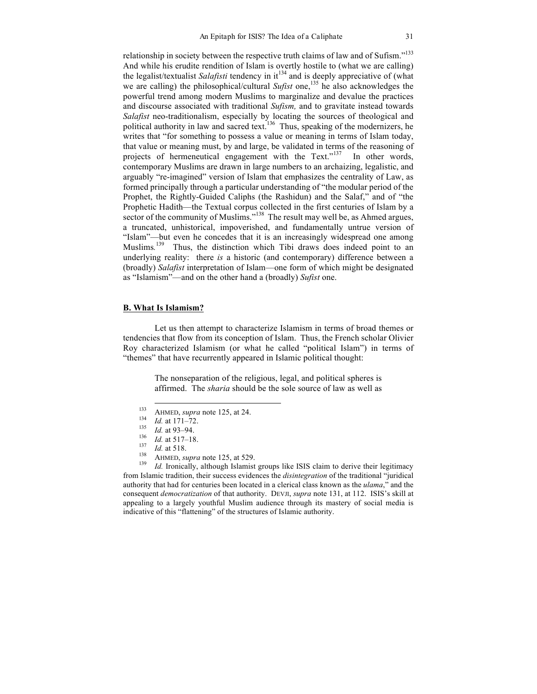relationship in society between the respective truth claims of law and of Sufism."<sup>133</sup> And while his erudite rendition of Islam is overtly hostile to (what we are calling) the legalist/textualist *Salafisti* tendency in it<sup>134</sup> and is deeply appreciative of (what we are calling) the philosophical/cultural *Sufist* one,<sup>135</sup> he also acknowledges the powerful trend among modern Muslims to marginalize and devalue the practices and discourse associated with traditional *Sufism,* and to gravitate instead towards *Salafist* neo-traditionalism, especially by locating the sources of theological and political authority in law and sacred text.<sup>136</sup> Thus, speaking of the modernizers, he writes that "for something to possess a value or meaning in terms of Islam today, that value or meaning must, by and large, be validated in terms of the reasoning of projects of hermeneutical engagement with the Text."<sup>137</sup> In other words, contemporary Muslims are drawn in large numbers to an archaizing, legalistic, and arguably "re-imagined" version of Islam that emphasizes the centrality of Law, as formed principally through a particular understanding of "the modular period of the Prophet, the Rightly-Guided Caliphs (the Rashidun) and the Salaf," and of "the Prophetic Hadith—the Textual corpus collected in the first centuries of Islam by a sector of the community of Muslims."<sup>138</sup> The result may well be, as Ahmed argues, a truncated, unhistorical, impoverished, and fundamentally untrue version of "Islam"—but even he concedes that it is an increasingly widespread one among Muslims.<sup>139</sup> Thus, the distinction which Tibi draws does indeed point to an underlying reality: there *is* a historic (and contemporary) difference between a (broadly) *Salafist* interpretation of Islam—one form of which might be designated as "Islamism"—and on the other hand a (broadly) *Sufist* one.

### **B. What Is Islamism?**

Let us then attempt to characterize Islamism in terms of broad themes or tendencies that flow from its conception of Islam. Thus, the French scholar Olivier Roy characterized Islamism (or what he called "political Islam") in terms of "themes" that have recurrently appeared in Islamic political thought:

> The nonseparation of the religious, legal, and political spheres is affirmed. The *sharia* should be the sole source of law as well as

<sup>133</sup> AHMED, *supra* note 125, at 24.<br>
<sup>134</sup> *Id.* at 171–72.<br> *Id.* at 93–94.<br> *Id.* at 517–18.<br> *Id.* at 518.<br> *Id.* at 518.<br> *IMED, supra* note 125, at 529.<br> *Id.* ITMED, *supra* note 125, at 529.<br> *Id.* ITMED, *supra* from Islamic tradition, their success evidences the *disintegration* of the traditional "juridical authority that had for centuries been located in a clerical class known as the *ulama*," and the consequent *democratization* of that authority. DEVJI, *supra* note 131, at 112. ISIS's skill at appealing to a largely youthful Muslim audience through its mastery of social media is indicative of this "flattening" of the structures of Islamic authority.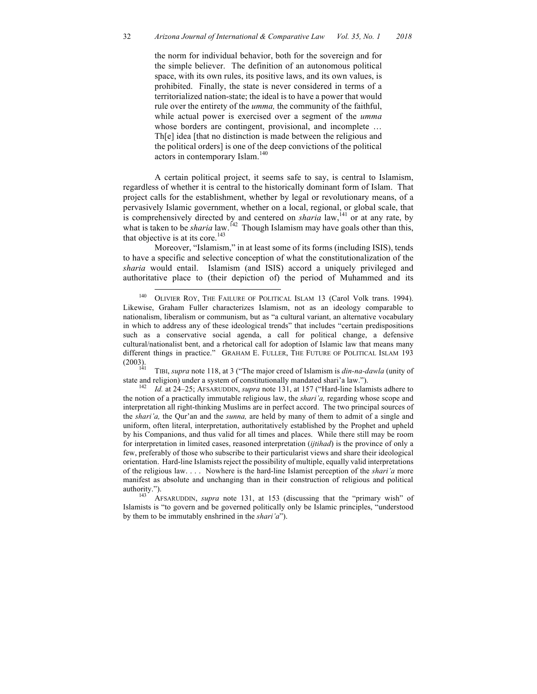the norm for individual behavior, both for the sovereign and for the simple believer. The definition of an autonomous political space, with its own rules, its positive laws, and its own values, is prohibited. Finally, the state is never considered in terms of a territorialized nation-state; the ideal is to have a power that would rule over the entirety of the *umma,* the community of the faithful, while actual power is exercised over a segment of the *umma*  whose borders are contingent, provisional, and incomplete ... The lidea Ithat no distinction is made between the religious and the political orders] is one of the deep convictions of the political actors in contemporary Islam.<sup>140</sup>

A certain political project, it seems safe to say, is central to Islamism, regardless of whether it is central to the historically dominant form of Islam. That project calls for the establishment, whether by legal or revolutionary means, of a pervasively Islamic government, whether on a local, regional, or global scale, that is comprehensively directed by and centered on *sharia* law, <sup>141</sup> or at any rate, by what is taken to be *sharia* law.<sup>142</sup> Though Islamism may have goals other than this, that objective is at its core.<sup>143</sup>

Moreover, "Islamism," in at least some of its forms (including ISIS), tends to have a specific and selective conception of what the constitutionalization of the *sharia* would entail. Islamism (and ISIS) accord a uniquely privileged and authoritative place to (their depiction of) the period of Muhammed and its

(2003). <sup>141</sup> TIBI, *supra* note 118, at 3 ("The major creed of Islamism is *din-na-dawla* (unity of state and religion) under a system of constitutionally mandated shari'a law.").<br><sup>142</sup> *Id.* at 24–25; AFSARUDDIN, *supra* note 131, at 157 ("Hard-line Islamists adhere to

<sup>&</sup>lt;sup>140</sup> OLIVIER ROY, THE FAILURE OF POLITICAL ISLAM 13 (Carol Volk trans. 1994). Likewise, Graham Fuller characterizes Islamism, not as an ideology comparable to nationalism, liberalism or communism, but as "a cultural variant, an alternative vocabulary in which to address any of these ideological trends" that includes "certain predispositions such as a conservative social agenda, a call for political change, a defensive cultural/nationalist bent, and a rhetorical call for adoption of Islamic law that means many different things in practice." GRAHAM E. FULLER, THE FUTURE OF POLITICAL ISLAM 193 (2003).

the notion of a practically immutable religious law, the *shari'a,* regarding whose scope and interpretation all right-thinking Muslims are in perfect accord. The two principal sources of the *shari'a,* the Qur'an and the *sunna,* are held by many of them to admit of a single and uniform, often literal, interpretation, authoritatively established by the Prophet and upheld by his Companions, and thus valid for all times and places. While there still may be room for interpretation in limited cases, reasoned interpretation (*ijtihad*) is the province of only a few, preferably of those who subscribe to their particularist views and share their ideological orientation. Hard-line Islamists reject the possibility of multiple, equally valid interpretations of the religious law. . . . Nowhere is the hard-line Islamist perception of the *shari'a* more manifest as absolute and unchanging than in their construction of religious and political authority."). 143 AFSARUDDIN, *supra* note 131, at 153 (discussing that the "primary wish" of

Islamists is "to govern and be governed politically only be Islamic principles, "understood by them to be immutably enshrined in the *shari'a*").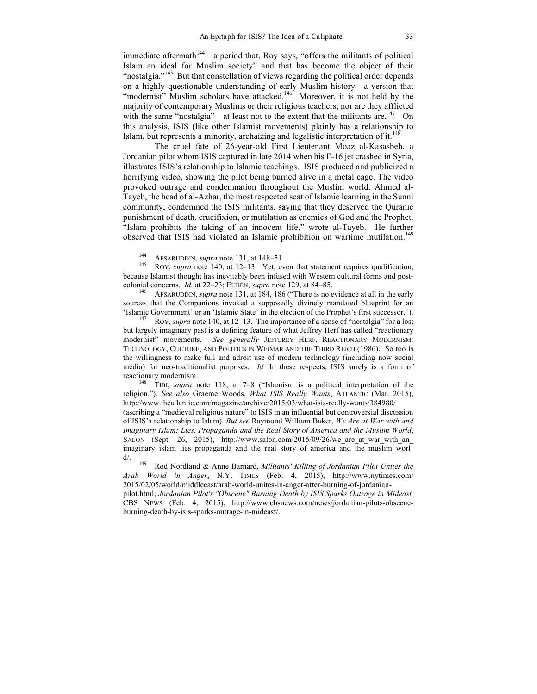immediate aftermath<sup>144</sup>—a period that, Roy says, "offers the militants of political Islam an ideal for Muslim society" and that has become the object of their "nostalgia."<sup>145</sup> But that constellation of views regarding the political order depends on a highly questionable understanding of early Muslim history—a version that "modernist" Muslim scholars have attacked.<sup>146</sup> Moreover, it is not held by the majority of contemporary Muslims or their religious teachers; nor are they afflicted with the same "nostalgia"—at least not to the extent that the militants are.<sup>147</sup> On this analysis, ISIS (like other Islamist movements) plainly has a relationship to Islam, but represents a minority, archaizing and legalistic interpretation of it.<sup>148</sup>

The cruel fate of 26-year-old First Lieutenant Moaz al-Kasasbeh, a Jordanian pilot whom ISIS captured in late 2014 when his F-16 jet crashed in Syria, illustrates ISIS's relationship to Islamic teachings. ISIS produced and publicized a horrifying video, showing the pilot being burned alive in a metal cage. The video provoked outrage and condemnation throughout the Muslim world. Ahmed al-Tayeb, the head of al-Azhar, the most respected seat of Islamic learning in the Sunni community, condemned the ISIS militants, saying that they deserved the Quranic punishment of death, crucifixion, or mutilation as enemies of God and the Prophet. "Islam prohibits the taking of an innocent life," wrote al-Tayeb. He further observed that ISIS had violated an Islamic prohibition on wartime mutilation.<sup>14</sup>

sources that the Companions invoked a supposedly divinely mandated blueprint for an 'Islamic Government' or an 'Islamic State' in the election of the Prophet's first successor."). <sup>147</sup> ROY, *supra* note 140, at 12–13. The importance of a sense of "nostalgia" for a lost

but largely imaginary past is a defining feature of what Jeffrey Herf has called "reactionary modernist" movements. *See generally* JEFFEREY HERF, REACTIONARY MODERNISM: TECHNOLOGY, CULTURE, AND POLITICS IN WEIMAR AND THE THIRD REICH (1986). So too is the willingness to make full and adroit use of modern technology (including now social media) for neo-traditionalist purposes. *Id*. In these respects, ISIS surely is a form of reactionary modernism.

TIBI, *supra* note 118, at 7–8 ("Islamism is a political interpretation of the religion."). *See also* Graeme Woods, *What ISIS Really Wants*, ATLANTIC (Mar. 2015), http://www.theatlantic.com/magazine/archive/2015/03/what-isis-really-wants/384980/

(ascribing a "medieval religious nature" to ISIS in an influential but controversial discussion of ISIS's relationship to Islam). *But see* Raymond William Baker, *We Are at War with and Imaginary Islam: Lies, Propaganda and the Real Story of America and the Muslim World*, SALON (Sept. 26, 2015), http://www.salon.com/2015/09/26/we are at war with an imaginary islam lies propaganda and the real story of america and the muslim worl d/. <sup>149</sup> Rod Nordland & Anne Barnard, *Militants' Killing of Jordanian Pilot Unites the* 

<sup>&</sup>lt;sup>144</sup> AFSARUDDIN, *supra* note 131, at 148–51.<br><sup>145</sup> ROY, *supra* note 140, at 12–13. Yet, even that statement requires qualification, because Islamist thought has inevitably been infused with Western cultural forms and postcolonial concerns. *Id.* at 22–23; EUBEN, *supra* note 129, at 84–85.<br><sup>146</sup> AFSARUDDIN, *supra* note 131, at 184, 186 ("There is no evidence at all in the early

*Arab World in Anger*, N.Y. TIMES (Feb. 4, 2015), http://www.nytimes.com/ 2015/02/05/world/middleeast/arab-world-unites-in-anger-after-burning-of-jordanian-

pilot.html; *Jordanian Pilot's "Obscene" Burning Death by ISIS Sparks Outrage in Mideast,* CBS NEWS (Feb. 4, 2015), http://www.cbsnews.com/news/jordanian-pilots-obsceneburning-death-by-isis-sparks-outrage-in-mideast/.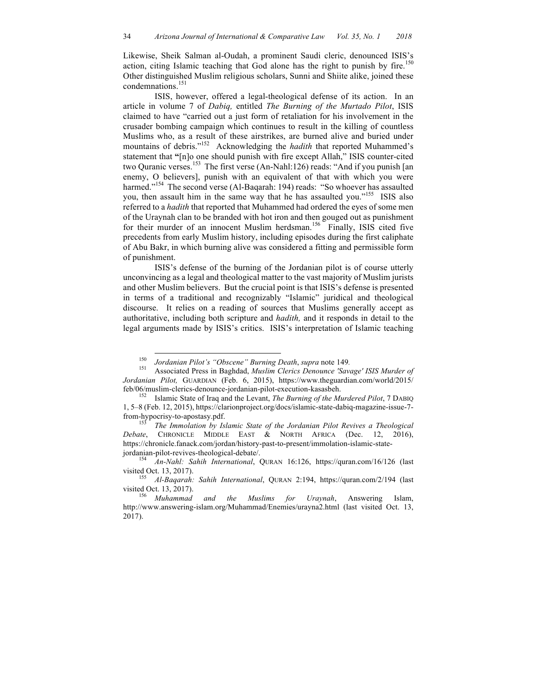Likewise, Sheik Salman al-Oudah, a prominent Saudi cleric, denounced ISIS's action, citing Islamic teaching that God alone has the right to punish by fire.<sup>150</sup> Other distinguished Muslim religious scholars, Sunni and Shiite alike, joined these condemnations.<sup>151</sup>

ISIS, however, offered a legal-theological defense of its action. In an article in volume 7 of *Dabiq,* entitled *The Burning of the Murtado Pilot*, ISIS claimed to have "carried out a just form of retaliation for his involvement in the crusader bombing campaign which continues to result in the killing of countless Muslims who, as a result of these airstrikes, are burned alive and buried under mountains of debris."152 Acknowledging the *hadith* that reported Muhammed's statement that **"**[n]o one should punish with fire except Allah," ISIS counter-cited two Quranic verses.<sup>153</sup> The first verse (An-Nahl:126) reads: "And if you punish [an enemy, O believers], punish with an equivalent of that with which you were harmed."<sup>154</sup> The second verse (Al-Baqarah: 194) reads: "So whoever has assaulted you, then assault him in the same way that he has assaulted you."<sup>155</sup> ISIS also referred to a *hadith* that reported that Muhammed had ordered the eyes of some men of the Uraynah clan to be branded with hot iron and then gouged out as punishment for their murder of an innocent Muslim herdsman.<sup>156</sup> Finally, ISIS cited five precedents from early Muslim history, including episodes during the first caliphate of Abu Bakr, in which burning alive was considered a fitting and permissible form of punishment.

ISIS's defense of the burning of the Jordanian pilot is of course utterly unconvincing as a legal and theological matter to the vast majority of Muslim jurists and other Muslim believers. But the crucial point is that ISIS's defense is presented in terms of a traditional and recognizably "Islamic" juridical and theological discourse. It relies on a reading of sources that Muslims generally accept as authoritative, including both scripture and *hadith,* and it responds in detail to the legal arguments made by ISIS's critics. ISIS's interpretation of Islamic teaching

<sup>150</sup> *Jordanian Pilot's "Obscene" Burning Death*, *supra* note 149*.* <sup>151</sup> Associated Press in Baghdad, *Muslim Clerics Denounce 'Savage' ISIS Murder of Jordanian Pilot,* GUARDIAN (Feb. 6, 2015), https://www.theguardian.com/world/2015/ feb/06/muslim-clerics-denounce-jordanian-pilot-execution-kasasbeh. 152 Islamic State of Iraq and the Levant, *The Burning of the Murdered Pilot*, 7 DABIQ

<sup>1, 5–8 (</sup>Feb. 12, 2015), https://clarionproject.org/docs/islamic-state-dabiq-magazine-issue-7 from-hypocrisy-to-apostasy.pdf.<br><sup>153</sup> *The Immolation by Islamic State of the Jordanian Pilot Revives a Theological* 

*Debate*, CHRONICLE MIDDLE EAST & NORTH AFRICA (Dec. 12, 2016), https://chronicle.fanack.com/jordan/history-past-to-present/immolation-islamic-state-

jordanian-pilot-revives-theological-debate/. <sup>154</sup> *An-Nahl: Sahih International*, QURAN 16:126, https://quran.com/16/126 (last

visited Oct. 13, 2017).<br><sup>155</sup> *Al-Baqarah: Sahih International*, QURAN 2:194, https://quran.com/2/194 (last visited Oct. 13, 2017).

Muhammad and the Muslims for Uraynah, Answering Islam, http://www.answering-islam.org/Muhammad/Enemies/urayna2.html (last visited Oct. 13, 2017).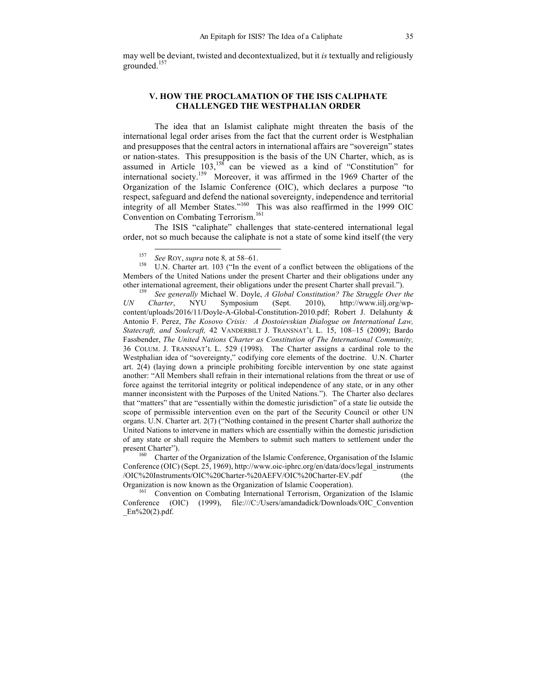may well be deviant, twisted and decontextualized, but it *is* textually and religiously grounded.157

### **V. HOW THE PROCLAMATION OF THE ISIS CALIPHATE CHALLENGED THE WESTPHALIAN ORDER**

The idea that an Islamist caliphate might threaten the basis of the international legal order arises from the fact that the current order is Westphalian and presupposes that the central actors in international affairs are "sovereign" states or nation-states. This presupposition is the basis of the UN Charter, which, as is assumed in Article  $103$ ,<sup>158</sup> can be viewed as a kind of "Constitution" for international society.<sup>159</sup> Moreover, it was affirmed in the 1969 Charter of the Organization of the Islamic Conference (OIC), which declares a purpose "to respect, safeguard and defend the national sovereignty, independence and territorial integrity of all Member States."160 This was also reaffirmed in the 1999 OIC Convention on Combating Terrorism.<sup>161</sup>

The ISIS "caliphate" challenges that state-centered international legal order, not so much because the caliphate is not a state of some kind itself (the very

Conference (OIC) (Sept. 25, 1969), http://www.oic-iphrc.org/en/data/docs/legal\_instruments /OIC%20Instruments/OIC%20Charter-%20AEFV/OIC%20Charter-EV.pdf (the

Organization is now known as the Organization of Islamic Cooperation). <sup>161</sup> Convention on Combating International Terrorism, Organization of the Islamic Conference (OIC) (1999), file:///C:/Users/amandadick/Downloads/OIC\_Convention \_En%20(2).pdf.

<sup>&</sup>lt;sup>157</sup> *See* Roy, *supra* note 8, at 58–61.<br><sup>158</sup> U.N. Charter art. 103 ("In the event of a conflict between the obligations of the Members of the United Nations under the present Charter and their obligations under any

other international agreement, their obligations under the present Charter shall prevail."). <sup>159</sup> *See generally* Michael W. Doyle, *A Global Constitution? The Struggle Over the UN Charter*, NYU Symposium (Sept. 2010), http://www.iilj.org/wpcontent/uploads/2016/11/Doyle-A-Global-Constitution-2010.pdf; Robert J. Delahunty & Antonio F. Perez, *The Kosovo Crisis: A Dostoievskian Dialogue on International Law, Statecraft, and Soulcraft,* 42 VANDERBILT J. TRANSNAT'L L. 15, 108–15 (2009); Bardo Fassbender, *The United Nations Charter as Constitution of The International Community,*  36 COLUM. J. TRANSNAT'L L. 529 (1998). The Charter assigns a cardinal role to the Westphalian idea of "sovereignty," codifying core elements of the doctrine. U.N. Charter art. 2(4) (laying down a principle prohibiting forcible intervention by one state against another: "All Members shall refrain in their international relations from the threat or use of force against the territorial integrity or political independence of any state, or in any other manner inconsistent with the Purposes of the United Nations."). The Charter also declares that "matters" that are "essentially within the domestic jurisdiction" of a state lie outside the scope of permissible intervention even on the part of the Security Council or other UN organs. U.N. Charter art. 2(7) ("Nothing contained in the present Charter shall authorize the United Nations to intervene in matters which are essentially within the domestic jurisdiction of any state or shall require the Members to submit such matters to settlement under the present Charter").<br><sup>160</sup> Charter of the Organization of the Islamic Conference, Organisation of the Islamic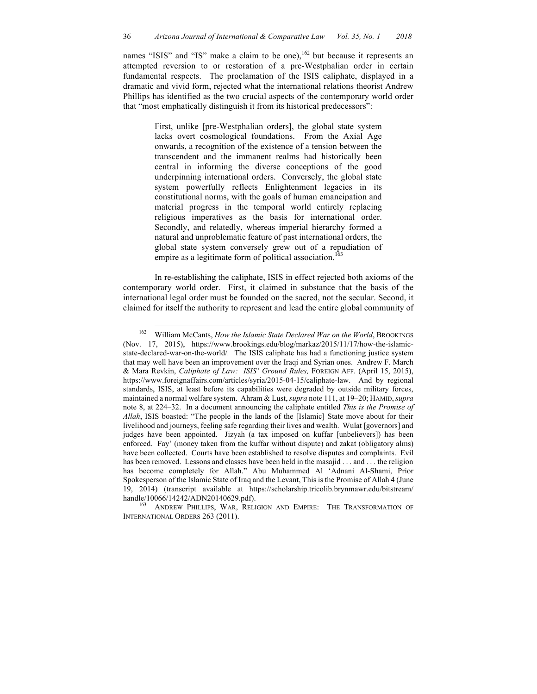names "ISIS" and "IS" make a claim to be one),  $^{162}$  but because it represents an attempted reversion to or restoration of a pre-Westphalian order in certain fundamental respects. The proclamation of the ISIS caliphate, displayed in a dramatic and vivid form, rejected what the international relations theorist Andrew Phillips has identified as the two crucial aspects of the contemporary world order that "most emphatically distinguish it from its historical predecessors":

> First, unlike [pre-Westphalian orders], the global state system lacks overt cosmological foundations. From the Axial Age onwards, a recognition of the existence of a tension between the transcendent and the immanent realms had historically been central in informing the diverse conceptions of the good underpinning international orders. Conversely, the global state system powerfully reflects Enlightenment legacies in its constitutional norms, with the goals of human emancipation and material progress in the temporal world entirely replacing religious imperatives as the basis for international order. Secondly, and relatedly, whereas imperial hierarchy formed a natural and unproblematic feature of past international orders, the global state system conversely grew out of a repudiation of empire as a legitimate form of political association.<sup>163</sup>

In re-establishing the caliphate, ISIS in effect rejected both axioms of the contemporary world order. First, it claimed in substance that the basis of the international legal order must be founded on the sacred, not the secular. Second, it claimed for itself the authority to represent and lead the entire global community of

<sup>&</sup>lt;sup>162</sup> William McCants, *How the Islamic State Declared War on the World*, BROOKINGS (Nov. 17, 2015), https://www.brookings.edu/blog/markaz/2015/11/17/how-the-islamicstate-declared-war-on-the-world/*.* The ISIS caliphate has had a functioning justice system that may well have been an improvement over the Iraqi and Syrian ones. Andrew F. March & Mara Revkin, *Caliphate of Law: ISIS' Ground Rules,* FOREIGN AFF. (April 15, 2015), https://www.foreignaffairs.com/articles/syria/2015-04-15/caliphate-law. And by regional standards, ISIS, at least before its capabilities were degraded by outside military forces, maintained a normal welfare system. Ahram & Lust, *supra* note 111, at 19–20; HAMID, *supra*  note 8, at 224–32. In a document announcing the caliphate entitled *This is the Promise of Allah*, ISIS boasted: "The people in the lands of the [Islamic] State move about for their livelihood and journeys, feeling safe regarding their lives and wealth. Wulat [governors] and judges have been appointed. Jizyah (a tax imposed on kuffar [unbelievers]) has been enforced. Fay' (money taken from the kuffar without dispute) and zakat (obligatory alms) have been collected. Courts have been established to resolve disputes and complaints. Evil has been removed. Lessons and classes have been held in the masajid . . . and . . . the religion has become completely for Allah." Abu Muhammed Al 'Adnani Al-Shami, Prior Spokesperson of the Islamic State of Iraq and the Levant, This is the Promise of Allah 4 (June 19, 2014) (transcript available at https://scholarship.tricolib.brynmawr.edu/bitstream/<br>handle/10066/14242/ADN20140629.pdf).

ANDREW PHILLIPS, WAR, RELIGION AND EMPIRE: THE TRANSFORMATION OF INTERNATIONAL ORDERS 263 (2011).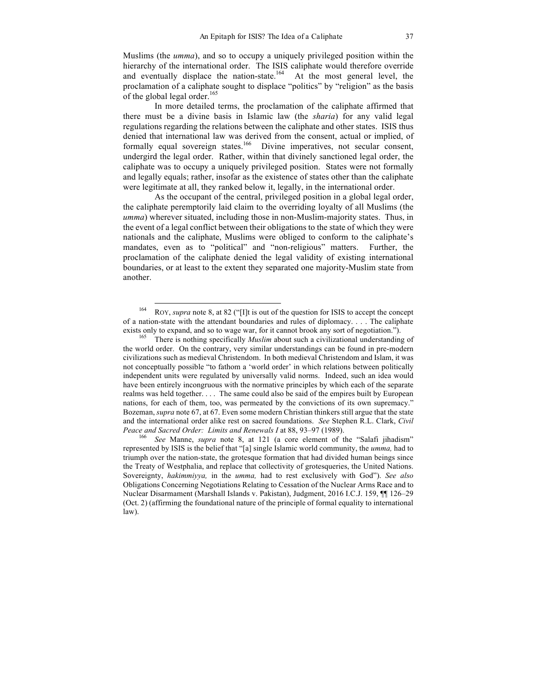Muslims (the *umma*), and so to occupy a uniquely privileged position within the hierarchy of the international order. The ISIS caliphate would therefore override and eventually displace the nation-state.<sup>164</sup> At the most general level, the proclamation of a caliphate sought to displace "politics" by "religion" as the basis of the global legal order.<sup>165</sup>

In more detailed terms, the proclamation of the caliphate affirmed that there must be a divine basis in Islamic law (the *sharia*) for any valid legal regulations regarding the relations between the caliphate and other states. ISIS thus denied that international law was derived from the consent, actual or implied, of formally equal sovereign states.<sup>166</sup> Divine imperatives, not secular consent, undergird the legal order. Rather, within that divinely sanctioned legal order, the caliphate was to occupy a uniquely privileged position. States were not formally and legally equals; rather, insofar as the existence of states other than the caliphate were legitimate at all, they ranked below it, legally, in the international order.

As the occupant of the central, privileged position in a global legal order, the caliphate peremptorily laid claim to the overriding loyalty of all Muslims (the *umma*) wherever situated, including those in non-Muslim-majority states. Thus, in the event of a legal conflict between their obligations to the state of which they were nationals and the caliphate, Muslims were obliged to conform to the caliphate's mandates, even as to "political" and "non-religious" matters. Further, the proclamation of the caliphate denied the legal validity of existing international boundaries, or at least to the extent they separated one majority-Muslim state from another.

 <sup>164</sup> ROY, *supra* note 8, at 82 ("[I]t is out of the question for ISIS to accept the concept of a nation-state with the attendant boundaries and rules of diplomacy. . . . The caliphate exists only to expand, and so to wage war, for it cannot brook any sort of negotiation.").<br><sup>165</sup> There is nothing specifically *Muslim* about such a civilizational understanding of

the world order. On the contrary, very similar understandings can be found in pre-modern civilizations such as medieval Christendom. In both medieval Christendom and Islam, it was not conceptually possible "to fathom a 'world order' in which relations between politically independent units were regulated by universally valid norms. Indeed, such an idea would have been entirely incongruous with the normative principles by which each of the separate realms was held together. . . . The same could also be said of the empires built by European nations, for each of them, too, was permeated by the convictions of its own supremacy." Bozeman, *supra* note 67, at 67. Even some modern Christian thinkers still argue that the state and the international order alike rest on sacred foundations. *See* Stephen R.L. Clark, *Civil Peace and Sacred Order: Limits and Renewals I* at 88, 93–97 (1989).<br><sup>166</sup> *See Manne, <i>supra* note 8, at 121 (a core element of the "Salafi jihadism"

represented by ISIS is the belief that "[a] single Islamic world community, the *umma,* had to triumph over the nation-state, the grotesque formation that had divided human beings since the Treaty of Westphalia, and replace that collectivity of grotesqueries, the United Nations. Sovereignty, *hakimmiyya,* in the *umma,* had to rest exclusively with God"). *See also*  Obligations Concerning Negotiations Relating to Cessation of the Nuclear Arms Race and to Nuclear Disarmament (Marshall Islands v. Pakistan), Judgment, 2016 I.C.J. 159, ¶¶ 126–29 (Oct. 2) (affirming the foundational nature of the principle of formal equality to international law).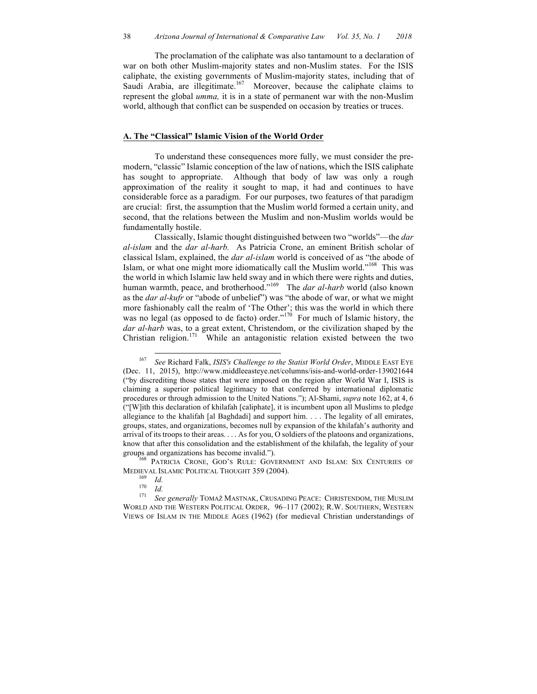The proclamation of the caliphate was also tantamount to a declaration of war on both other Muslim-majority states and non-Muslim states. For the ISIS caliphate, the existing governments of Muslim-majority states, including that of Saudi Arabia, are illegitimate.<sup>167</sup> Moreover, because the caliphate claims to represent the global *umma,* it is in a state of permanent war with the non-Muslim world, although that conflict can be suspended on occasion by treaties or truces.

#### **A. The "Classical" Islamic Vision of the World Order**

To understand these consequences more fully, we must consider the premodern, "classic" Islamic conception of the law of nations, which the ISIS caliphate has sought to appropriate. Although that body of law was only a rough approximation of the reality it sought to map, it had and continues to have considerable force as a paradigm. For our purposes, two features of that paradigm are crucial: first, the assumption that the Muslim world formed a certain unity, and second, that the relations between the Muslim and non-Muslim worlds would be fundamentally hostile.

Classically, Islamic thought distinguished between two "worlds"—the *dar al-islam* and the *dar al-harb.* As Patricia Crone, an eminent British scholar of classical Islam, explained, the *dar al-islam* world is conceived of as "the abode of Islam, or what one might more idiomatically call the Muslim world."<sup>168</sup> This was the world in which Islamic law held sway and in which there were rights and duties, human warmth, peace, and brotherhood."<sup>169</sup> The *dar al-harb* world (also known as the *dar al-kufr* or "abode of unbelief") was "the abode of war, or what we might more fashionably call the realm of 'The Other'; this was the world in which there was no legal (as opposed to de facto) order." $170^\circ$  For much of Islamic history, the *dar al-harb* was, to a great extent, Christendom, or the civilization shaped by the Christian religion.<sup>171</sup> While an antagonistic relation existed between the two

groups and organizations has become invalid."). 168 PATRICIA CRONE, GOD'S RULE: GOVERNMENT AND ISLAM: SIX CENTURIES OF MEDIEVAL ISLAMIC POLITICAL THOUGHT 359 (2004).<br><sup>169</sup> *Id. 170*<br><sup>171</sup> *See generally* TOMAŽ MASTNAK, CRUSADING PEACE: CHRISTENDOM, THE MUSLIM

 <sup>167</sup> *See* Richard Falk, *ISIS's Challenge to the Statist World Order*, MIDDLE EAST EYE (Dec. 11, 2015), http://www.middleeasteye.net/columns/isis-and-world-order-139021644 ("by discrediting those states that were imposed on the region after World War I, ISIS is claiming a superior political legitimacy to that conferred by international diplomatic procedures or through admission to the United Nations."); Al-Shami, *supra* note 162, at 4, 6 ("[W]ith this declaration of khilafah [caliphate], it is incumbent upon all Muslims to pledge allegiance to the khalifah [al Baghdadi] and support him. . . . The legality of all emirates, groups, states, and organizations, becomes null by expansion of the khilafah's authority and arrival of its troops to their areas. . . . As for you, O soldiers of the platoons and organizations, know that after this consolidation and the establishment of the khilafah, the legality of your

WORLD AND THE WESTERN POLITICAL ORDER, 96–117 (2002); R.W. SOUTHERN, WESTERN VIEWS OF ISLAM IN THE MIDDLE AGES (1962) (for medieval Christian understandings of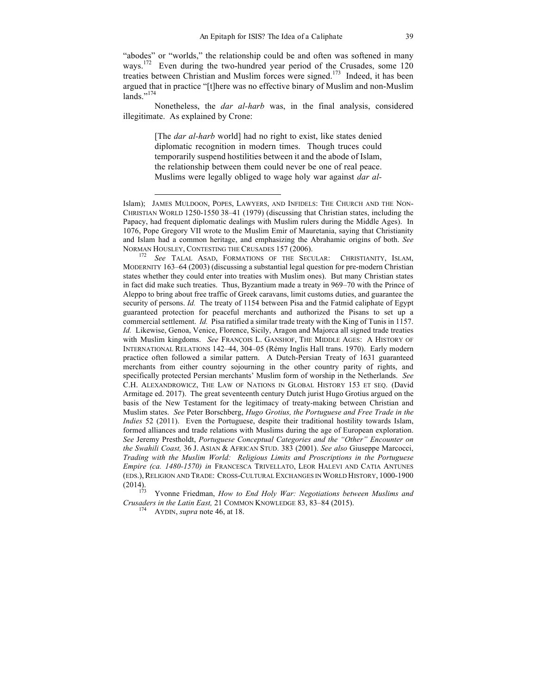"abodes" or "worlds," the relationship could be and often was softened in many ways.<sup>172</sup> Even during the two-hundred year period of the Crusades, some 120 treaties between Christian and Muslim forces were signed.<sup>173</sup> Indeed, it has been argued that in practice "[t]here was no effective binary of Muslim and non-Muslim  $lands.$ "<sup>174</sup>

Nonetheless, the *dar al-harb* was, in the final analysis, considered illegitimate. As explained by Crone:

> [The *dar al-harb* world] had no right to exist, like states denied diplomatic recognition in modern times. Though truces could temporarily suspend hostilities between it and the abode of Islam, the relationship between them could never be one of real peace. Muslims were legally obliged to wage holy war against *dar al-*

NORMAN HOUSLEY, CONTESTING THE CRUSADES 157 (2006). 172 *See* TALAL ASAD, FORMATIONS OF THE SECULAR: CHRISTIANITY, ISLAM, MODERNITY 163–64 (2003) (discussing a substantial legal question for pre-modern Christian states whether they could enter into treaties with Muslim ones). But many Christian states in fact did make such treaties. Thus, Byzantium made a treaty in 969–70 with the Prince of Aleppo to bring about free traffic of Greek caravans, limit customs duties, and guarantee the security of persons. *Id.* The treaty of 1154 between Pisa and the Fatmid caliphate of Egypt guaranteed protection for peaceful merchants and authorized the Pisans to set up a commercial settlement. *Id.* Pisa ratified a similar trade treaty with the King of Tunis in 1157. *Id.* Likewise, Genoa, Venice, Florence, Sicily, Aragon and Majorca all signed trade treaties with Muslim kingdoms. *See* FRANÇOIS L. GANSHOF, THE MIDDLE AGES: A HISTORY OF INTERNATIONAL RELATIONS 142–44, 304–05 (Rémy Inglis Hall trans. 1970). Early modern practice often followed a similar pattern. A Dutch-Persian Treaty of 1631 guaranteed merchants from either country sojourning in the other country parity of rights, and specifically protected Persian merchants' Muslim form of worship in the Netherlands. *See*  C.H. ALEXANDROWICZ, THE LAW OF NATIONS IN GLOBAL HISTORY 153 ET SEQ. (David Armitage ed. 2017). The great seventeenth century Dutch jurist Hugo Grotius argued on the basis of the New Testament for the legitimacy of treaty-making between Christian and Muslim states. *See* Peter Borschberg, *Hugo Grotius, the Portuguese and Free Trade in the Indies* 52 (2011). Even the Portuguese, despite their traditional hostility towards Islam, formed alliances and trade relations with Muslims during the age of European exploration. *See* Jeremy Prestholdt, *Portuguese Conceptual Categories and the "Other" Encounter on the Swahili Coast,* 36 J. ASIAN & AFRICAN STUD. 383 (2001). *See also* Giuseppe Marcocci, *Trading with the Muslim World: Religious Limits and Proscriptions in the Portuguese Empire (ca. 1480-1570) in* FRANCESCA TRIVELLATO, LEOR HALEVI AND CATIA ANTUNES (EDS.), RELIGION AND TRADE: CROSS-CULTURAL EXCHANGES IN WORLD HISTORY, 1000-1900<br>(2014).<br><sup>173</sup> Yuanna Eriadman, How to End Holy War: Negotiations between Muslims and

Yvonne Friedman, *How to End Holy War: Negotiations between Muslims and Crusaders in the Latin East,* 21 COMMON KNOWLEDGE 83, 83–84 (2015). <sup>174</sup> AYDIN, *supra* note 46, at 18.

 $\overline{a}$ 

Islam); JAMES MULDOON, POPES, LAWYERS, AND INFIDELS: THE CHURCH AND THE NON-CHRISTIAN WORLD 1250-1550 38–41 (1979) (discussing that Christian states, including the Papacy, had frequent diplomatic dealings with Muslim rulers during the Middle Ages). In 1076, Pope Gregory VII wrote to the Muslim Emir of Mauretania, saying that Christianity and Islam had a common heritage, and emphasizing the Abrahamic origins of both. *See*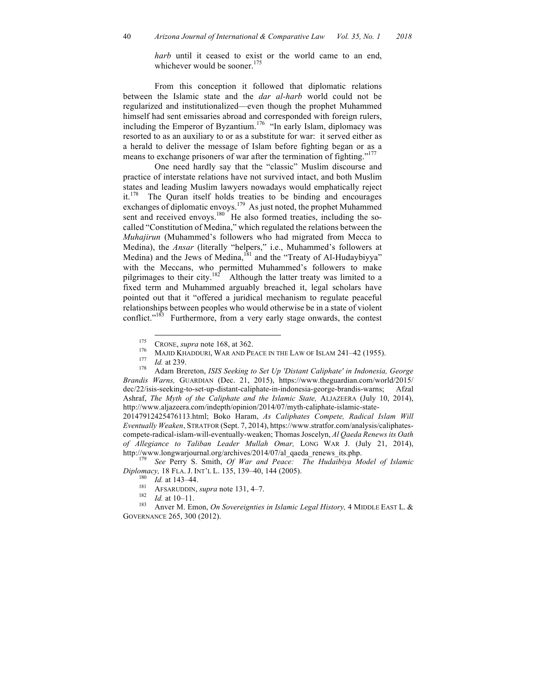*harb* until it ceased to exist or the world came to an end, whichever would be sooner. $175$ 

From this conception it followed that diplomatic relations between the Islamic state and the *dar al-harb* world could not be regularized and institutionalized—even though the prophet Muhammed himself had sent emissaries abroad and corresponded with foreign rulers, including the Emperor of Byzantium.<sup>176</sup> "In early Islam, diplomacy was resorted to as an auxiliary to or as a substitute for war: it served either as a herald to deliver the message of Islam before fighting began or as a means to exchange prisoners of war after the termination of fighting."<sup>177</sup>

One need hardly say that the "classic" Muslim discourse and practice of interstate relations have not survived intact, and both Muslim states and leading Muslim lawyers nowadays would emphatically reject it.<sup>178</sup> The Quran itself holds treaties to be binding and encourages exchanges of diplomatic envoys.<sup>179</sup> As just noted, the prophet Muhammed sent and received envoys.<sup>180</sup> He also formed treaties, including the socalled "Constitution of Medina," which regulated the relations between the *Muhajirun* (Muhammed's followers who had migrated from Mecca to Medina), the *Ansar* (literally "helpers," i.e., Muhammed's followers at Medina) and the Jews of Medina,<sup>181</sup> and the "Treaty of Al-Hudaybiyya" with the Meccans, who permitted Muhammed's followers to make pilgrimages to their city.<sup>182</sup> Although the latter treaty was limited to a fixed term and Muhammed arguably breached it, legal scholars have pointed out that it "offered a juridical mechanism to regulate peaceful relationships between peoples who would otherwise be in a state of violent conflict."<sup>183</sup> Furthermore, from a very early stage onwards, the contest

*Brandis Warns,* GUARDIAN (Dec. 21, 2015), https://www.theguardian.com/world/2015/ dec/22/isis-seeking-to-set-up-distant-caliphate-in-indonesia-george-brandis-warns; Afzal Ashraf, *The Myth of the Caliphate and the Islamic State,* ALJAZEERA (July 10, 2014), http://www.aljazeera.com/indepth/opinion/2014/07/myth-caliphate-islamic-state-

20147912425476113.html; Boko Haram, *As Caliphates Compete, Radical Islam Will Eventually Weaken*, STRATFOR (Sept. 7, 2014), https://www.stratfor.com/analysis/caliphatescompete-radical-islam-will-eventually-weaken; Thomas Joscelyn, *Al Qaeda Renews its Oath of Allegiance to Taliban Leader Mullah Omar,* LONG WAR J. (July 21, 2014),

http://www.longwarjournal.org/archives/2014/07/al\_qaeda\_renews\_its.php. 179 *See* Perry S. Smith, *Of War and Peace: The Hudaibiya Model of Islamic*  Diplomacy, 18 FLA. J. INT'L L. 135, 139–40, 144 (2005).<br>
<sup>180</sup> *Id.* at 143–44.<br>
<sup>181</sup> AFSARUDDIN, *supra* note 131, 4–7.<br>
<sup>182</sup> *Id.* at 10–11.<br>
<sup>183</sup> Anver M. Emon, *On Sovereignties in Islamic Legal History*, 4 MIDDLE

- 
- 

GOVERNANCE 265, 300 (2012).

<sup>&</sup>lt;sup>175</sup> CRONE, *supra* note 168, at 362.<br><sup>176</sup> MAJID KHADDURI, WAR AND PEACE IN THE LAW OF ISLAM 241–42 (1955).<br><sup>177</sup> *Id.* at 239. Adam Brereton, *ISIS Seeking to Set Up 'Distant Caliphate' in Indonesia, George*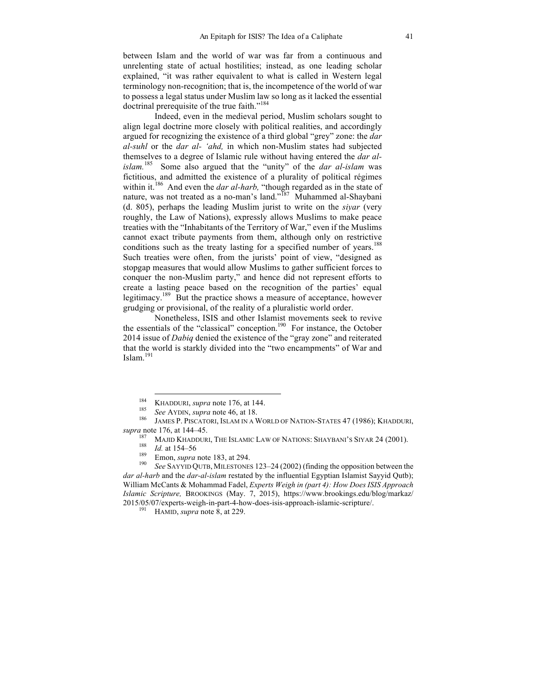between Islam and the world of war was far from a continuous and unrelenting state of actual hostilities; instead, as one leading scholar explained, "it was rather equivalent to what is called in Western legal terminology non-recognition; that is, the incompetence of the world of war to possess a legal status under Muslim law so long as it lacked the essential doctrinal prerequisite of the true faith."<sup>184</sup>

Indeed, even in the medieval period, Muslim scholars sought to align legal doctrine more closely with political realities, and accordingly argued for recognizing the existence of a third global "grey" zone: the *dar al-suhl* or the *dar al- 'ahd,* in which non-Muslim states had subjected themselves to a degree of Islamic rule without having entered the *dar alislam.* <sup>185</sup> Some also argued that the "unity" of the *dar al-islam* was fictitious, and admitted the existence of a plurality of political régimes within it.<sup>186</sup> And even the *dar al-harb*, "though regarded as in the state of nature, was not treated as a no-man's land."<sup>187</sup> Muhammed al-Shaybani (d. 805), perhaps the leading Muslim jurist to write on the *siyar* (very roughly, the Law of Nations), expressly allows Muslims to make peace treaties with the "Inhabitants of the Territory of War," even if the Muslims cannot exact tribute payments from them, although only on restrictive conditions such as the treaty lasting for a specified number of years.<sup>188</sup> Such treaties were often, from the jurists' point of view, "designed as stopgap measures that would allow Muslims to gather sufficient forces to conquer the non-Muslim party," and hence did not represent efforts to create a lasting peace based on the recognition of the parties' equal legitimacy.189 But the practice shows a measure of acceptance, however grudging or provisional, of the reality of a pluralistic world order.

Nonetheless, ISIS and other Islamist movements seek to revive the essentials of the "classical" conception.<sup>190</sup> For instance, the October 2014 issue of *Dabiq* denied the existence of the "gray zone" and reiterated that the world is starkly divided into the "two encampments" of War and Islam.191

<sup>&</sup>lt;sup>184</sup> KHADDURI, *supra* note 176, at 144.<br><sup>185</sup> *See* AYDIN, *supra* note 46, at 18.<br><sup>186</sup> JAMES P. PISCATORI, ISLAM IN A WORLD OF NATION-STATES 47 (1986); KHADDURI,

supra note 176, at 144–45.<br>
<sup>187</sup> MAJID KHADDURI, THE ISLAMIC LAW OF NATIONS: SHAYBANI'S SIYAR 24 (2001).<br>
<sup>188</sup> *Id.* at 154–56<br>
Emon, *supra* note 183, at 294.<br>
<sup>190</sup> *See* SAYYID QUTB, MILESTONES 123–24 (2002) (finding

*dar al-harb* and the *dar-al-islam* restated by the influential Egyptian Islamist Sayyid Qutb); William McCants & Mohammad Fadel, *Experts Weigh in (part 4): How Does ISIS Approach Islamic Scripture,* BROOKINGS (May. 7, 2015), https://www.brookings.edu/blog/markaz/ 2015/05/07/experts-weigh-in-part-4-how-does-isis-approach-islamic-scripture/. 191 HAMID, *supra* note 8, at 229.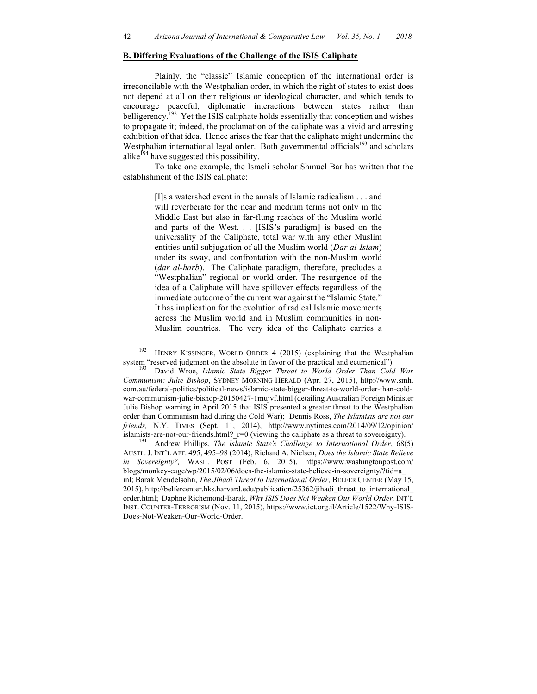### **B. Differing Evaluations of the Challenge of the ISIS Caliphate**

Plainly, the "classic" Islamic conception of the international order is irreconcilable with the Westphalian order, in which the right of states to exist does not depend at all on their religious or ideological character, and which tends to encourage peaceful, diplomatic interactions between states rather than belligerency.<sup>192</sup> Yet the ISIS caliphate holds essentially that conception and wishes to propagate it; indeed, the proclamation of the caliphate was a vivid and arresting exhibition of that idea. Hence arises the fear that the caliphate might undermine the Westphalian international legal order. Both governmental officials<sup>193</sup> and scholars alike $^{194}$  have suggested this possibility.

To take one example, the Israeli scholar Shmuel Bar has written that the establishment of the ISIS caliphate:

> [I]s a watershed event in the annals of Islamic radicalism . . . and will reverberate for the near and medium terms not only in the Middle East but also in far-flung reaches of the Muslim world and parts of the West. . . [ISIS's paradigm] is based on the universality of the Caliphate, total war with any other Muslim entities until subjugation of all the Muslim world (*Dar al-Islam*) under its sway, and confrontation with the non-Muslim world (*dar al-harb*). The Caliphate paradigm, therefore, precludes a "Westphalian" regional or world order. The resurgence of the idea of a Caliphate will have spillover effects regardless of the immediate outcome of the current war against the "Islamic State." It has implication for the evolution of radical Islamic movements across the Muslim world and in Muslim communities in non-Muslim countries. The very idea of the Caliphate carries a

<sup>&</sup>lt;sup>192</sup> HENRY KISSINGER, WORLD ORDER 4 (2015) (explaining that the Westphalian system "reserved judgment on the absolute in favor of the practical and ecumenical"). 193 David Wroe, *Islamic State Bigger Threat to World Order Than Cold War* 

*Communism: Julie Bishop*, SYDNEY MORNING HERALD (Apr. 27, 2015), http://www.smh. com.au/federal-politics/political-news/islamic-state-bigger-threat-to-world-order-than-coldwar-communism-julie-bishop-20150427-1mujvf.html (detailing Australian Foreign Minister Julie Bishop warning in April 2015 that ISIS presented a greater threat to the Westphalian order than Communism had during the Cold War); Dennis Ross, *The Islamists are not our friends,* N.Y. TIMES (Sept. 11, 2014), http://www.nytimes.com/2014/09/12/opinion/ islamists-are-not-our-friends.html?\_r=0\_(viewing the caliphate as a threat to sovereignty).<br><sup>194</sup> Andrew Phillips, *The Islamic State's Challenge to International Order*, 68(5)

AUSTL.J. INT'L AFF. 495, 495–98 (2014); Richard A. Nielsen, *Does the Islamic State Believe in Sovereignty?,* WASH. POST (Feb. 6, 2015), https://www.washingtonpost.com/ blogs/monkey-cage/wp/2015/02/06/does-the-islamic-state-believe-in-sovereignty/?tid=a\_ inl; Barak Mendelsohn, *The Jihadi Threat to International Order*, BELFER CENTER (May 15, 2015), http://belfercenter.hks.harvard.edu/publication/25362/jihadi\_threat\_to\_international\_ order.html; Daphne Richemond-Barak, *Why ISIS Does Not Weaken Our World Order,* INT'L INST. COUNTER-TERRORISM (Nov. 11, 2015), https://www.ict.org.il/Article/1522/Why-ISIS-Does-Not-Weaken-Our-World-Order.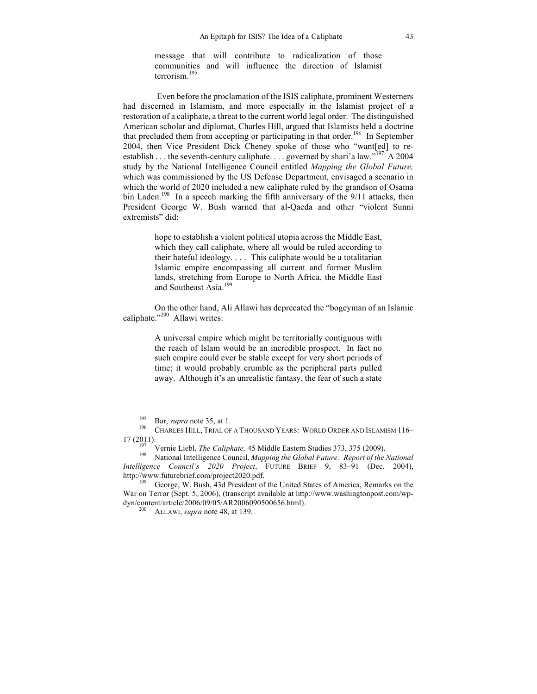message that will contribute to radicalization of those communities and will influence the direction of Islamist terrorism.<sup>195</sup>

Even before the proclamation of the ISIS caliphate, prominent Westerners had discerned in Islamism, and more especially in the Islamist project of a restoration of a caliphate, a threat to the current world legal order. The distinguished American scholar and diplomat, Charles Hill, argued that Islamists held a doctrine that precluded them from accepting or participating in that order. 196 In September 2004, then Vice President Dick Cheney spoke of those who "want[ed] to reestablish  $\dots$  the seventh-century caliphate.  $\dots$  governed by shari'a law."<sup>197</sup> A 2004 study by the National Intelligence Council entitled *Mapping the Global Future,*  which was commissioned by the US Defense Department, envisaged a scenario in which the world of 2020 included a new caliphate ruled by the grandson of Osama bin Laden.<sup>198</sup> In a speech marking the fifth anniversary of the 9/11 attacks, then President George W. Bush warned that al-Qaeda and other "violent Sunni extremists" did:

> hope to establish a violent political utopia across the Middle East, which they call caliphate, where all would be ruled according to their hateful ideology. . . . This caliphate would be a totalitarian Islamic empire encompassing all current and former Muslim lands, stretching from Europe to North Africa, the Middle East and Southeast Asia.<sup>199</sup>

On the other hand, Ali Allawi has deprecated the "bogeyman of an Islamic caliphate."<sup>200</sup> Allawi writes:

> A universal empire which might be territorially contiguous with the reach of Islam would be an incredible prospect. In fact no such empire could ever be stable except for very short periods of time; it would probably crumble as the peripheral parts pulled away. Although it's an unrealistic fantasy, the fear of such a state

<sup>&</sup>lt;sup>195</sup> Bar, *supra* note 35, at 1.<br><sup>196</sup> CHARLES HILL, TRIAL OF A THOUSAND YEARS: WORLD ORDER AND ISLAMISM 116– 17 (2011). <sup>197</sup> Vernie Liebl, *The Caliphate,* 45 Middle Eastern Studies 373, 375 (2009). <sup>198</sup> National Intelligence Council, *Mapping the Global Future: Report of the National* 

*Intelligence Council's 2020 Project*, FUTURE BRIEF 9, 83–91 (Dec. 2004),

http://www.futurebrief.com/project2020.pdf.<br><sup>199</sup> George, W. Bush, 43d President of the United States of America, Remarks on the War on Terror (Sept. 5, 2006), (transcript available at http://www.washingtonpost.com/wpdyn/content/article/2006/09/05/AR2006090500656.html). <sup>200</sup> ALLAWI, *supra* note 48, at 139.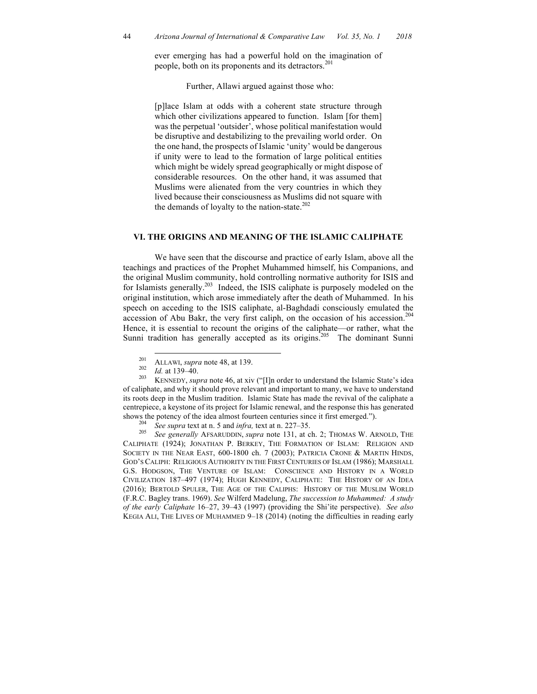ever emerging has had a powerful hold on the imagination of people, both on its proponents and its detractors.<sup>201</sup>

### Further, Allawi argued against those who:

[p]lace Islam at odds with a coherent state structure through which other civilizations appeared to function. Islam [for them] was the perpetual 'outsider', whose political manifestation would be disruptive and destabilizing to the prevailing world order. On the one hand, the prospects of Islamic 'unity' would be dangerous if unity were to lead to the formation of large political entities which might be widely spread geographically or might dispose of considerable resources. On the other hand, it was assumed that Muslims were alienated from the very countries in which they lived because their consciousness as Muslims did not square with the demands of loyalty to the nation-state. $202$ 

### **VI. THE ORIGINS AND MEANING OF THE ISLAMIC CALIPHATE**

We have seen that the discourse and practice of early Islam, above all the teachings and practices of the Prophet Muhammed himself, his Companions, and the original Muslim community, hold controlling normative authority for ISIS and for Islamists generally.<sup>203</sup> Indeed, the ISIS caliphate is purposely modeled on the original institution, which arose immediately after the death of Muhammed. In his speech on acceding to the ISIS caliphate, al-Baghdadi consciously emulated the accession of Abu Bakr, the very first caliph, on the occasion of his accession. 204 Hence, it is essential to recount the origins of the caliphate—or rather, what the Sunni tradition has generally accepted as its origins.<sup>205</sup> The dominant Sunni

CALIPHATE (1924); JONATHAN P. BERKEY, THE FORMATION OF ISLAM: RELIGION AND SOCIETY IN THE NEAR EAST, 600-1800 ch. 7 (2003); PATRICIA CRONE & MARTIN HINDS, GOD'S CALIPH: RELIGIOUS AUTHORITY IN THE FIRST CENTURIES OF ISLAM (1986); MARSHALL G.S. HODGSON, THE VENTURE OF ISLAM: CONSCIENCE AND HISTORY IN A WORLD CIVILIZATION 187–497 (1974); HUGH KENNEDY, CALIPHATE: THE HISTORY OF AN IDEA (2016); BERTOLD SPULER, THE AGE OF THE CALIPHS: HISTORY OF THE MUSLIM WORLD (F.R.C. Bagley trans. 1969). *See* Wilferd Madelung, *The succession to Muhammed: A study of the early Caliphate* 16–27, 39–43 (1997) (providing the Shi'ite perspective). *See also*  KEGIA ALI, THE LIVES OF MUHAMMED 9–18 (2014) (noting the difficulties in reading early

<sup>201</sup> ALLAWI, *supra* note 48, at 139.<br>
202 *Id.* at 139–40.<br>
203 KENNEDY, *supra* note 46, at xiv ("[I]n order to understand the Islamic State's idea of caliphate, and why it should prove relevant and important to many, we have to understand its roots deep in the Muslim tradition. Islamic State has made the revival of the caliphate a centrepiece, a keystone of its project for Islamic renewal, and the response this has generated shows the potency of the idea almost fourteen centuries since it first emerged.").<br>
<sup>204</sup> See supra text at n. 5 and infra, text at n. 227–35.<br>
<sup>205</sup> See generally AFSARUDDIN, supra note 131, at ch. 2; THOMAS W. ARNOLD, T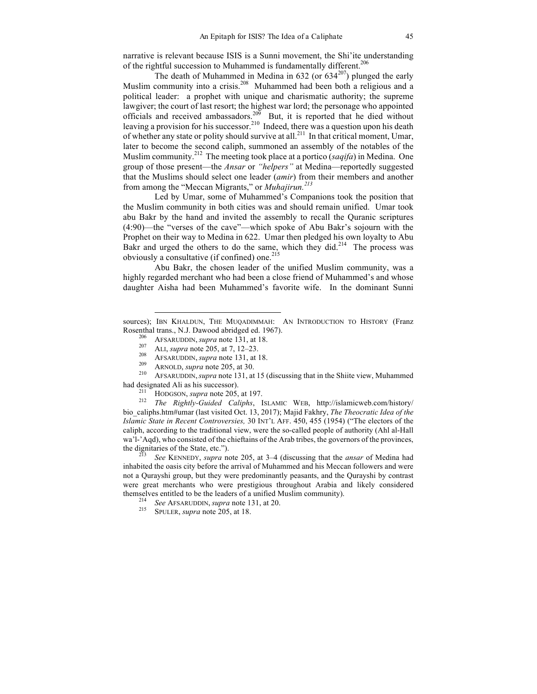narrative is relevant because ISIS is a Sunni movement, the Shi'ite understanding of the rightful succession to Muhammed is fundamentally different.<sup>206</sup>

The death of Muhammed in Medina in 632 (or  $634^{207}$ ) plunged the early Muslim community into a crisis.<sup>208</sup> Muhammed had been both a religious and a political leader: a prophet with unique and charismatic authority; the supreme lawgiver; the court of last resort; the highest war lord; the personage who appointed officials and received ambassadors.<sup>209</sup> But, it is reported that he died without leaving a provision for his successor.<sup>210</sup> Indeed, there was a question upon his death of whether any state or polity should survive at all.<sup>211</sup> In that critical moment, Umar, later to become the second caliph, summoned an assembly of the notables of the Muslim community.212 The meeting took place at a portico (*saqifa*) in Medina. One group of those present—the *Ansar* or *"helpers"* at Medina—reportedly suggested that the Muslims should select one leader (*amir*) from their members and another from among the "Meccan Migrants," or *Muhajirun.<sup>213</sup>*

Led by Umar, some of Muhammed's Companions took the position that the Muslim community in both cities was and should remain unified. Umar took abu Bakr by the hand and invited the assembly to recall the Quranic scriptures (4:90)—the "verses of the cave"—which spoke of Abu Bakr's sojourn with the Prophet on their way to Medina in 622. Umar then pledged his own loyalty to Abu Bakr and urged the others to do the same, which they did.<sup>214</sup> The process was obviously a consultative (if confined) one.<sup>215</sup>

Abu Bakr, the chosen leader of the unified Muslim community, was a highly regarded merchant who had been a close friend of Muhammed's and whose daughter Aisha had been Muhammed's favorite wife. In the dominant Sunni

 $\overline{a}$ 

had designated Ali as his successor).<br><sup>211</sup> HODGSON, *supra* note 205, at 197.<br><sup>212</sup> *The Rightly-Guided Caliphs*, ISLAMIC WEB, http://islamicweb.com/history/

bio\_caliphs.htm#umar (last visited Oct. 13, 2017); Majid Fakhry, *The Theocratic Idea of the Islamic State in Recent Controversies,* 30 INT'L AFF. 450, 455 (1954) ("The electors of the caliph, according to the traditional view, were the so-called people of authority (Ahl al-Hall wa'l-'Aqd), who consisted of the chieftains of the Arab tribes, the governors of the provinces, the dignitaries of the State, etc."). 213 *See* KENNEDY, *supra* note 205, at 3–4 (discussing that the *ansar* of Medina had

inhabited the oasis city before the arrival of Muhammed and his Meccan followers and were not a Qurayshi group, but they were predominantly peasants, and the Qurayshi by contrast were great merchants who were prestigious throughout Arabia and likely considered themselves entitled to be the leaders of a unified Muslim community).<br><sup>214</sup> *See* AFSARUDDIN, *supra* note 131, at 20.<br><sup>215</sup> SPULER, *supra* note 205, at 18.

sources); IBN KHALDUN, THE MUQADIMMAH: AN INTRODUCTION TO HISTORY (Franz Rosenthal trans., N.J. Dawood abridged ed. 1967).<br>
<sup>206</sup> AFSARUDDIN, *supra* note 131, at 18.<br>
<sup>207</sup> ALI, *supra* note 205, at 7, 12–23.<br>
<sup>208</sup> AFSARUDDIN, *supra* note 131, at 18.<br>
<sup>209</sup> ARNOLD, *supra* note 205, at 30.<br>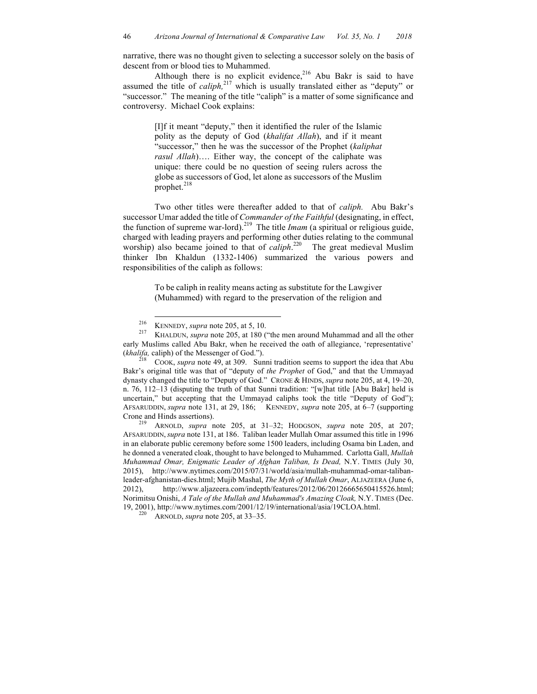narrative, there was no thought given to selecting a successor solely on the basis of descent from or blood ties to Muhammed.

Although there is no explicit evidence,  $216$  Abu Bakr is said to have assumed the title of *caliph,*<sup>217</sup> which is usually translated either as "deputy" or "successor." The meaning of the title "caliph" is a matter of some significance and controversy. Michael Cook explains:

> [I]f it meant "deputy," then it identified the ruler of the Islamic polity as the deputy of God (*khalifat Allah*), and if it meant "successor," then he was the successor of the Prophet (*kaliphat rasul Allah*)…. Either way, the concept of the caliphate was unique: there could be no question of seeing rulers across the globe as successors of God, let alone as successors of the Muslim prophet.<sup>218</sup>

Two other titles were thereafter added to that of *caliph.* Abu Bakr's successor Umar added the title of *Commander of the Faithful* (designating, in effect, the function of supreme war-lord). 219 The title *Imam* (a spiritual or religious guide, charged with leading prayers and performing other duties relating to the communal worship) also became joined to that of *caliph*. The great medieval Muslim thinker Ibn Khaldun (1332-1406) summarized the various powers and responsibilities of the caliph as follows:

> To be caliph in reality means acting as substitute for the Lawgiver (Muhammed) with regard to the preservation of the religion and

(*khalifa,* caliph) of the Messenger of God."). <sup>218</sup> COOK, *supra* note 49, at 309. Sunni tradition seems to support the idea that Abu Bakr's original title was that of "deputy of *the Prophet* of God," and that the Ummayad dynasty changed the title to "Deputy of God." CRONE & HINDS, *supra* note 205, at 4, 19–20, n. 76, 112–13 (disputing the truth of that Sunni tradition: "[w]hat title [Abu Bakr] held is uncertain," but accepting that the Ummayad caliphs took the title "Deputy of God"); AFSARUDDIN, *supra* note 131, at 29, 186; KENNEDY, *supra* note 205, at 6–7 (supporting Crone and Hinds assertions). <sup>219</sup> ARNOLD, *supra* note 205, at 31–32; HODGSON, *supra* note 205, at 207;

AFSARUDDIN,*supra* note 131, at 186. Taliban leader Mullah Omar assumed this title in 1996 in an elaborate public ceremony before some 1500 leaders, including Osama bin Laden, and he donned a venerated cloak, thought to have belonged to Muhammed. Carlotta Gall, *Mullah Muhammad Omar, Enigmatic Leader of Afghan Taliban, Is Dead,* N.Y. TIMES (July 30, 2015), http://www.nytimes.com/2015/07/31/world/asia/mullah-muhammad-omar-talibanleader-afghanistan-dies.html; Mujib Mashal, *The Myth of Mullah Omar*, ALJAZEERA (June 6, 2012), http://www.aljazeera.com/indepth/features/2012/06/20126665650415526.html; Norimitsu Onishi, *A Tale of the Mullah and Muhammad's Amazing Cloak,* N.Y. TIMES (Dec. 19, 2001), http://www.nytimes.com/2001/12/19/international/asia/19CLOA.html. 220 ARNOLD, *supra* note 205, at 33–35.

<sup>216</sup> KENNEDY, *supra* note 205, at 5, 10. <sup>217</sup> KHALDUN, *supra* note 205, at 180 ("the men around Muhammad and all the other early Muslims called Abu Bakr, when he received the oath of allegiance, 'representative'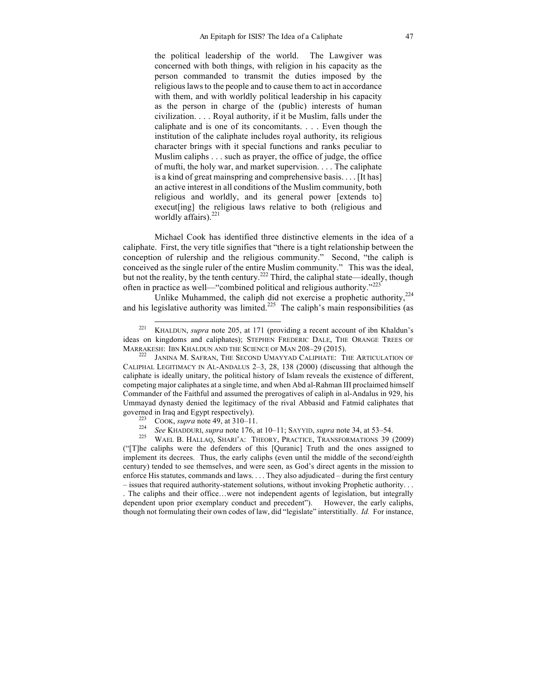the political leadership of the world. The Lawgiver was concerned with both things, with religion in his capacity as the person commanded to transmit the duties imposed by the religious laws to the people and to cause them to act in accordance with them, and with worldly political leadership in his capacity as the person in charge of the (public) interests of human civilization. . . . Royal authority, if it be Muslim, falls under the caliphate and is one of its concomitants. . . . Even though the institution of the caliphate includes royal authority, its religious character brings with it special functions and ranks peculiar to Muslim caliphs . . . such as prayer, the office of judge, the office of mufti, the holy war, and market supervision. . . . The caliphate is a kind of great mainspring and comprehensive basis. . . . [It has] an active interest in all conditions of the Muslim community, both religious and worldly, and its general power [extends to] execut<sup>[ing]</sup> the religious laws relative to both (religious and worldly affairs).<sup>221</sup>

Michael Cook has identified three distinctive elements in the idea of a caliphate. First, the very title signifies that "there is a tight relationship between the conception of rulership and the religious community." Second, "the caliph is conceived as the single ruler of the entire Muslim community." This was the ideal, but not the reality, by the tenth century.<sup>222</sup> Third, the caliphal state—ideally, though often in practice as well—"combined political and religious authority."223

Unlike Muhammed, the caliph did not exercise a prophetic authority, $^{224}$ and his legislative authority was limited.<sup>225</sup> The caliph's main responsibilities (as

("[T]he caliphs were the defenders of this [Quranic] Truth and the ones assigned to implement its decrees. Thus, the early caliphs (even until the middle of the second/eighth century) tended to see themselves, and were seen, as God's direct agents in the mission to enforce His statutes, commands and laws. . . . They also adjudicated – during the first century – issues that required authority-statement solutions, without invoking Prophetic authority. . .

. The caliphs and their office…were not independent agents of legislation, but integrally dependent upon prior exemplary conduct and precedent"). However, the early caliphs, though not formulating their own codes of law, did "legislate" interstitially. *Id.* For instance,

 <sup>221</sup> KHALDUN, *supra* note 205, at 171 (providing a recent account of ibn Khaldun's ideas on kingdoms and caliphates); STEPHEN FREDERIC DALE, THE ORANGE TREES OF MARRAKESH: IBN KHALDUN AND THE SCIENCE OF MAN 208-29 (2015).

 $^{222}$  JANINA M. SAFRAN, THE SECOND UMAYYAD CALIPHATE: THE ARTICULATION OF CALIPHAL LEGITIMACY IN AL-ANDALUS 2–3, 28, 138 (2000) (discussing that although the caliphate is ideally unitary, the political history of Islam reveals the existence of different, competing major caliphates at a single time, and when Abd al-Rahman III proclaimed himself Commander of the Faithful and assumed the prerogatives of caliph in al-Andalus in 929, his Ummayad dynasty denied the legitimacy of the rival Abbasid and Fatmid caliphates that governed in Iraq and Egypt respectively).<br>
<sup>223</sup> COOK, *supra* note 49, at 310–11.<br>
<sup>224</sup> See KHADDURI, *supra* note 176, at 10–11; SAYYID, *supra* note 34, at 53–54.<br>
<sup>225</sup> WAEL B. HALLAQ, SHARI'A: THEORY, PRACTICE, TRANS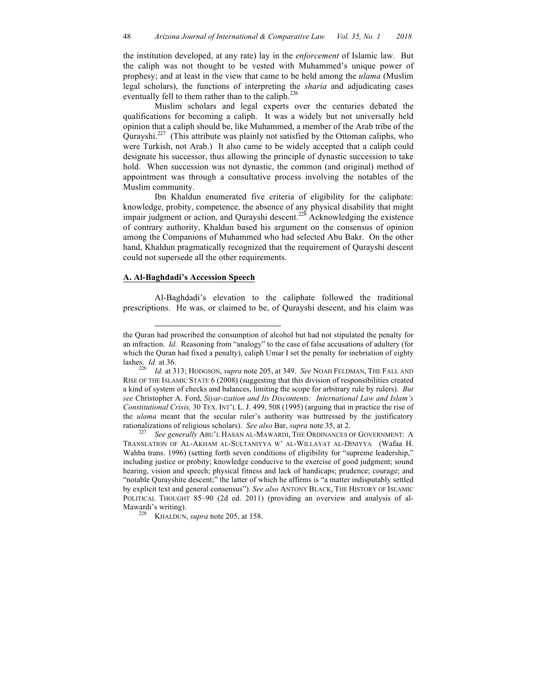the institution developed, at any rate) lay in the *enforcement* of Islamic law. But the caliph was not thought to be vested with Muhammed's unique power of prophesy; and at least in the view that came to be held among the *ulama* (Muslim legal scholars), the functions of interpreting the *sharia* and adjudicating cases eventually fell to them rather than to the caliph.<sup>226</sup>

Muslim scholars and legal experts over the centuries debated the qualifications for becoming a caliph. It was a widely but not universally held opinion that a caliph should be, like Muhammed, a member of the Arab tribe of the Qurayshi.<sup>227</sup> (This attribute was plainly not satisfied by the Ottoman caliphs, who were Turkish, not Arab.) It also came to be widely accepted that a caliph could designate his successor, thus allowing the principle of dynastic succession to take hold. When succession was not dynastic, the common (and original) method of appointment was through a consultative process involving the notables of the Muslim community.

Ibn Khaldun enumerated five criteria of eligibility for the caliphate: knowledge, probity, competence, the absence of any physical disability that might impair judgment or action, and Qurayshi descent.<sup>228</sup> Acknowledging the existence of contrary authority, Khaldun based his argument on the consensus of opinion among the Companions of Muhammed who had selected Abu Bakr. On the other hand, Khaldun pragmatically recognized that the requirement of Qurayshi descent could not supersede all the other requirements.

### **A. Al-Baghdadi's Accession Speech**

 $\overline{a}$ 

Al-Baghdadi's elevation to the caliphate followed the traditional prescriptions. He was, or claimed to be, of Qurayshi descent, and his claim was

the Quran had proscribed the consumption of alcohol but had not stipulated the penalty for an infraction. *Id.* Reasoning from "analogy" to the case of false accusations of adultery (for which the Quran had fixed a penalty), caliph Umar I set the penalty for inebriation of eighty lashes. *Id.* at 36. <sup>226</sup> *Id.* at 313; HODGSON, *supra* note 205, at 349. *See* NOAH FELDMAN, THE FALL AND

RISE OF THE ISLAMIC STATE 6 (2008) (suggesting that this division of responsibilities created a kind of system of checks and balances, limiting the scope for arbitrary rule by rulers). *But see* Christopher A. Ford, *Siyar-ization and Its Discontents: International Law and Islam's Constitutional Crisis,* 30 TEX. INT'L L.J. 499, 508 (1995) (arguing that in practice the rise of the *ulama* meant that the secular ruler's authority was buttressed by the justificatory rationalizations of religious scholars). *See also* Bar, *supra* note 35, at 2. <sup>227</sup> *See generally* ABU'L HASAN AL-MAWARDI, THE ORDINANCES OF GOVERNMENT: A

TRANSLATION OF AL-AKHAM AL-SULTANIYYA W' AL-WILLAYAT AL-DINIYYA (Wafaa H. Wahba trans. 1996) (setting forth seven conditions of eligibility for "supreme leadership," including justice or probity; knowledge conducive to the exercise of good judgment; sound hearing, vision and speech; physical fitness and lack of handicaps; prudence; courage; and "notable Qurayshite descent;" the latter of which he affirms is "a matter indisputably settled by explicit text and general consensus"). *See also* ANTONY BLACK, THE HISTORY OF ISLAMIC POLITICAL THOUGHT 85-90 (2d ed. 2011) (providing an overview and analysis of al-Mawardi's writing). <sup>228</sup> KHALDUN, *supra* note 205, at 158.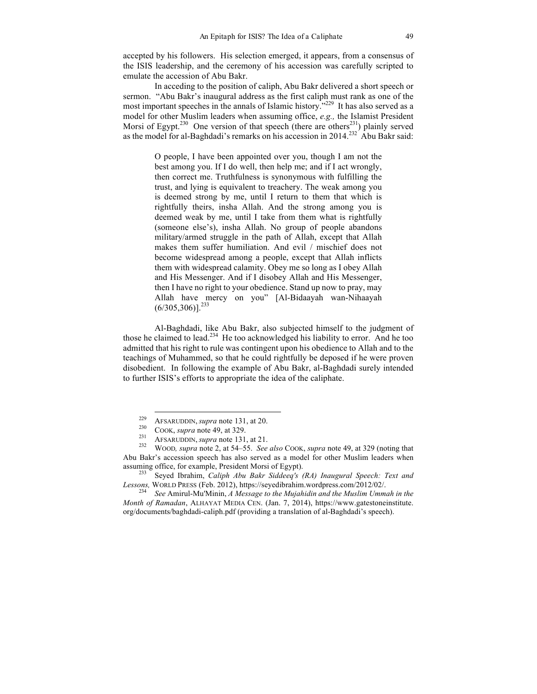accepted by his followers. His selection emerged, it appears, from a consensus of the ISIS leadership, and the ceremony of his accession was carefully scripted to emulate the accession of Abu Bakr.

In acceding to the position of caliph, Abu Bakr delivered a short speech or sermon. "Abu Bakr's inaugural address as the first caliph must rank as one of the most important speeches in the annals of Islamic history."229 It has also served as a model for other Muslim leaders when assuming office, *e.g.,* the Islamist President Morsi of Egypt.<sup>230</sup> One version of that speech (there are others<sup>231</sup>) plainly served as the model for al-Baghdadi's remarks on his accession in 2014.<sup>232</sup> Abu Bakr said:

> O people, I have been appointed over you, though I am not the best among you. If I do well, then help me; and if I act wrongly, then correct me. Truthfulness is synonymous with fulfilling the trust, and lying is equivalent to treachery. The weak among you is deemed strong by me, until I return to them that which is rightfully theirs, insha Allah. And the strong among you is deemed weak by me, until I take from them what is rightfully (someone else's), insha Allah. No group of people abandons military/armed struggle in the path of Allah, except that Allah makes them suffer humiliation. And evil / mischief does not become widespread among a people, except that Allah inflicts them with widespread calamity. Obey me so long as I obey Allah and His Messenger. And if I disobey Allah and His Messenger, then I have no right to your obedience. Stand up now to pray, may Allah have mercy on you" [Al-Bidaayah wan-Nihaayah  $(6/305, 306)$ <sup>233</sup>

Al-Baghdadi, like Abu Bakr, also subjected himself to the judgment of those he claimed to lead.<sup>234</sup> He too acknowledged his liability to error. And he too admitted that his right to rule was contingent upon his obedience to Allah and to the teachings of Muhammed, so that he could rightfully be deposed if he were proven disobedient. In following the example of Abu Bakr, al-Baghdadi surely intended to further ISIS's efforts to appropriate the idea of the caliphate.

<sup>&</sup>lt;sup>229</sup> AFSARUDDIN, *supra* note 131, at 20.<br>
<sup>230</sup> COOK, *supra* note 49, at 329.<br>
AFSARUDDIN, *supra* note 131, at 21.<br>
<sup>232</sup> WOOD, *supra* note 2, at 54–55. *See also* COOK, *supra* note 49, at 329 (noting that Abu Bakr's accession speech has also served as a model for other Muslim leaders when assuming office, for example, President Morsi of Egypt). <sup>233</sup> Seyed Ibrahim, *Caliph Abu Bakr Siddeeq's (RA) Inaugural Speech: Text and* 

*Lessons,* WORLD PRESS (Feb. 2012), https://seyedibrahim.wordpress.com/2012/02/. <sup>234</sup> *See* Amirul-Mu'Minin, *A Message to the Mujahidin and the Muslim Ummah in the* 

*Month of Ramadan*, ALHAYAT MEDIA CEN. (Jan. 7, 2014), https://www.gatestoneinstitute. org/documents/baghdadi-caliph.pdf (providing a translation of al-Baghdadi's speech).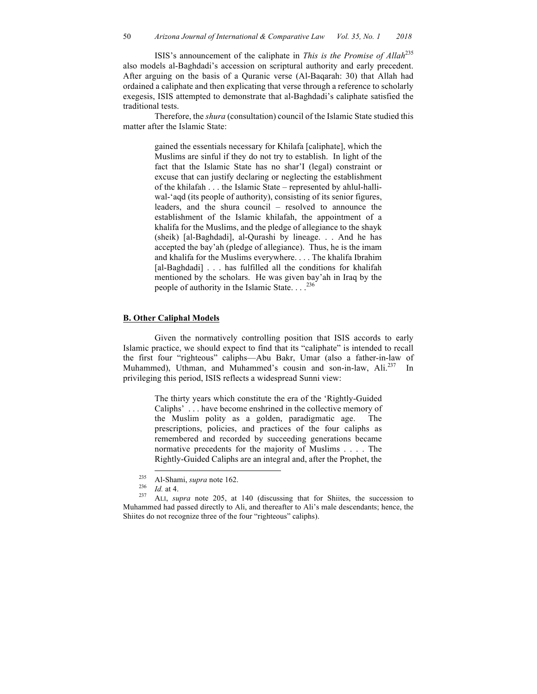ISIS's announcement of the caliphate in *This is the Promise of Allah*<sup>235</sup> also models al-Baghdadi's accession on scriptural authority and early precedent. After arguing on the basis of a Quranic verse (Al-Baqarah: 30) that Allah had ordained a caliphate and then explicating that verse through a reference to scholarly exegesis, ISIS attempted to demonstrate that al-Baghdadi's caliphate satisfied the traditional tests.

Therefore, the *shura* (consultation) council of the Islamic State studied this matter after the Islamic State:

> gained the essentials necessary for Khilafa [caliphate], which the Muslims are sinful if they do not try to establish. In light of the fact that the Islamic State has no shar'I (legal) constraint or excuse that can justify declaring or neglecting the establishment of the khilafah . . . the Islamic State – represented by ahlul-halliwal-'aqd (its people of authority), consisting of its senior figures, leaders, and the shura council – resolved to announce the establishment of the Islamic khilafah, the appointment of a khalifa for the Muslims, and the pledge of allegiance to the shayk (sheik) [al-Baghdadi], al-Qurashi by lineage. . . And he has accepted the bay'ah (pledge of allegiance). Thus, he is the imam and khalifa for the Muslims everywhere. . . . The khalifa Ibrahim [al-Baghdadi] . . . has fulfilled all the conditions for khalifah mentioned by the scholars. He was given bay'ah in Iraq by the people of authority in the Islamic State.  $\ldots$ <sup>236</sup>

### **B. Other Caliphal Models**

Given the normatively controlling position that ISIS accords to early Islamic practice, we should expect to find that its "caliphate" is intended to recall the first four "righteous" caliphs—Abu Bakr, Umar (also a father-in-law of Muhammed), Uthman, and Muhammed's cousin and son-in-law, Ali.<sup>237</sup> In privileging this period, ISIS reflects a widespread Sunni view:

> The thirty years which constitute the era of the 'Rightly-Guided Caliphs' . . . have become enshrined in the collective memory of the Muslim polity as a golden, paradigmatic age. The prescriptions, policies, and practices of the four caliphs as remembered and recorded by succeeding generations became normative precedents for the majority of Muslims . . . . The Rightly-Guided Caliphs are an integral and, after the Prophet, the

<sup>235</sup> Al-Shami, *supra* note 162. 236 *Id.* at 4. <sup>237</sup> ALI, *supra* note 205, at 140 (discussing that for Shiites, the succession to Muhammed had passed directly to Ali, and thereafter to Ali's male descendants; hence, the Shiites do not recognize three of the four "righteous" caliphs).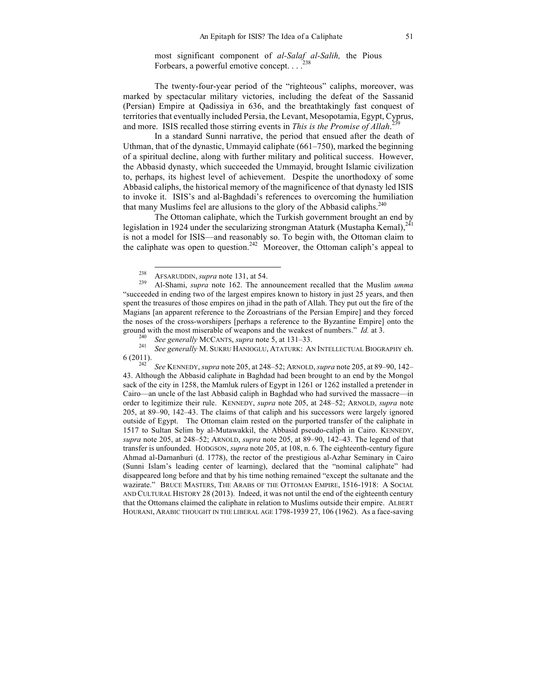most significant component of *al-Salaf al-Salih,* the Pious Forbears, a powerful emotive concept.  $\ldots$ <sup>238</sup>

The twenty-four-year period of the "righteous" caliphs, moreover, was marked by spectacular military victories, including the defeat of the Sassanid (Persian) Empire at Qadissiya in 636, and the breathtakingly fast conquest of territories that eventually included Persia, the Levant, Mesopotamia, Egypt, Cyprus, and more. ISIS recalled those stirring events in *This is the Promise of Allah*. 239

In a standard Sunni narrative, the period that ensued after the death of Uthman, that of the dynastic, Ummayid caliphate  $(661–750)$ , marked the beginning of a spiritual decline, along with further military and political success. However, the Abbasid dynasty, which succeeded the Ummayid, brought Islamic civilization to, perhaps, its highest level of achievement. Despite the unorthodoxy of some Abbasid caliphs, the historical memory of the magnificence of that dynasty led ISIS to invoke it. ISIS's and al-Baghdadi's references to overcoming the humiliation that many Muslims feel are allusions to the glory of the Abbasid caliphs. $240$ 

The Ottoman caliphate, which the Turkish government brought an end by legislation in 1924 under the secularizing strongman Ataturk (Mustapha Kemal),<sup>241</sup> is not a model for ISIS—and reasonably so. To begin with, the Ottoman claim to the caliphate was open to question.<sup>242</sup> Moreover, the Ottoman caliph's appeal to

<sup>238</sup> AFSARUDDIN, *supra* note 131, at 54. 239 Al-Shami, *supra* note 162. The announcement recalled that the Muslim *umma* "succeeded in ending two of the largest empires known to history in just 25 years, and then spent the treasures of those empires on jihad in the path of Allah. They put out the fire of the Magians [an apparent reference to the Zoroastrians of the Persian Empire] and they forced the noses of the cross-worshipers [perhaps a reference to the Byzantine Empire] onto the

ground with the most miserable of weapons and the weakest of numbers." *Id.* at 3.<br><sup>240</sup> See generally MCCANTS, supra note 5, at 131–33.<br><sup>241</sup> See generally M. SUKRU HANIOGLU, ATATURK: AN INTELLECTUAL BIOGRAPHY ch.<br>6 (201

<sup>6 (2011).</sup> <sup>242</sup> *See* KENNEDY, *supra* note 205, at 248–52; ARNOLD, *supra* note 205, at 89–90, 142– 43. Although the Abbasid caliphate in Baghdad had been brought to an end by the Mongol sack of the city in 1258, the Mamluk rulers of Egypt in 1261 or 1262 installed a pretender in Cairo—an uncle of the last Abbasid caliph in Baghdad who had survived the massacre—in order to legitimize their rule. KENNEDY, *supra* note 205, at 248–52; ARNOLD, *supra* note 205, at 89–90, 142–43. The claims of that caliph and his successors were largely ignored outside of Egypt. The Ottoman claim rested on the purported transfer of the caliphate in 1517 to Sultan Selim by al-Mutawakkil, the Abbasid pseudo-caliph in Cairo. KENNEDY, *supra* note 205, at 248–52; ARNOLD, *supra* note 205, at 89–90, 142–43. The legend of that transfer is unfounded. HODGSON, *supra* note 205, at 108, n. 6. The eighteenth-century figure Ahmad al-Damanhuri (d. 1778), the rector of the prestigious al-Azhar Seminary in Cairo (Sunni Islam's leading center of learning), declared that the "nominal caliphate" had disappeared long before and that by his time nothing remained "except the sultanate and the wazirate." BRUCE MASTERS, THE ARABS OF THE OTTOMAN EMPIRE, 1516-1918: A SOCIAL AND CULTURAL HISTORY 28 (2013).Indeed, it was not until the end of the eighteenth century that the Ottomans claimed the caliphate in relation to Muslims outside their empire. ALBERT HOURANI, ARABIC THOUGHT IN THE LIBERAL AGE 1798-1939 27, 106 (1962). As a face-saving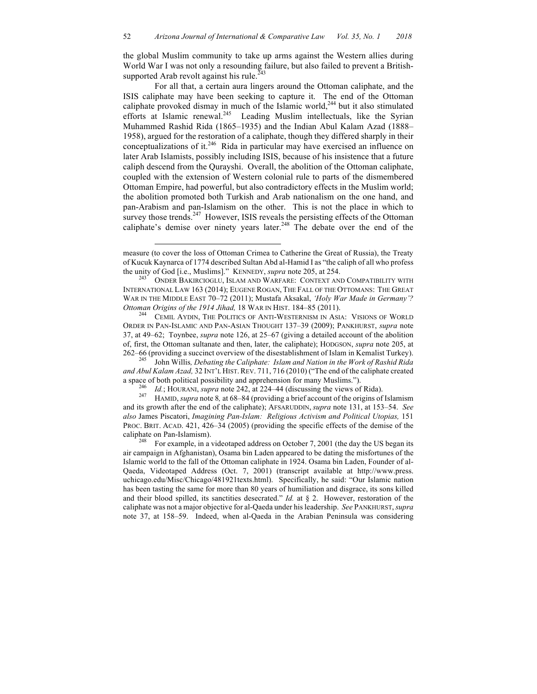the global Muslim community to take up arms against the Western allies during World War I was not only a resounding failure, but also failed to prevent a Britishsupported Arab revolt against his rule.<sup>24</sup>

For all that, a certain aura lingers around the Ottoman caliphate, and the ISIS caliphate may have been seeking to capture it. The end of the Ottoman caliphate provoked dismay in much of the Islamic world,<sup>244</sup> but it also stimulated efforts at Islamic renewal.<sup>245</sup> Leading Muslim intellectuals, like the Syrian Muhammed Rashid Rida (1865–1935) and the Indian Abul Kalam Azad (1888– 1958), argued for the restoration of a caliphate, though they differed sharply in their conceptualizations of it.<sup>246</sup> Rida in particular may have exercised an influence on later Arab Islamists, possibly including ISIS, because of his insistence that a future caliph descend from the Qurayshi. Overall, the abolition of the Ottoman caliphate, coupled with the extension of Western colonial rule to parts of the dismembered Ottoman Empire, had powerful, but also contradictory effects in the Muslim world; the abolition promoted both Turkish and Arab nationalism on the one hand, and pan-Arabism and pan-Islamism on the other. This is not the place in which to survey those trends.<sup>247</sup> However, ISIS reveals the persisting effects of the Ottoman caliphate's demise over ninety years later.<sup>248</sup> The debate over the end of the

 $\overline{a}$ 

and Abul Kalam Azad, 32 INT'L HIST. REV. 711, 716 (2010) ("The end of the caliphate created a space of both political possibility and apprehension for many Muslims.").<br>
<sup>246</sup> *Id.*; HOURANI, *supra* note 242, at 224–44 (discussing the views of Rida).<br>
<sup>247</sup> HAMID, *supra* note 8, at 68–84 (providing a brief acco

and its growth after the end of the caliphate); AFSARUDDIN, *supra* note 131, at 153–54. *See also* James Piscatori, *Imagining Pan-Islam: Religious Activism and Political Utopias,* 151 PROC. BRIT. ACAD. 421, 426–34 (2005) (providing the specific effects of the demise of the caliphate on Pan-Islamism).<br><sup>248</sup> For example, in a videotaped address on October 7, 2001 (the day the US began its

air campaign in Afghanistan), Osama bin Laden appeared to be dating the misfortunes of the Islamic world to the fall of the Ottoman caliphate in 1924. Osama bin Laden, Founder of al-Qaeda, Videotaped Address (Oct. 7, 2001) (transcript available at http://www.press. uchicago.edu/Misc/Chicago/481921texts.html). Specifically, he said: "Our Islamic nation has been tasting the same for more than 80 years of humiliation and disgrace, its sons killed and their blood spilled, its sanctities desecrated." *Id.* at § 2. However, restoration of the caliphate was not a major objective for al-Qaeda under his leadership. *See* PANKHURST, *supra* note 37, at 158–59. Indeed, when al-Qaeda in the Arabian Peninsula was considering

measure (to cover the loss of Ottoman Crimea to Catherine the Great of Russia), the Treaty of Kucuk Kaynarca of 1774 described Sultan Abd al-Hamid I as "the caliph of all who profess the unity of God [i.e., Muslims]." KENNEDY, *supra* note 205, at 254.<br><sup>243</sup> ONDER BAKIRCIOGLU, ISLAM AND WARFARE: CONTEXT AND COMPATIBILITY WITH

INTERNATIONAL LAW 163 (2014); EUGENE ROGAN, THE FALL OF THE OTTOMANS: THE GREAT WAR IN THE MIDDLE EAST 70–72 (2011); Mustafa Aksakal, *'Holy War Made in Germany'? Ottoman Origins of the 1914 Jihad,* 18 WAR IN HIST. 184–85 (2011).<br><sup>244</sup> CEMIL AYDIN, THE POLITICS OF ANTI-WESTERNISM IN ASIA: VISIONS OF WORLD

ORDER IN PAN-ISLAMIC AND PAN-ASIAN THOUGHT 137–39 (2009); PANKHURST, *supra* note 37, at 49–62; Toynbee, *supra* note 126, at 25–67 (giving a detailed account of the abolition of, first, the Ottoman sultanate and then, later, the caliphate); HODGSON, *supra* note 205, at 262–66 (providing a succinct overview of the disestablishment of Islam in Kemalist Turkey). <sup>245</sup> John Willis*, Debating the Caliphate: Islam and Nation in the Work of Rashid Rida*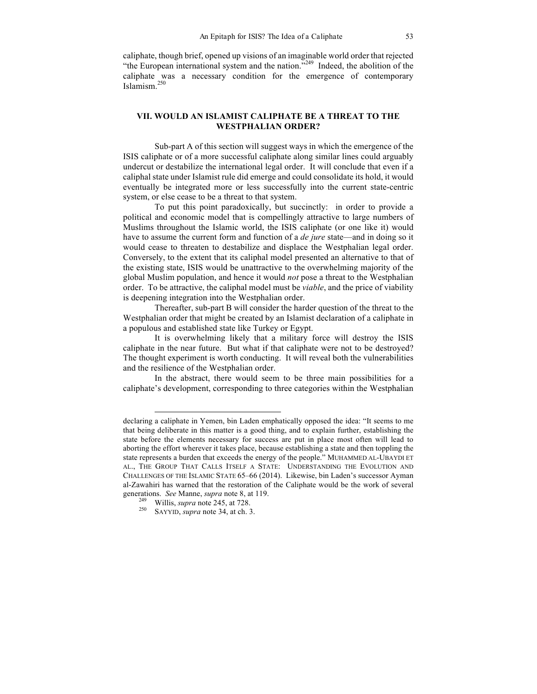caliphate, though brief, opened up visions of an imaginable world order that rejected "the European international system and the nation."<sup>249</sup> Indeed, the abolition of the caliphate was a necessary condition for the emergence of contemporary Islamism.250

### **VII. WOULD AN ISLAMIST CALIPHATE BE A THREAT TO THE WESTPHALIAN ORDER?**

Sub-part A of this section will suggest ways in which the emergence of the ISIS caliphate or of a more successful caliphate along similar lines could arguably undercut or destabilize the international legal order. It will conclude that even if a caliphal state under Islamist rule did emerge and could consolidate its hold, it would eventually be integrated more or less successfully into the current state-centric system, or else cease to be a threat to that system.

To put this point paradoxically, but succinctly: in order to provide a political and economic model that is compellingly attractive to large numbers of Muslims throughout the Islamic world, the ISIS caliphate (or one like it) would have to assume the current form and function of a *de jure* state—and in doing so it would cease to threaten to destabilize and displace the Westphalian legal order. Conversely, to the extent that its caliphal model presented an alternative to that of the existing state, ISIS would be unattractive to the overwhelming majority of the global Muslim population, and hence it would *not* pose a threat to the Westphalian order. To be attractive, the caliphal model must be *viable*, and the price of viability is deepening integration into the Westphalian order.

Thereafter, sub-part B will consider the harder question of the threat to the Westphalian order that might be created by an Islamist declaration of a caliphate in a populous and established state like Turkey or Egypt.

It is overwhelming likely that a military force will destroy the ISIS caliphate in the near future. But what if that caliphate were not to be destroyed? The thought experiment is worth conducting. It will reveal both the vulnerabilities and the resilience of the Westphalian order.

In the abstract, there would seem to be three main possibilities for a caliphate's development, corresponding to three categories within the Westphalian

 $\overline{a}$ 

declaring a caliphate in Yemen, bin Laden emphatically opposed the idea: "It seems to me that being deliberate in this matter is a good thing, and to explain further, establishing the state before the elements necessary for success are put in place most often will lead to aborting the effort wherever it takes place, because establishing a state and then toppling the state represents a burden that exceeds the energy of the people." MUHAMMED AL-UBAYDI ET AL., THE GROUP THAT CALLS ITSELF A STATE: UNDERSTANDING THE EVOLUTION AND CHALLENGES OF THE ISLAMIC STATE 65–66 (2014). Likewise, bin Laden's successor Ayman al-Zawahiri has warned that the restoration of the Caliphate would be the work of several generations. *See* Manne, *supra* note 8, at 119. <sup>249</sup> Willis, *supra* note 245, at 728. <sup>250</sup> SAYYID, *supra* note 34, at ch. 3.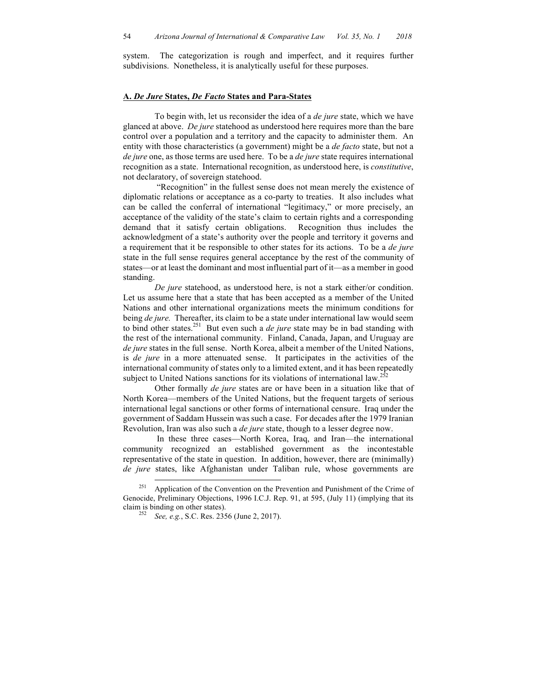system. The categorization is rough and imperfect, and it requires further subdivisions. Nonetheless, it is analytically useful for these purposes.

## **A.** *De Jure* **States,** *De Facto* **States and Para-States**

To begin with, let us reconsider the idea of a *de jure* state, which we have glanced at above. *De jure* statehood as understood here requires more than the bare control over a population and a territory and the capacity to administer them. An entity with those characteristics (a government) might be a *de facto* state, but not a *de jure* one, as those terms are used here. To be a *de jure* state requires international recognition as a state. International recognition, as understood here, is *constitutive*, not declaratory, of sovereign statehood.

"Recognition" in the fullest sense does not mean merely the existence of diplomatic relations or acceptance as a co-party to treaties. It also includes what can be called the conferral of international "legitimacy," or more precisely, an acceptance of the validity of the state's claim to certain rights and a corresponding demand that it satisfy certain obligations. Recognition thus includes the acknowledgment of a state's authority over the people and territory it governs and a requirement that it be responsible to other states for its actions. To be a *de jure* state in the full sense requires general acceptance by the rest of the community of states—or at least the dominant and most influential part of it—as a member in good standing.

*De jure* statehood, as understood here, is not a stark either/or condition. Let us assume here that a state that has been accepted as a member of the United Nations and other international organizations meets the minimum conditions for being *de jure.* Thereafter, its claim to be a state under international law would seem to bind other states.251 But even such a *de jure* state may be in bad standing with the rest of the international community. Finland, Canada, Japan, and Uruguay are *de jure* states in the full sense. North Korea, albeit a member of the United Nations, is *de jure* in a more attenuated sense. It participates in the activities of the international community of states only to a limited extent, and it has been repeatedly subject to United Nations sanctions for its violations of international law.<sup>252</sup>

Other formally *de jure* states are or have been in a situation like that of North Korea—members of the United Nations, but the frequent targets of serious international legal sanctions or other forms of international censure. Iraq under the government of Saddam Hussein was such a case. For decades after the 1979 Iranian Revolution, Iran was also such a *de jure* state, though to a lesser degree now.

In these three cases—North Korea, Iraq, and Iran—the international community recognized an established government as the incontestable representative of the state in question. In addition, however, there are (minimally) *de jure* states, like Afghanistan under Taliban rule, whose governments are

Application of the Convention on the Prevention and Punishment of the Crime of Genocide, Preliminary Objections, 1996 I.C.J. Rep. 91, at 595, (July 11) (implying that its claim is binding on other states).<br><sup>252</sup> *See, e.g.*, S.C. Res. 2356 (June 2, 2017).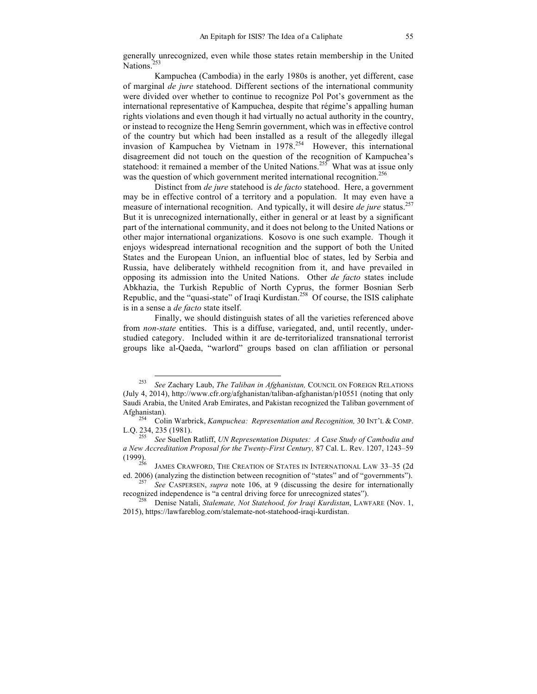generally unrecognized, even while those states retain membership in the United Nations.<sup>253</sup>

Kampuchea (Cambodia) in the early 1980s is another, yet different, case of marginal *de jure* statehood. Different sections of the international community were divided over whether to continue to recognize Pol Pot's government as the international representative of Kampuchea, despite that régime's appalling human rights violations and even though it had virtually no actual authority in the country, or instead to recognize the Heng Semrin government, which was in effective control of the country but which had been installed as a result of the allegedly illegal invasion of Kampuchea by Vietnam in 1978.<sup>254</sup> However, this international disagreement did not touch on the question of the recognition of Kampuchea's statehood: it remained a member of the United Nations.<sup>255</sup> What was at issue only was the question of which government merited international recognition.<sup>256</sup>

Distinct from *de jure* statehood is *de facto* statehood. Here, a government may be in effective control of a territory and a population. It may even have a measure of international recognition. And typically, it will desire *de jure* status.<sup>257</sup> But it is unrecognized internationally, either in general or at least by a significant part of the international community, and it does not belong to the United Nations or other major international organizations. Kosovo is one such example. Though it enjoys widespread international recognition and the support of both the United States and the European Union, an influential bloc of states, led by Serbia and Russia, have deliberately withheld recognition from it, and have prevailed in opposing its admission into the United Nations. Other *de facto* states include Abkhazia, the Turkish Republic of North Cyprus, the former Bosnian Serb Republic, and the "quasi-state" of Iraqi Kurdistan.<sup>258</sup> Of course, the ISIS caliphate is in a sense a *de facto* state itself.

Finally, we should distinguish states of all the varieties referenced above from *non-state* entities. This is a diffuse, variegated, and, until recently, understudied category. Included within it are de-territorialized transnational terrorist groups like al-Qaeda, "warlord" groups based on clan affiliation or personal

 <sup>253</sup> *See* Zachary Laub, *The Taliban in Afghanistan,* COUNCIL ON FOREIGN RELATIONS (July 4, 2014), http://www.cfr.org/afghanistan/taliban-afghanistan/p10551 (noting that only Saudi Arabia, the United Arab Emirates, and Pakistan recognized the Taliban government of Afghanistan). 254 Colin Warbrick, *Kampuchea: Representation and Recognition,* 30 INT'L & COMP.

L.Q. 234, 235 (1981).<br>See Suellen

<sup>255</sup> *See* Suellen Ratliff, *UN Representation Disputes: A Case Study of Cambodia and a New Accreditation Proposal for the Twenty-First Century,* 87 Cal. L. Rev. 1207, 1243–59

<sup>(1999).&</sup>lt;br><sup>256</sup> James Crawford, The Creation of States in International Law 33–35 (2d

ed. 2006) (analyzing the distinction between recognition of "states" and of "governments"). <sup>257</sup> *See* CASPERSEN, *supra* note 106, at 9 (discussing the desire for internationally recognized independence is "a central driving force for unrecognized states"). <sup>258</sup> Denise Natali, *Stalemate, Not Statehood, for Iraqi Kurdistan*, LAWFARE (Nov. 1,

<sup>2015),</sup> https://lawfareblog.com/stalemate-not-statehood-iraqi-kurdistan.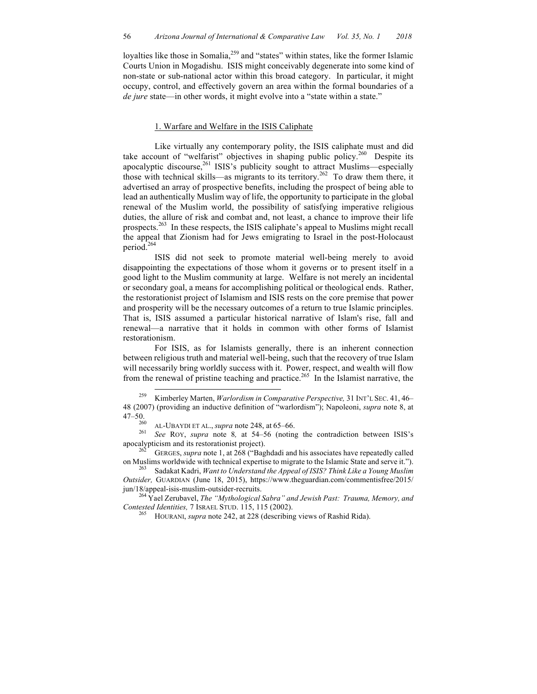loyalties like those in Somalia,<sup>259</sup> and "states" within states, like the former Islamic Courts Union in Mogadishu. ISIS might conceivably degenerate into some kind of non-state or sub-national actor within this broad category. In particular, it might occupy, control, and effectively govern an area within the formal boundaries of a *de jure* state—in other words, it might evolve into a "state within a state."

### 1. Warfare and Welfare in the ISIS Caliphate

Like virtually any contemporary polity, the ISIS caliphate must and did take account of "welfarist" objectives in shaping public policy.<sup>260</sup> Despite its apocalyptic discourse,<sup>261</sup> ISIS's publicity sought to attract Muslims—especially those with technical skills—as migrants to its territory.262 To draw them there, it advertised an array of prospective benefits, including the prospect of being able to lead an authentically Muslim way of life, the opportunity to participate in the global renewal of the Muslim world, the possibility of satisfying imperative religious duties, the allure of risk and combat and, not least, a chance to improve their life prospects.263 In these respects, the ISIS caliphate's appeal to Muslims might recall the appeal that Zionism had for Jews emigrating to Israel in the post-Holocaust period.<sup>264</sup>

ISIS did not seek to promote material well-being merely to avoid disappointing the expectations of those whom it governs or to present itself in a good light to the Muslim community at large. Welfare is not merely an incidental or secondary goal, a means for accomplishing political or theological ends. Rather, the restorationist project of Islamism and ISIS rests on the core premise that power and prosperity will be the necessary outcomes of a return to true Islamic principles. That is, ISIS assumed a particular historical narrative of Islam's rise, fall and renewal—a narrative that it holds in common with other forms of Islamist restorationism.

For ISIS, as for Islamists generally, there is an inherent connection between religious truth and material well-being, such that the recovery of true Islam will necessarily bring worldly success with it. Power, respect, and wealth will flow from the renewal of pristine teaching and practice.<sup>265</sup> In the Islamist narrative, the

*Contested Identities,* 7 ISRAEL STUD. 115, 115 (2002). <sup>265</sup> HOURANI, *supra* note 242, at 228 (describing views of Rashid Rida).

 <sup>259</sup> Kimberley Marten, *Warlordism in Comparative Perspective,* 31 INT'L SEC. 41, 46– 48 (2007) (providing an inductive definition of "warlordism"); Napoleoni, *supra* note 8, at 47–50.

<sup>260</sup> AL-UBAYDI ET AL., *supra* note 248, at 65–66. <sup>261</sup> *See* ROY, *supra* note 8*,* at 54–56 (noting the contradiction between ISIS's apocalypticism and its restorationist project).<br><sup>262</sup> GERGES, *supra* note 1, at 268 ("Baghdadi and his associates have repeatedly called

on Muslims worldwide with technical expertise to migrate to the Islamic State and serve it."). <sup>263</sup> Sadakat Kadri, *Want to Understand the Appeal of ISIS? Think Like a Young Muslim* 

*Outsider,* GUARDIAN (June 18, 2015), https://www.theguardian.com/commentisfree/2015/ jun/18/appeal-isis-muslim-outsider-recruits. 264 Yael Zerubavel, *The "Mythological Sabra" and Jewish Past: Trauma, Memory, and*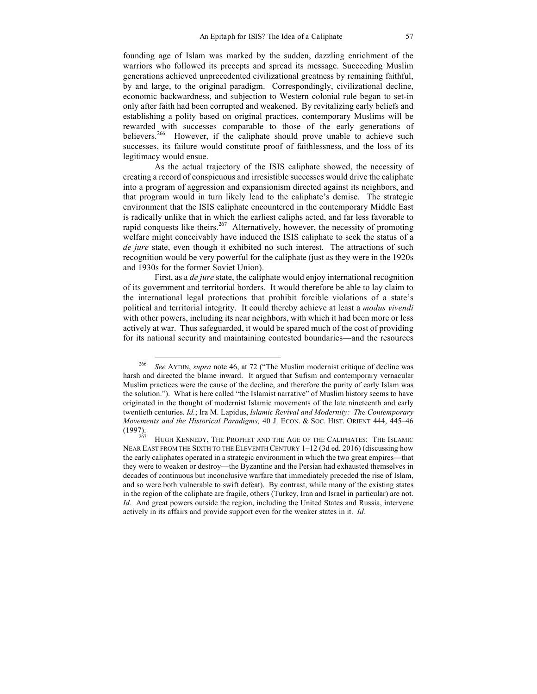founding age of Islam was marked by the sudden, dazzling enrichment of the warriors who followed its precepts and spread its message. Succeeding Muslim generations achieved unprecedented civilizational greatness by remaining faithful, by and large, to the original paradigm. Correspondingly, civilizational decline, economic backwardness, and subjection to Western colonial rule began to set-in only after faith had been corrupted and weakened. By revitalizing early beliefs and establishing a polity based on original practices, contemporary Muslims will be rewarded with successes comparable to those of the early generations of believers.<sup>266</sup> However, if the caliphate should prove unable to achieve such successes, its failure would constitute proof of faithlessness, and the loss of its legitimacy would ensue.

As the actual trajectory of the ISIS caliphate showed, the necessity of creating a record of conspicuous and irresistible successes would drive the caliphate into a program of aggression and expansionism directed against its neighbors, and that program would in turn likely lead to the caliphate's demise. The strategic environment that the ISIS caliphate encountered in the contemporary Middle East is radically unlike that in which the earliest caliphs acted, and far less favorable to rapid conquests like theirs.<sup>267</sup> Alternatively, however, the necessity of promoting welfare might conceivably have induced the ISIS caliphate to seek the status of a *de jure* state, even though it exhibited no such interest. The attractions of such recognition would be very powerful for the caliphate (just as they were in the 1920s and 1930s for the former Soviet Union).

First, as a *de jure* state, the caliphate would enjoy international recognition of its government and territorial borders. It would therefore be able to lay claim to the international legal protections that prohibit forcible violations of a state's political and territorial integrity. It could thereby achieve at least a *modus vivendi* with other powers, including its near neighbors, with which it had been more or less actively at war. Thus safeguarded, it would be spared much of the cost of providing for its national security and maintaining contested boundaries—and the resources

 <sup>266</sup> *See* AYDIN, *supra* note 46, at 72 ("The Muslim modernist critique of decline was harsh and directed the blame inward. It argued that Sufism and contemporary vernacular Muslim practices were the cause of the decline, and therefore the purity of early Islam was the solution."). What is here called "the Islamist narrative" of Muslim history seems to have originated in the thought of modernist Islamic movements of the late nineteenth and early twentieth centuries. *Id.*; Ira M. Lapidus, *Islamic Revival and Modernity: The Contemporary Movements and the Historical Paradigms,* 40 J. ECON. & SOC. HIST. ORIENT 444, 445–46 (1997). <sup>267</sup> HUGH KENNEDY, THE PROPHET AND THE AGE OF THE CALIPHATES: THE ISLAMIC

NEAR EAST FROM THE SIXTH TO THE ELEVENTH CENTURY 1–12 (3d ed. 2016) (discussing how the early caliphates operated in a strategic environment in which the two great empires—that they were to weaken or destroy—the Byzantine and the Persian had exhausted themselves in decades of continuous but inconclusive warfare that immediately preceded the rise of Islam, and so were both vulnerable to swift defeat). By contrast, while many of the existing states in the region of the caliphate are fragile, others (Turkey, Iran and Israel in particular) are not. *Id.* And great powers outside the region, including the United States and Russia, intervene actively in its affairs and provide support even for the weaker states in it. *Id.*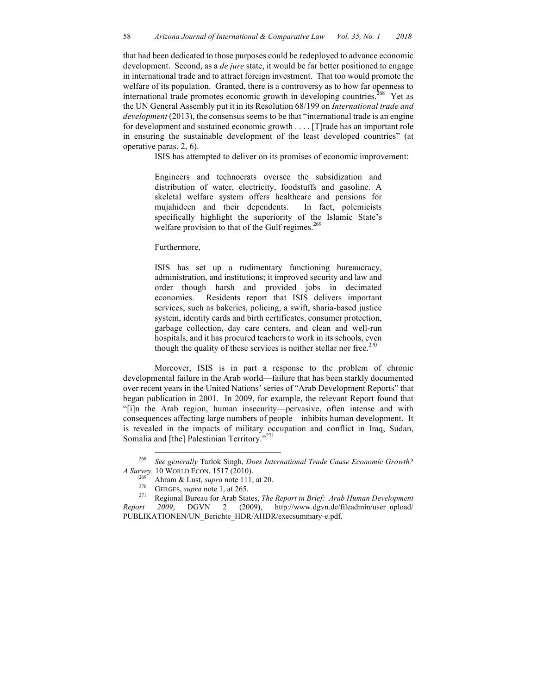that had been dedicated to those purposes could be redeployed to advance economic development. Second, as a *de jure* state, it would be far better positioned to engage in international trade and to attract foreign investment. That too would promote the welfare of its population. Granted, there is a controversy as to how far openness to international trade promotes economic growth in developing countries.<sup>268</sup> Yet as the UN General Assembly put it in its Resolution 68/199 on *International trade and development* (2013), the consensus seems to be that "international trade is an engine for development and sustained economic growth . . . . [T]rade has an important role in ensuring the sustainable development of the least developed countries" (at operative paras. 2, 6).

ISIS has attempted to deliver on its promises of economic improvement:

Engineers and technocrats oversee the subsidization and distribution of water, electricity, foodstuffs and gasoline. A skeletal welfare system offers healthcare and pensions for mujahideen and their dependents. In fact, polemicists specifically highlight the superiority of the Islamic State's welfare provision to that of the Gulf regimes.<sup>269</sup>

Furthermore,

ISIS has set up a rudimentary functioning bureaucracy, administration, and institutions; it improved security and law and order—though harsh—and provided jobs in decimated economies. Residents report that ISIS delivers important services, such as bakeries, policing, a swift, sharia-based justice system, identity cards and birth certificates, consumer protection, garbage collection, day care centers, and clean and well-run hospitals, and it has procured teachers to work in its schools, even though the quality of these services is neither stellar nor free.<sup>270</sup>

Moreover, ISIS is in part a response to the problem of chronic developmental failure in the Arab world—failure that has been starkly documented over recent years in the United Nations' series of "Arab Development Reports" that began publication in 2001. In 2009, for example, the relevant Report found that "[i]n the Arab region, human insecurity—pervasive, often intense and with consequences affecting large numbers of people—inhibits human development. It is revealed in the impacts of military occupation and conflict in Iraq, Sudan, Somalia and [the] Palestinian Territory."<sup>271</sup>

 <sup>268</sup> *See generally* Tarlok Singh, *Does International Trade Cause Economic Growth? A Survey,* 10 WORLD ECON. 1517 (2010).<br><sup>269</sup> Ahram & Lust, *supra* note 111, at 20.<br><sup>270</sup> GERGES, *supra* note 1, at 265.<br><sup>271</sup> Regional Bureau for Arab States, *The Report in Brief: Arab Human Development* 

*Report 2009*, DGVN 2 (2009), http://www.dgvn.de/fileadmin/user\_upload/ PUBLIKATIONEN/UN\_Berichte\_HDR/AHDR/execsummary-e.pdf.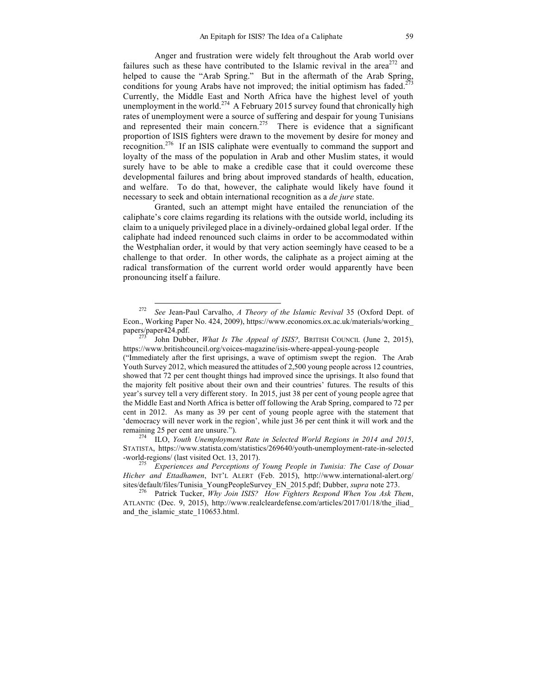Anger and frustration were widely felt throughout the Arab world over failures such as these have contributed to the Islamic revival in the area<sup>272</sup> and helped to cause the "Arab Spring." But in the aftermath of the Arab Spring, conditions for young Arabs have not improved; the initial optimism has faded.<sup>273</sup> Currently, the Middle East and North Africa have the highest level of youth unemployment in the world.<sup>274</sup> A February 2015 survey found that chronically high rates of unemployment were a source of suffering and despair for young Tunisians and represented their main concern.<sup>275</sup> There is evidence that a significant proportion of ISIS fighters were drawn to the movement by desire for money and recognition.276 If an ISIS caliphate were eventually to command the support and loyalty of the mass of the population in Arab and other Muslim states, it would surely have to be able to make a credible case that it could overcome these developmental failures and bring about improved standards of health, education, and welfare. To do that, however, the caliphate would likely have found it necessary to seek and obtain international recognition as a *de jure* state.

Granted, such an attempt might have entailed the renunciation of the caliphate's core claims regarding its relations with the outside world, including its claim to a uniquely privileged place in a divinely-ordained global legal order. If the caliphate had indeed renounced such claims in order to be accommodated within the Westphalian order, it would by that very action seemingly have ceased to be a challenge to that order. In other words, the caliphate as a project aiming at the radical transformation of the current world order would apparently have been pronouncing itself a failure.

remaining 25 per cent are unsure."). 274 ILO, *Youth Unemployment Rate in Selected World Regions in 2014 and 2015*, STATISTA, https://www.statista.com/statistics/269640/youth-unemployment-rate-in-selected

 <sup>272</sup> *See* Jean-Paul Carvalho, *A Theory of the Islamic Revival* 35 (Oxford Dept. of Econ., Working Paper No. 424, 2009), https://www.economics.ox.ac.uk/materials/working<br>papers/paper424.pdf.<br> $\frac{273}{273}$  John Dubber, *What Is The America of ISIS*? Degrees Converse (1, s. 8, 2015)

John Dubber, *What Is The Appeal of ISIS?*, BRITISH COUNCIL (June 2, 2015), https://www.britishcouncil.org/voices-magazine/isis-where-appeal-young-people

<sup>(&</sup>quot;Immediately after the first uprisings, a wave of optimism swept the region. The Arab Youth Survey 2012, which measured the attitudes of 2,500 young people across 12 countries, showed that 72 per cent thought things had improved since the uprisings. It also found that the majority felt positive about their own and their countries' futures. The results of this year's survey tell a very different story. In 2015, just 38 per cent of young people agree that the Middle East and North Africa is better off following the Arab Spring, compared to 72 per cent in 2012. As many as 39 per cent of young people agree with the statement that 'democracy will never work in the region', while just 36 per cent think it will work and the

<sup>-</sup>world-regions/ (last visited Oct. 13, 2017). <sup>275</sup> *Experiences and Perceptions of Young People in Tunisia: The Case of Douar Hicher and Ettadhamen*, INT'L ALERT (Feb. 2015), http://www.international-alert.org/ sites/default/files/Tunisia\_YoungPeopleSurvey\_EN\_2015.pdf; Dubber, *supra* note 273. 276 Patrick Tucker, *Why Join ISIS? How Fighters Respond When You Ask Them*,

ATLANTIC (Dec. 9, 2015), http://www.realcleardefense.com/articles/2017/01/18/the iliad and the islamic state 110653.html.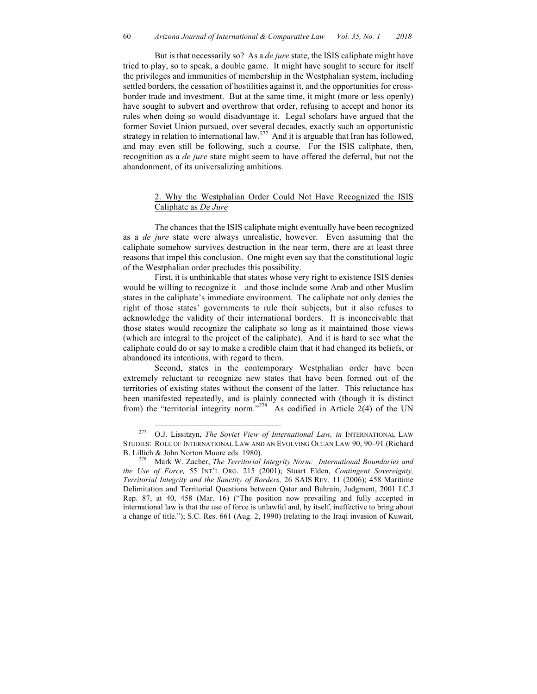But is that necessarily so? As a *de jure* state, the ISIS caliphate might have tried to play, so to speak, a double game. It might have sought to secure for itself the privileges and immunities of membership in the Westphalian system, including settled borders, the cessation of hostilities against it, and the opportunities for crossborder trade and investment. But at the same time, it might (more or less openly) have sought to subvert and overthrow that order, refusing to accept and honor its rules when doing so would disadvantage it. Legal scholars have argued that the former Soviet Union pursued, over several decades, exactly such an opportunistic strategy in relation to international law.<sup>277</sup> And it is arguable that Iran has followed, and may even still be following, such a course. For the ISIS caliphate, then, recognition as a *de jure* state might seem to have offered the deferral, but not the abandonment, of its universalizing ambitions.

### 2. Why the Westphalian Order Could Not Have Recognized the ISIS Caliphate as *De Jure*

The chances that the ISIS caliphate might eventually have been recognized as a *de jure* state were always unrealistic, however. Even assuming that the caliphate somehow survives destruction in the near term, there are at least three reasons that impel this conclusion. One might even say that the constitutional logic of the Westphalian order precludes this possibility.

First, it is unthinkable that states whose very right to existence ISIS denies would be willing to recognize it—and those include some Arab and other Muslim states in the caliphate's immediate environment. The caliphate not only denies the right of those states' governments to rule their subjects, but it also refuses to acknowledge the validity of their international borders. It is inconceivable that those states would recognize the caliphate so long as it maintained those views (which are integral to the project of the caliphate). And it is hard to see what the caliphate could do or say to make a credible claim that it had changed its beliefs, or abandoned its intentions, with regard to them.

Second, states in the contemporary Westphalian order have been extremely reluctant to recognize new states that have been formed out of the territories of existing states without the consent of the latter. This reluctance has been manifested repeatedly, and is plainly connected with (though it is distinct from) the "territorial integrity norm."<sup>278</sup> As codified in Article 2(4) of the UN

 <sup>277</sup> O.J. Lissitzyn, *The Soviet View of International Law, in* INTERNATIONAL LAW STUDIES: ROLE OF INTERNATIONAL LAW AND AN EVOLVING OCEAN LAW 90, 90–91 (Richard

B. Lillich & John Norton Moore eds. 1980). <sup>278</sup> Mark W. Zacher, *The Territorial Integrity Norm: International Boundaries and the Use of Force,* 55 INT'L ORG. 215 (2001); Stuart Elden, *Contingent Sovereignty, Territorial Integrity and the Sanctity of Borders,* 26 SAIS REV. 11 (2006); 458 Maritime Delimitation and Territorial Questions between Qatar and Bahrain, Judgment, 2001 I.C.J Rep. 87, at 40, 458 (Mar. 16) ("The position now prevailing and fully accepted in international law is that the use of force is unlawful and, by itself, ineffective to bring about a change of title."); S.C. Res. 661 (Aug. 2, 1990) (relating to the Iraqi invasion of Kuwait,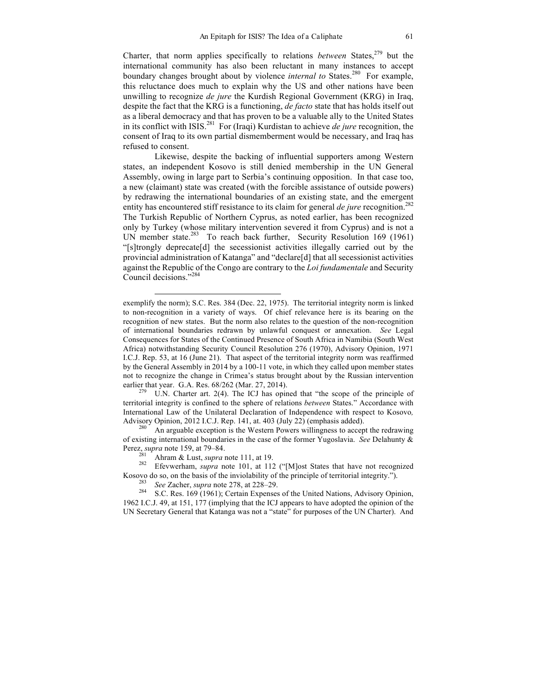Charter, that norm applies specifically to relations *between* States.<sup>279</sup> but the international community has also been reluctant in many instances to accept boundary changes brought about by violence *internal to* States.<sup>280</sup> For example, this reluctance does much to explain why the US and other nations have been unwilling to recognize *de jure* the Kurdish Regional Government (KRG) in Iraq, despite the fact that the KRG is a functioning, *de facto* state that has holds itself out as a liberal democracy and that has proven to be a valuable ally to the United States in its conflict with ISIS.<sup>281</sup> For (Iraqi) Kurdistan to achieve *de jure* recognition, the consent of Iraq to its own partial dismemberment would be necessary, and Iraq has refused to consent.

Likewise, despite the backing of influential supporters among Western states, an independent Kosovo is still denied membership in the UN General Assembly, owing in large part to Serbia's continuing opposition. In that case too, a new (claimant) state was created (with the forcible assistance of outside powers) by redrawing the international boundaries of an existing state, and the emergent entity has encountered stiff resistance to its claim for general *de jure* recognition.<sup>282</sup> The Turkish Republic of Northern Cyprus, as noted earlier, has been recognized only by Turkey (whose military intervention severed it from Cyprus) and is not a UN member state.<sup>283</sup> To reach back further, Security Resolution 169 (1961) "[s]trongly deprecate[d] the secessionist activities illegally carried out by the provincial administration of Katanga" and "declare[d] that all secessionist activities against the Republic of the Congo are contrary to the *Loi fundamentale* and Security Council decisions."<sup>284</sup>

territorial integrity is confined to the sphere of relations *between* States." Accordance with International Law of the Unilateral Declaration of Independence with respect to Kosovo*,* Advisory Opinion, 2012 I.C.J. Rep. 141, at. 403 (July 22) (emphasis added).<br><sup>280</sup> An arguable exception is the Western Powers willingness to accept the redrawing

of existing international boundaries in the case of the former Yugoslavia. *See* Delahunty &

 $\overline{a}$ 

Perez, *supra* note 159, at 79–84.<br><sup>281</sup> Ahram & Lust, *supra* note 111, at 19.<br><sup>282</sup> Efevwerham, *supra* note 101, at 112 ("[M]ost States that have not recognized Kosovo do so, on the basis of the inviolability of the principle of territorial integrity.").<br><sup>283</sup> See Zacher, *supra* note 278, at 228–29.<br><sup>284</sup> S.C. Res. 169 (1961); Certain Expenses of the United Nations, Advisory Opin

1962 I.C.J. 49, at 151, 177 (implying that the ICJ appears to have adopted the opinion of the UN Secretary General that Katanga was not a "state" for purposes of the UN Charter). And

exemplify the norm); S.C. Res. 384 (Dec. 22, 1975). The territorial integrity norm is linked to non-recognition in a variety of ways. Of chief relevance here is its bearing on the recognition of new states. But the norm also relates to the question of the non-recognition of international boundaries redrawn by unlawful conquest or annexation. *See* Legal Consequences for States of the Continued Presence of South Africa in Namibia (South West Africa) notwithstanding Security Council Resolution 276 (1970), Advisory Opinion, 1971 I.C.J. Rep. 53, at 16 (June 21). That aspect of the territorial integrity norm was reaffirmed by the General Assembly in 2014 by a 100-11 vote, in which they called upon member states not to recognize the change in Crimea's status brought about by the Russian intervention earlier that year. G.A. Res. 68/262 (Mar. 27, 2014). <sup>279</sup> U.N. Charter art. 2(4). The ICJ has opined that "the scope of the principle of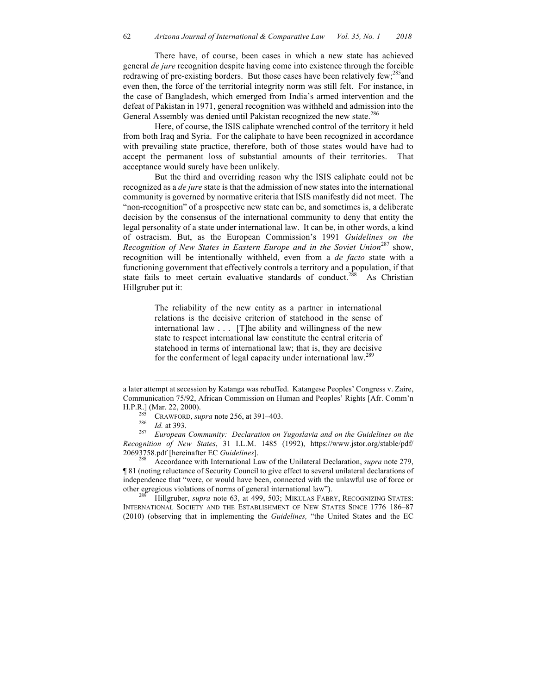There have, of course, been cases in which a new state has achieved general *de jure* recognition despite having come into existence through the forcible redrawing of pre-existing borders. But those cases have been relatively few;<sup>285</sup>and even then, the force of the territorial integrity norm was still felt. For instance, in the case of Bangladesh, which emerged from India's armed intervention and the defeat of Pakistan in 1971, general recognition was withheld and admission into the General Assembly was denied until Pakistan recognized the new state.<sup>286</sup>

Here, of course, the ISIS caliphate wrenched control of the territory it held from both Iraq and Syria. For the caliphate to have been recognized in accordance with prevailing state practice, therefore, both of those states would have had to accept the permanent loss of substantial amounts of their territories. That acceptance would surely have been unlikely.

But the third and overriding reason why the ISIS caliphate could not be recognized as a *de jure* state is that the admission of new states into the international community is governed by normative criteria that ISIS manifestly did not meet. The "non-recognition" of a prospective new state can be, and sometimes is, a deliberate decision by the consensus of the international community to deny that entity the legal personality of a state under international law. It can be, in other words, a kind of ostracism. But, as the European Commission's 1991 *Guidelines on the Recognition of New States in Eastern Europe and in the Soviet Union*<sup>287</sup> show, recognition will be intentionally withheld, even from a *de facto* state with a functioning government that effectively controls a territory and a population, if that state fails to meet certain evaluative standards of conduct.<sup>288</sup> As Christian Hillgruber put it:

> The reliability of the new entity as a partner in international relations is the decisive criterion of statehood in the sense of international law . . . [T]he ability and willingness of the new state to respect international law constitute the central criteria of statehood in terms of international law; that is, they are decisive for the conferment of legal capacity under international law.<sup>289</sup>

 $\overline{a}$ 

INTERNATIONAL SOCIETY AND THE ESTABLISHMENT OF NEW STATES SINCE 1776 186–87 (2010) (observing that in implementing the *Guidelines,* "the United States and the EC

a later attempt at secession by Katanga was rebuffed. Katangese Peoples' Congress v. Zaire, Communication 75/92, African Commission on Human and Peoples' Rights [Afr. Comm'n H.P.R.] (Mar. 22, 2000).<br><sup>285</sup> CRAWFORD, *supra* note 256, at 391–403.<br><sup>286</sup> *Id.* at 393.<br><sup>287</sup> *European Community: Declaration on Yugoslavia and on the Guidelines on the* 

*Recognition of New States*, 31 I.L.M. 1485 (1992), https://www.jstor.org/stable/pdf/ 20693758.pdf [hereinafter EC *Guidelines*]. <sup>288</sup> Accordance with International Law of the Unilateral Declaration, *supra* note 279,

<sup>¶ 81 (</sup>noting reluctance of Security Council to give effect to several unilateral declarations of independence that "were, or would have been, connected with the unlawful use of force or other egregious violations of norms of general international law").<br><sup>289</sup> Hillgruber, *supra* note 63, at 499, 503; MIKULAS FABRY, RECOGNIZING STATES: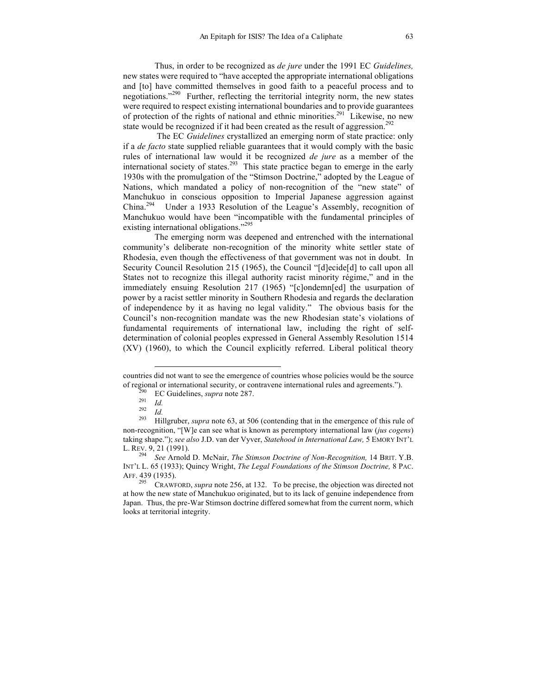Thus, in order to be recognized as *de jure* under the 1991 EC *Guidelines,* new states were required to "have accepted the appropriate international obligations and [to] have committed themselves in good faith to a peaceful process and to negotiations."290 Further, reflecting the territorial integrity norm, the new states were required to respect existing international boundaries and to provide guarantees of protection of the rights of national and ethnic minorities.<sup>291</sup> Likewise, no new state would be recognized if it had been created as the result of aggression.<sup>292</sup>

The EC *Guidelines* crystallized an emerging norm of state practice: only if a *de facto* state supplied reliable guarantees that it would comply with the basic rules of international law would it be recognized *de jure* as a member of the international society of states.<sup>293</sup> This state practice began to emerge in the early 1930s with the promulgation of the "Stimson Doctrine," adopted by the League of Nations, which mandated a policy of non-recognition of the "new state" of Manchukuo in conscious opposition to Imperial Japanese aggression against China.294 Under a 1933 Resolution of the League's Assembly, recognition of Manchukuo would have been "incompatible with the fundamental principles of existing international obligations."<sup>295</sup>

The emerging norm was deepened and entrenched with the international community's deliberate non-recognition of the minority white settler state of Rhodesia, even though the effectiveness of that government was not in doubt. In Security Council Resolution 215 (1965), the Council "[d]ecide[d] to call upon all States not to recognize this illegal authority racist minority régime," and in the immediately ensuing Resolution 217 (1965) "[c]ondemn[ed] the usurpation of power by a racist settler minority in Southern Rhodesia and regards the declaration of independence by it as having no legal validity." The obvious basis for the Council's non-recognition mandate was the new Rhodesian state's violations of fundamental requirements of international law, including the right of selfdetermination of colonial peoples expressed in General Assembly Resolution 1514 (XV) (1960), to which the Council explicitly referred. Liberal political theory

 $\overline{a}$ 

countries did not want to see the emergence of countries whose policies would be the source of regional or international security, or contravene international rules and agreements.").<br><sup>290</sup> EC Guidelines, *supra* note 287.<br><sup>291</sup> Id.<br><sup>292</sup> Id.<br><sup>293</sup> Hilleruber. *supra* note 63. at 506 (contending that in the emer

non-recognition, "[W]e can see what is known as peremptory international law (*jus cogens*) taking shape."); *see also* J.D. van der Vyver, *Statehood in International Law,* 5 EMORY INT'L

L. REV. 9, 21 (1991). 294 *See* Arnold D. McNair, *The Stimson Doctrine of Non-Recognition,* 14 BRIT. Y.B. INT'L L. 65 (1933); Quincy Wright, *The Legal Foundations of the Stimson Doctrine,* 8 PAC. AFF. 439 (1935).

<sup>295</sup> CRAWFORD, *supra* note 256, at 132. To be precise, the objection was directed not at how the new state of Manchukuo originated, but to its lack of genuine independence from Japan. Thus, the pre-War Stimson doctrine differed somewhat from the current norm, which looks at territorial integrity.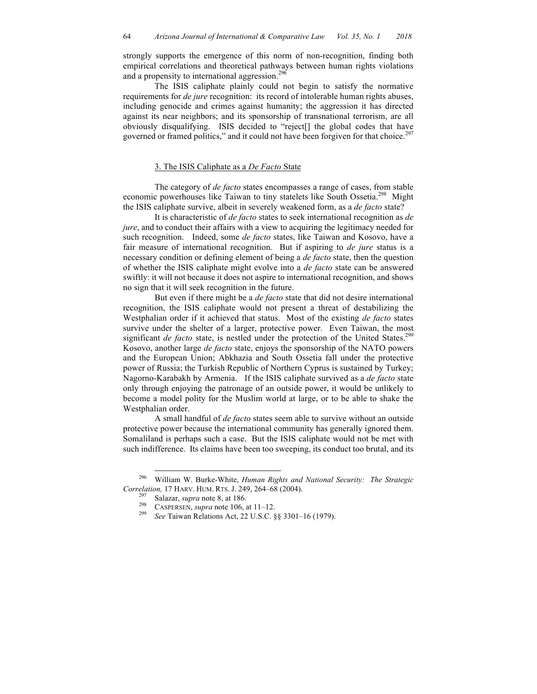strongly supports the emergence of this norm of non-recognition, finding both empirical correlations and theoretical pathways between human rights violations and a propensity to international aggression.<sup>296</sup>

The ISIS caliphate plainly could not begin to satisfy the normative requirements for *de jure* recognition: its record of intolerable human rights abuses, including genocide and crimes against humanity; the aggression it has directed against its near neighbors; and its sponsorship of transnational terrorism, are all obviously disqualifying. ISIS decided to "reject[] the global codes that have governed or framed politics," and it could not have been forgiven for that choice.<sup>297</sup>

### 3. The ISIS Caliphate as a *De Facto* State

The category of *de facto* states encompasses a range of cases, from stable economic powerhouses like Taiwan to tiny statelets like South Ossetia.<sup>298</sup> Might the ISIS caliphate survive, albeit in severely weakened form, as a *de facto* state?

It is characteristic of *de facto* states to seek international recognition as *de jure*, and to conduct their affairs with a view to acquiring the legitimacy needed for such recognition. Indeed, some *de facto* states, like Taiwan and Kosovo, have a fair measure of international recognition. But if aspiring to *de jure* status is a necessary condition or defining element of being a *de facto* state, then the question of whether the ISIS caliphate might evolve into a *de facto* state can be answered swiftly: it will not because it does not aspire to international recognition, and shows no sign that it will seek recognition in the future.

But even if there might be a *de facto* state that did not desire international recognition, the ISIS caliphate would not present a threat of destabilizing the Westphalian order if it achieved that status. Most of the existing *de facto* states survive under the shelter of a larger, protective power. Even Taiwan, the most significant *de facto* state, is nestled under the protection of the United States.<sup>299</sup> Kosovo, another large *de facto* state, enjoys the sponsorship of the NATO powers and the European Union; Abkhazia and South Ossetia fall under the protective power of Russia; the Turkish Republic of Northern Cyprus is sustained by Turkey; Nagorno-Karabakh by Armenia. If the ISIS caliphate survived as a *de facto* state only through enjoying the patronage of an outside power, it would be unlikely to become a model polity for the Muslim world at large, or to be able to shake the Westphalian order.

A small handful of *de facto* states seem able to survive without an outside protective power because the international community has generally ignored them. Somaliland is perhaps such a case. But the ISIS caliphate would not be met with such indifference. Its claims have been too sweeping, its conduct too brutal, and its

<sup>&</sup>lt;sup>296</sup> William W. Burke-White, *Human Rights and National Security: The Strategic Correlation*, 17 HARV. HUM. RTS. J. 249, 264–68 (2004).

<sup>&</sup>lt;sup>297</sup> Salazar, *supra* note 8, at 186.<br><sup>298</sup> CASPERSEN, *supra* note 106, at 11–12.<br><sup>299</sup> *See* Taiwan Relations Act, 22 U.S.C. §§ 3301–16 (1979).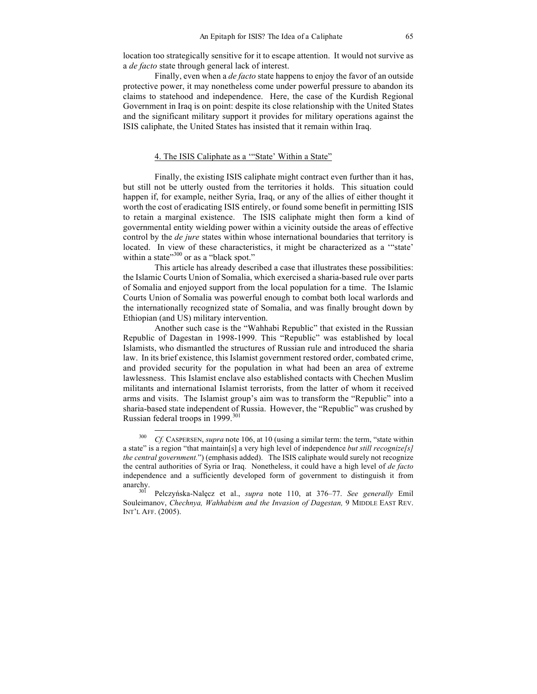location too strategically sensitive for it to escape attention. It would not survive as a *de facto* state through general lack of interest.

Finally, even when a *de facto* state happens to enjoy the favor of an outside protective power, it may nonetheless come under powerful pressure to abandon its claims to statehood and independence. Here, the case of the Kurdish Regional Government in Iraq is on point: despite its close relationship with the United States and the significant military support it provides for military operations against the ISIS caliphate, the United States has insisted that it remain within Iraq.

### 4. The ISIS Caliphate as a '"State' Within a State"

Finally, the existing ISIS caliphate might contract even further than it has, but still not be utterly ousted from the territories it holds. This situation could happen if, for example, neither Syria, Iraq, or any of the allies of either thought it worth the cost of eradicating ISIS entirely, or found some benefit in permitting ISIS to retain a marginal existence. The ISIS caliphate might then form a kind of governmental entity wielding power within a vicinity outside the areas of effective control by the *de jure* states within whose international boundaries that territory is located. In view of these characteristics, it might be characterized as a "state" within a state" $300$  or as a "black spot."

This article has already described a case that illustrates these possibilities: the Islamic Courts Union of Somalia, which exercised a sharia-based rule over parts of Somalia and enjoyed support from the local population for a time. The Islamic Courts Union of Somalia was powerful enough to combat both local warlords and the internationally recognized state of Somalia, and was finally brought down by Ethiopian (and US) military intervention.

Another such case is the "Wahhabi Republic" that existed in the Russian Republic of Dagestan in 1998-1999. This "Republic" was established by local Islamists, who dismantled the structures of Russian rule and introduced the sharia law. In its brief existence, this Islamist government restored order, combated crime, and provided security for the population in what had been an area of extreme lawlessness. This Islamist enclave also established contacts with Chechen Muslim militants and international Islamist terrorists, from the latter of whom it received arms and visits. The Islamist group's aim was to transform the "Republic" into a sharia-based state independent of Russia. However, the "Republic" was crushed by Russian federal troops in 1999.<sup>301</sup>

 <sup>300</sup> *Cf.* CASPERSEN, *supra* note 106, at 10 (using a similar term: the term, "state within a state" is a region "that maintain[s] a very high level of independence *but still recognize[s] the central government.*") (emphasis added). The ISIS caliphate would surely not recognize the central authorities of Syria or Iraq. Nonetheless, it could have a high level of *de facto*  independence and a sufficiently developed form of government to distinguish it from anarchy. <sup>301</sup> Pelczyńska-Nalęcz et al., *supra* note 110, at 376–77. *See generally* Emil

Souleimanov, *Chechnya, Wahhabism and the Invasion of Dagestan,* 9 MIDDLE EAST REV. INT'L AFF. (2005).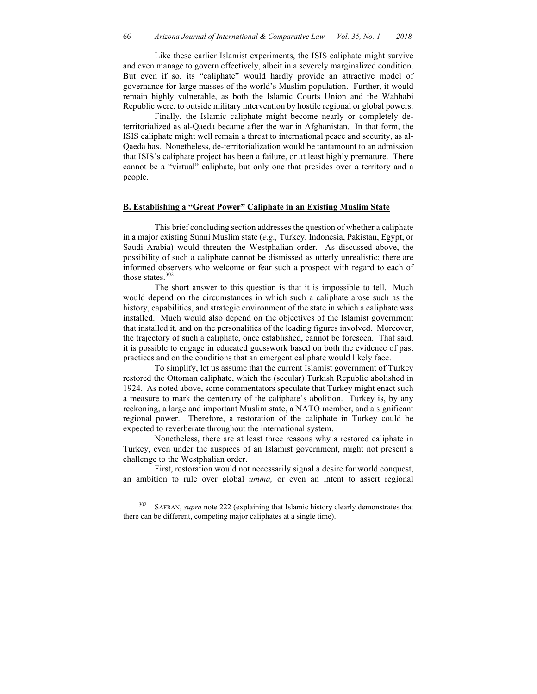Like these earlier Islamist experiments, the ISIS caliphate might survive and even manage to govern effectively, albeit in a severely marginalized condition. But even if so, its "caliphate" would hardly provide an attractive model of governance for large masses of the world's Muslim population. Further, it would remain highly vulnerable, as both the Islamic Courts Union and the Wahhabi Republic were, to outside military intervention by hostile regional or global powers.

Finally, the Islamic caliphate might become nearly or completely deterritorialized as al-Qaeda became after the war in Afghanistan. In that form, the ISIS caliphate might well remain a threat to international peace and security, as al-Qaeda has. Nonetheless, de-territorialization would be tantamount to an admission that ISIS's caliphate project has been a failure, or at least highly premature. There cannot be a "virtual" caliphate, but only one that presides over a territory and a people.

### **B. Establishing a "Great Power" Caliphate in an Existing Muslim State**

This brief concluding section addresses the question of whether a caliphate in a major existing Sunni Muslim state (*e.g.,* Turkey, Indonesia, Pakistan, Egypt, or Saudi Arabia) would threaten the Westphalian order. As discussed above, the possibility of such a caliphate cannot be dismissed as utterly unrealistic; there are informed observers who welcome or fear such a prospect with regard to each of those states.<sup>302</sup>

The short answer to this question is that it is impossible to tell. Much would depend on the circumstances in which such a caliphate arose such as the history, capabilities, and strategic environment of the state in which a caliphate was installed. Much would also depend on the objectives of the Islamist government that installed it, and on the personalities of the leading figures involved. Moreover, the trajectory of such a caliphate, once established, cannot be foreseen. That said, it is possible to engage in educated guesswork based on both the evidence of past practices and on the conditions that an emergent caliphate would likely face.

To simplify, let us assume that the current Islamist government of Turkey restored the Ottoman caliphate, which the (secular) Turkish Republic abolished in 1924. As noted above, some commentators speculate that Turkey might enact such a measure to mark the centenary of the caliphate's abolition. Turkey is, by any reckoning, a large and important Muslim state, a NATO member, and a significant regional power. Therefore, a restoration of the caliphate in Turkey could be expected to reverberate throughout the international system.

Nonetheless, there are at least three reasons why a restored caliphate in Turkey, even under the auspices of an Islamist government, might not present a challenge to the Westphalian order.

First, restoration would not necessarily signal a desire for world conquest, an ambition to rule over global *umma,* or even an intent to assert regional

SAFRAN, *supra* note 222 (explaining that Islamic history clearly demonstrates that there can be different, competing major caliphates at a single time).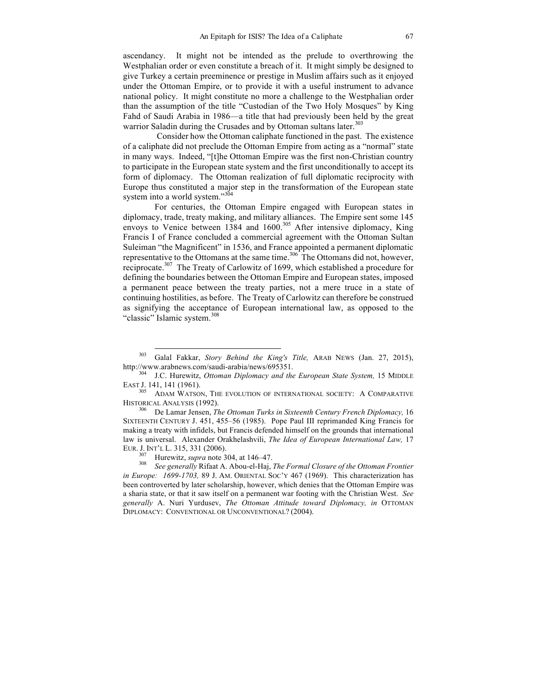ascendancy. It might not be intended as the prelude to overthrowing the Westphalian order or even constitute a breach of it. It might simply be designed to give Turkey a certain preeminence or prestige in Muslim affairs such as it enjoyed under the Ottoman Empire, or to provide it with a useful instrument to advance national policy. It might constitute no more a challenge to the Westphalian order than the assumption of the title "Custodian of the Two Holy Mosques" by King Fahd of Saudi Arabia in 1986—a title that had previously been held by the great warrior Saladin during the Crusades and by Ottoman sultans later.<sup>303</sup>

Consider how the Ottoman caliphate functioned in the past. The existence of a caliphate did not preclude the Ottoman Empire from acting as a "normal" state in many ways. Indeed, "[t]he Ottoman Empire was the first non-Christian country to participate in the European state system and the first unconditionally to accept its form of diplomacy. The Ottoman realization of full diplomatic reciprocity with Europe thus constituted a major step in the transformation of the European state system into a world system."<sup>304</sup>

For centuries, the Ottoman Empire engaged with European states in diplomacy, trade, treaty making, and military alliances. The Empire sent some 145 envoys to Venice between 1384 and 1600.<sup>305</sup> After intensive diplomacy, King Francis I of France concluded a commercial agreement with the Ottoman Sultan Suleiman "the Magnificent" in 1536, and France appointed a permanent diplomatic representative to the Ottomans at the same time.306 The Ottomans did not, however, reciprocate.307 The Treaty of Carlowitz of 1699, which established a procedure for defining the boundaries between the Ottoman Empire and European states, imposed a permanent peace between the treaty parties, not a mere truce in a state of continuing hostilities, as before. The Treaty of Carlowitz can therefore be construed as signifying the acceptance of European international law, as opposed to the "classic" Islamic system.<sup>308</sup>

 <sup>303</sup> Galal Fakkar, *Story Behind the King's Title,* ARAB NEWS (Jan. 27, 2015),

http://www.arabnews.com/saudi-arabia/news/695351. <sup>304</sup> J.C. Hurewitz, *Ottoman Diplomacy and the European State System,* 15 MIDDLE EAST J. 141, 141 (1961). <br><sup>305</sup> ADAM WATSON, THE EVOLUTION OF INTERNATIONAL SOCIETY: A COMPARATIVE

HISTORICAL ANALYSIS (1992). <sup>306</sup> De Lamar Jensen, *The Ottoman Turks in Sixteenth Century French Diplomacy,* <sup>16</sup>

SIXTEENTH CENTURY J. 451, 455–56 (1985). Pope Paul III reprimanded King Francis for making a treaty with infidels, but Francis defended himself on the grounds that international law is universal. Alexander Orakhelashvili, *The Idea of European International Law,* 17 EUR. J. INT'L L. 315, 331 (2006). 307 Hurewitz, *supra* note 304, at 146–47. <sup>308</sup> *See generally* Rifaat A. Abou-el-Haj, *The Formal Closure of the Ottoman Frontier* 

*in Europe: 1699-1703,* 89 J. AM. ORIENTAL SOC'Y 467 (1969). This characterization has been controverted by later scholarship, however, which denies that the Ottoman Empire was a sharia state, or that it saw itself on a permanent war footing with the Christian West. *See generally* A. Nuri Yurdusev, *The Ottoman Attitude toward Diplomacy, in* OTTOMAN DIPLOMACY: CONVENTIONAL OR UNCONVENTIONAL? (2004).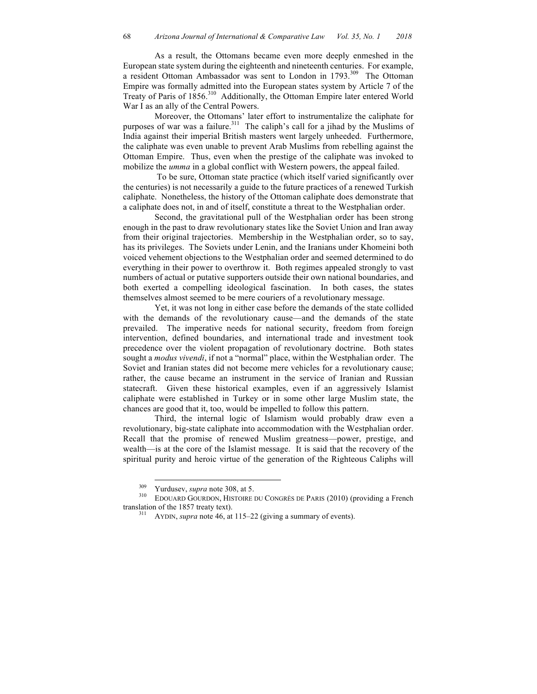As a result, the Ottomans became even more deeply enmeshed in the European state system during the eighteenth and nineteenth centuries. For example, a resident Ottoman Ambassador was sent to London in 1793.<sup>309</sup> The Ottoman Empire was formally admitted into the European states system by Article 7 of the Treaty of Paris of 1856.<sup>310</sup> Additionally, the Ottoman Empire later entered World War I as an ally of the Central Powers.

Moreover, the Ottomans' later effort to instrumentalize the caliphate for purposes of war was a failure.<sup>311</sup> The caliph's call for a jihad by the Muslims of India against their imperial British masters went largely unheeded. Furthermore, the caliphate was even unable to prevent Arab Muslims from rebelling against the Ottoman Empire. Thus, even when the prestige of the caliphate was invoked to mobilize the *umma* in a global conflict with Western powers, the appeal failed.

To be sure, Ottoman state practice (which itself varied significantly over the centuries) is not necessarily a guide to the future practices of a renewed Turkish caliphate. Nonetheless, the history of the Ottoman caliphate does demonstrate that a caliphate does not, in and of itself, constitute a threat to the Westphalian order.

Second, the gravitational pull of the Westphalian order has been strong enough in the past to draw revolutionary states like the Soviet Union and Iran away from their original trajectories. Membership in the Westphalian order, so to say, has its privileges. The Soviets under Lenin, and the Iranians under Khomeini both voiced vehement objections to the Westphalian order and seemed determined to do everything in their power to overthrow it. Both regimes appealed strongly to vast numbers of actual or putative supporters outside their own national boundaries, and both exerted a compelling ideological fascination. In both cases, the states themselves almost seemed to be mere couriers of a revolutionary message.

Yet, it was not long in either case before the demands of the state collided with the demands of the revolutionary cause—and the demands of the state prevailed. The imperative needs for national security, freedom from foreign intervention, defined boundaries, and international trade and investment took precedence over the violent propagation of revolutionary doctrine. Both states sought a *modus vivendi*, if not a "normal" place, within the Westphalian order. The Soviet and Iranian states did not become mere vehicles for a revolutionary cause; rather, the cause became an instrument in the service of Iranian and Russian statecraft. Given these historical examples, even if an aggressively Islamist caliphate were established in Turkey or in some other large Muslim state, the chances are good that it, too, would be impelled to follow this pattern.

Third, the internal logic of Islamism would probably draw even a revolutionary, big-state caliphate into accommodation with the Westphalian order. Recall that the promise of renewed Muslim greatness—power, prestige, and wealth—is at the core of the Islamist message. It is said that the recovery of the spiritual purity and heroic virtue of the generation of the Righteous Caliphs will

<sup>&</sup>lt;sup>309</sup> Yurdusev, *supra* note 308, at 5.<br>
EDOUARD GOURDON, HISTOIRE DU CONGRÈS DE PARIS (2010) (providing a French<br>
translation of the 1857 treaty text).<br>
<sup>311</sup> AYDDL supra pata 46, at 115, 22 (pixing a guyunnary of supra)

AYDIN, *supra* note 46, at 115–22 (giving a summary of events).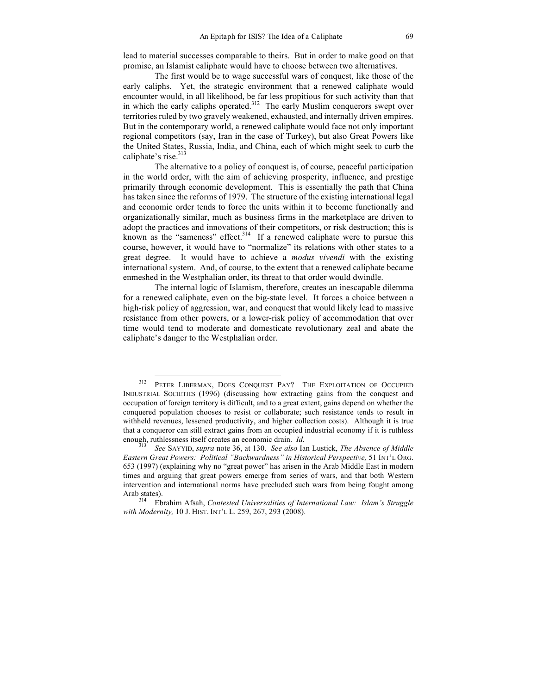lead to material successes comparable to theirs. But in order to make good on that promise, an Islamist caliphate would have to choose between two alternatives.

The first would be to wage successful wars of conquest, like those of the early caliphs. Yet, the strategic environment that a renewed caliphate would encounter would, in all likelihood, be far less propitious for such activity than that in which the early caliphs operated.<sup>312</sup> The early Muslim conquerors swept over territories ruled by two gravely weakened, exhausted, and internally driven empires. But in the contemporary world, a renewed caliphate would face not only important regional competitors (say, Iran in the case of Turkey), but also Great Powers like the United States, Russia, India, and China, each of which might seek to curb the caliphate's rise.<sup>313</sup>

The alternative to a policy of conquest is, of course, peaceful participation in the world order, with the aim of achieving prosperity, influence, and prestige primarily through economic development. This is essentially the path that China has taken since the reforms of 1979. The structure of the existing international legal and economic order tends to force the units within it to become functionally and organizationally similar, much as business firms in the marketplace are driven to adopt the practices and innovations of their competitors, or risk destruction; this is known as the "sameness" effect.<sup>314</sup> If a renewed caliphate were to pursue this course, however, it would have to "normalize" its relations with other states to a great degree. It would have to achieve a *modus vivendi* with the existing international system. And, of course, to the extent that a renewed caliphate became enmeshed in the Westphalian order, its threat to that order would dwindle.

The internal logic of Islamism, therefore, creates an inescapable dilemma for a renewed caliphate, even on the big-state level. It forces a choice between a high-risk policy of aggression, war, and conquest that would likely lead to massive resistance from other powers, or a lower-risk policy of accommodation that over time would tend to moderate and domesticate revolutionary zeal and abate the caliphate's danger to the Westphalian order.

 <sup>312</sup> PETER LIBERMAN, DOES CONQUEST PAY? THE EXPLOITATION OF OCCUPIED INDUSTRIAL SOCIETIES (1996) (discussing how extracting gains from the conquest and occupation of foreign territory is difficult, and to a great extent, gains depend on whether the conquered population chooses to resist or collaborate; such resistance tends to result in withheld revenues, lessened productivity, and higher collection costs). Although it is true that a conqueror can still extract gains from an occupied industrial economy if it is ruthless enough, ruthlessness itself creates an economic drain. *Id.* <sup>313</sup> *See* SAYYID, *supra* note 36, at 130. *See also* Ian Lustick, *The Absence of Middle* 

*Eastern Great Powers: Political "Backwardness" in Historical Perspective,* 51 INT'L ORG. 653 (1997) (explaining why no "great power" has arisen in the Arab Middle East in modern times and arguing that great powers emerge from series of wars, and that both Western intervention and international norms have precluded such wars from being fought among Arab states). <sup>314</sup> Ebrahim Afsah, *Contested Universalities of International Law: Islam's Struggle* 

*with Modernity,* 10 J. HIST. INT'L L. 259, 267, 293 (2008).